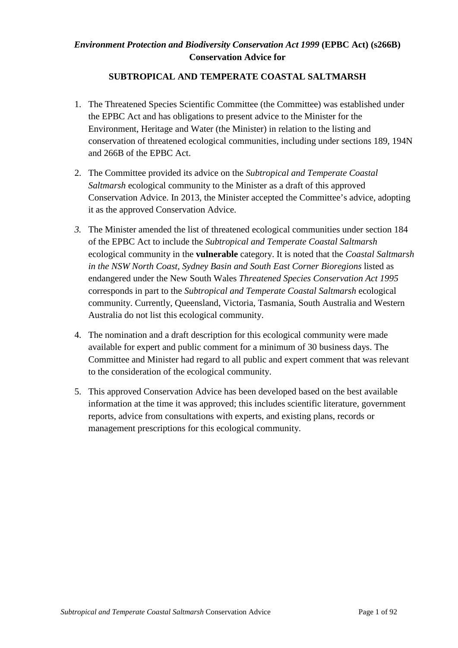## *Environment Protection and Biodiversity Conservation Act 1999* **(EPBC Act) (s266B) Conservation Advice for**

### **SUBTROPICAL AND TEMPERATE COASTAL SALTMARSH**

- 1. The Threatened Species Scientific Committee (the Committee) was established under the EPBC Act and has obligations to present advice to the Minister for the Environment, Heritage and Water (the Minister) in relation to the listing and conservation of threatened ecological communities, including under sections 189, 194N and 266B of the EPBC Act.
- 2. The Committee provided its advice on the *Subtropical and Temperate Coastal Saltmarsh* ecological community to the Minister as a draft of this approved Conservation Advice. In 2013, the Minister accepted the Committee's advice, adopting it as the approved Conservation Advice.
- *3.* The Minister amended the list of threatened ecological communities under section 184 of the EPBC Act to include the *Subtropical and Temperate Coastal Saltmarsh*  ecological community in the **vulnerable** category. It is noted that the *Coastal Saltmarsh in the NSW North Coast, Sydney Basin and South East Corner Bioregions* listed as endangered under the New South Wales *Threatened Species Conservation Act 1995* corresponds in part to the *Subtropical and Temperate Coastal Saltmarsh* ecological community. Currently, Queensland, Victoria, Tasmania, South Australia and Western Australia do not list this ecological community.
- 4. The nomination and a draft description for this ecological community were made available for expert and public comment for a minimum of 30 business days. The Committee and Minister had regard to all public and expert comment that was relevant to the consideration of the ecological community.
- 5. This approved Conservation Advice has been developed based on the best available information at the time it was approved; this includes scientific literature, government reports, advice from consultations with experts, and existing plans, records or management prescriptions for this ecological community.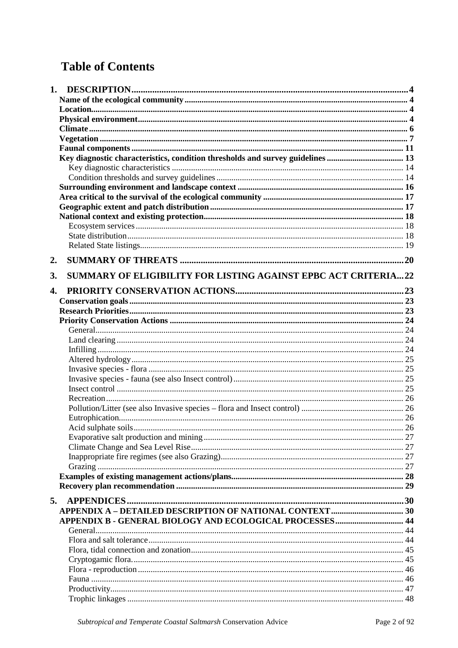# **Table of Contents**

|    | Key diagnostic characteristics, condition thresholds and survey guidelines  13 |  |
|----|--------------------------------------------------------------------------------|--|
|    |                                                                                |  |
|    |                                                                                |  |
|    |                                                                                |  |
|    |                                                                                |  |
|    |                                                                                |  |
|    |                                                                                |  |
|    |                                                                                |  |
|    |                                                                                |  |
|    |                                                                                |  |
| 2. |                                                                                |  |
| 3. | SUMMARY OF ELIGIBILITY FOR LISTING AGAINST EPBC ACT CRITERIA22                 |  |
|    |                                                                                |  |
| 4. |                                                                                |  |
|    |                                                                                |  |
|    |                                                                                |  |
|    |                                                                                |  |
|    |                                                                                |  |
|    |                                                                                |  |
|    |                                                                                |  |
|    |                                                                                |  |
|    |                                                                                |  |
|    |                                                                                |  |
|    |                                                                                |  |
|    |                                                                                |  |
|    |                                                                                |  |
|    |                                                                                |  |
|    |                                                                                |  |
|    |                                                                                |  |
|    |                                                                                |  |
|    |                                                                                |  |
|    |                                                                                |  |
|    |                                                                                |  |
|    |                                                                                |  |
| 5. |                                                                                |  |
|    |                                                                                |  |
|    | APPENDIX B - GENERAL BIOLOGY AND ECOLOGICAL PROCESSES 44                       |  |
|    |                                                                                |  |
|    |                                                                                |  |
|    |                                                                                |  |
|    |                                                                                |  |
|    |                                                                                |  |
|    |                                                                                |  |
|    |                                                                                |  |
|    |                                                                                |  |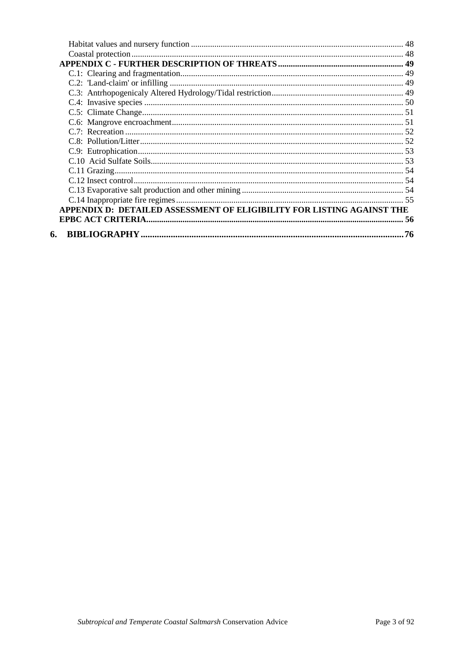| APPENDIX D: DETAILED ASSESSMENT OF ELIGIBILITY FOR LISTING AGAINST THE |  |
|------------------------------------------------------------------------|--|
|                                                                        |  |
| 6.                                                                     |  |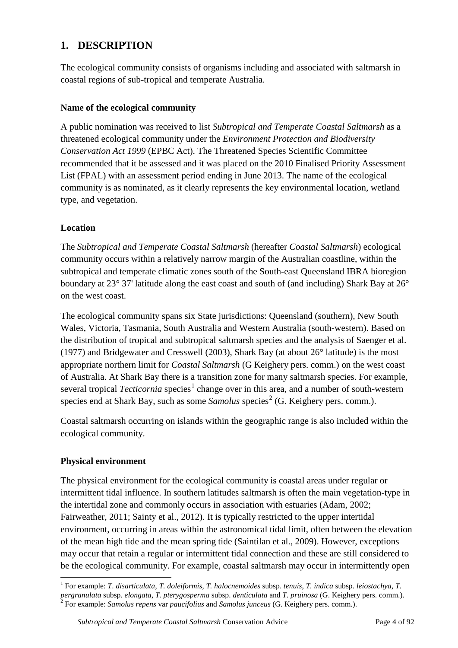# **1. DESCRIPTION**

The ecological community consists of organisms including and associated with saltmarsh in coastal regions of sub-tropical and temperate Australia.

### **Name of the ecological community**

A public nomination was received to list *Subtropical and Temperate Coastal Saltmarsh* as a threatened ecological community under the *Environment Protection and Biodiversity Conservation Act 1999* (EPBC Act). The Threatened Species Scientific Committee recommended that it be assessed and it was placed on the 2010 Finalised Priority Assessment List (FPAL) with an assessment period ending in June 2013. The name of the ecological community is as nominated, as it clearly represents the key environmental location, wetland type, and vegetation.

# **Location**

The *Subtropical and Temperate Coastal Saltmarsh* (hereafter *Coastal Saltmarsh*) ecological community occurs within a relatively narrow margin of the Australian coastline, within the subtropical and temperate climatic zones south of the South-east Queensland IBRA bioregion boundary at 23° 37' latitude along the east coast and south of (and including) Shark Bay at 26° on the west coast.

The ecological community spans six State jurisdictions: Queensland (southern), New South Wales, Victoria, Tasmania, South Australia and Western Australia (south-western). Based on the distribution of tropical and subtropical saltmarsh species and the analysis of Saenger et al. (1977) and Bridgewater and Cresswell (2003), Shark Bay (at about 26° latitude) is the most appropriate northern limit for *Coastal Saltmarsh* (G Keighery pers. comm.) on the west coast of Australia. At Shark Bay there is a transition zone for many saltmarsh species. For example, several tropical *Tecticornia* species<sup>[1](#page-3-0)</sup> change over in this area, and a number of south-western species end at Shark Bay, such as some *Samolus* species [2](#page-3-1) (G. Keighery pers. comm.).

Coastal saltmarsh occurring on islands within the geographic range is also included within the ecological community.

#### **Physical environment**

The physical environment for the ecological community is coastal areas under regular or intermittent tidal influence. In southern latitudes saltmarsh is often the main vegetation-type in the intertidal zone and commonly occurs in association with estuaries (Adam, 2002; Fairweather, 2011; Sainty et al., 2012). It is typically restricted to the upper intertidal environment, occurring in areas within the astronomical tidal limit, often between the elevation of the mean high tide and the mean spring tide (Saintilan et al., 2009). However, exceptions may occur that retain a regular or intermittent tidal connection and these are still considered to be the ecological community. For example, coastal saltmarsh may occur in intermittently open

<span id="page-3-1"></span><span id="page-3-0"></span> <sup>1</sup> For example: *T*. *disarticulata*, *T. doleiformis*, *T. halocnemoides* subsp. *tenuis*, *T. indica* subsp. *leiostachya*, *T.*  pergranulata subsp. elongata, T. pterygosperma subsp. denticulata and T. pruinosa (G. Keighery pers. comm.).<br><sup>2</sup> For example: *Samolus repens var paucifolius* and *Samolus junceus* (G. Keighery pers. comm.).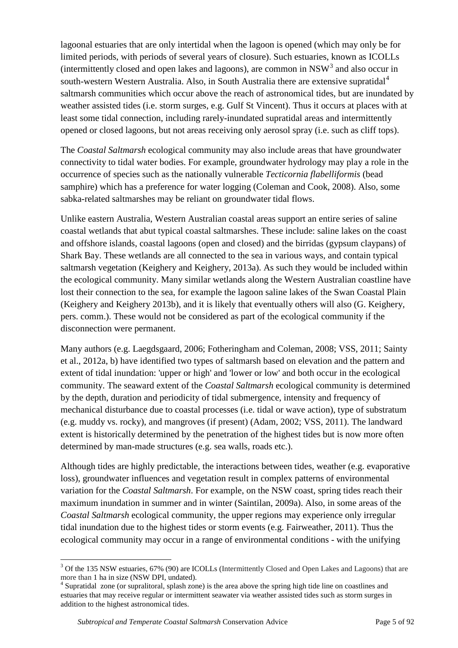lagoonal estuaries that are only intertidal when the lagoon is opened (which may only be for limited periods, with periods of several years of closure). Such estuaries, known as ICOLLs (intermittently closed and open lakes and lagoons), are common in  $NSW<sup>3</sup>$  $NSW<sup>3</sup>$  $NSW<sup>3</sup>$  and also occur in south-western Western Australia. Also, in South Australia there are extensive supratidal<sup>[4](#page-4-1)</sup> saltmarsh communities which occur above the reach of astronomical tides, but are inundated by weather assisted tides (i.e. storm surges, e.g. Gulf St Vincent). Thus it occurs at places with at least some tidal connection, including rarely-inundated supratidal areas and intermittently opened or closed lagoons, but not areas receiving only aerosol spray (i.e. such as cliff tops).

The *Coastal Saltmarsh* ecological community may also include areas that have groundwater connectivity to tidal water bodies. For example, groundwater hydrology may play a role in the occurrence of species such as the nationally vulnerable *Tecticornia flabelliformis* (bead samphire) which has a preference for water logging (Coleman and Cook, 2008). Also, some sabka-related saltmarshes may be reliant on groundwater tidal flows.

Unlike eastern Australia, Western Australian coastal areas support an entire series of saline coastal wetlands that abut typical coastal saltmarshes. These include: saline lakes on the coast and offshore islands, coastal lagoons (open and closed) and the birridas (gypsum claypans) of Shark Bay. These wetlands are all connected to the sea in various ways, and contain typical saltmarsh vegetation (Keighery and Keighery, 2013a). As such they would be included within the ecological community. Many similar wetlands along the Western Australian coastline have lost their connection to the sea, for example the lagoon saline lakes of the Swan Coastal Plain (Keighery and Keighery 2013b), and it is likely that eventually others will also (G. Keighery, pers. comm.). These would not be considered as part of the ecological community if the disconnection were permanent.

Many authors (e.g. Laegdsgaard, 2006; Fotheringham and Coleman, 2008; VSS, 2011; Sainty et al., 2012a, b) have identified two types of saltmarsh based on elevation and the pattern and extent of tidal inundation: 'upper or high' and 'lower or low' and both occur in the ecological community. The seaward extent of the *Coastal Saltmarsh* ecological community is determined by the depth, duration and periodicity of tidal submergence, intensity and frequency of mechanical disturbance due to coastal processes (i.e. tidal or wave action), type of substratum (e.g. muddy vs. rocky), and mangroves (if present) (Adam, 2002; VSS, 2011). The landward extent is historically determined by the penetration of the highest tides but is now more often determined by man-made structures (e.g. sea walls, roads etc.).

Although tides are highly predictable, the interactions between tides, weather (e.g. evaporative loss), groundwater influences and vegetation result in complex patterns of environmental variation for the *Coastal Saltmarsh*. For example, on the NSW coast, spring tides reach their maximum inundation in summer and in winter (Saintilan, 2009a). Also, in some areas of the *Coastal Saltmarsh* ecological community, the upper regions may experience only irregular tidal inundation due to the highest tides or storm events (e.g. Fairweather, 2011). Thus the ecological community may occur in a range of environmental conditions - with the unifying

<span id="page-4-0"></span><sup>&</sup>lt;sup>3</sup> Of the 135 NSW estuaries, 67% (90) are ICOLLs (Intermittently Closed and Open Lakes and Lagoons) that are more than 1 ha in size (NSW DPI, undated).<br><sup>4</sup> Supratidal zone (or supralitoral, splash zone) is the area above the spring high tide line on coastlines and

<span id="page-4-1"></span>estuaries that may receive regular or intermittent seawater via weather assisted tides such as storm surges in addition to the highest astronomical tides.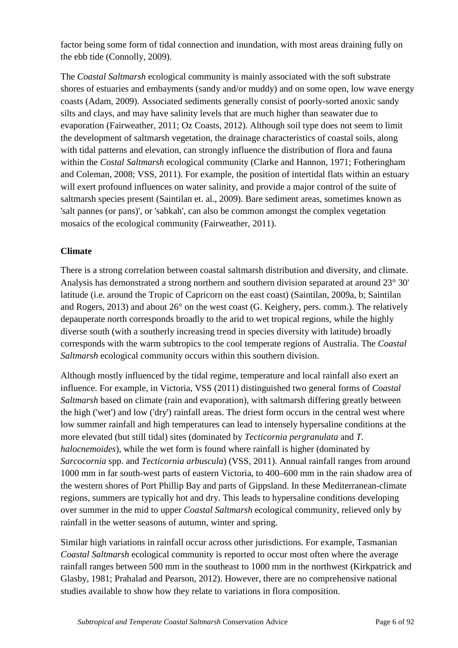factor being some form of tidal connection and inundation, with most areas draining fully on the ebb tide (Connolly, 2009).

The *Coastal Saltmarsh* ecological community is mainly associated with the soft substrate shores of estuaries and embayments (sandy and/or muddy) and on some open, low wave energy coasts (Adam, 2009). Associated sediments generally consist of poorly-sorted anoxic sandy silts and clays, and may have salinity levels that are much higher than seawater due to evaporation (Fairweather, 2011; Oz Coasts, 2012). Although soil type does not seem to limit the development of saltmarsh vegetation, the drainage characteristics of coastal soils, along with tidal patterns and elevation, can strongly influence the distribution of flora and fauna within the *Costal Saltmarsh* ecological community (Clarke and Hannon, 1971; Fotheringham and Coleman, 2008; VSS, 2011). For example, the position of intertidal flats within an estuary will exert profound influences on water salinity, and provide a major control of the suite of saltmarsh species present (Saintilan et. al., 2009). Bare sediment areas, sometimes known as 'salt pannes (or pans)', or 'sabkah', can also be common amongst the complex vegetation mosaics of the ecological community (Fairweather, 2011).

## **Climate**

There is a strong correlation between coastal saltmarsh distribution and diversity, and climate. Analysis has demonstrated a strong northern and southern division separated at around 23° 30' latitude (i.e. around the Tropic of Capricorn on the east coast) (Saintilan, 2009a, b; Saintilan and Rogers, 2013) and about 26° on the west coast (G. Keighery, pers. comm.). The relatively depauperate north corresponds broadly to the arid to wet tropical regions, while the highly diverse south (with a southerly increasing trend in species diversity with latitude) broadly corresponds with the warm subtropics to the cool temperate regions of Australia. The *Coastal Saltmarsh* ecological community occurs within this southern division.

Although mostly influenced by the tidal regime, temperature and local rainfall also exert an influence. For example, in Victoria, VSS (2011) distinguished two general forms of *Coastal Saltmarsh* based on climate (rain and evaporation), with saltmarsh differing greatly between the high ('wet') and low ('dry') rainfall areas. The driest form occurs in the central west where low summer rainfall and high temperatures can lead to intensely hypersaline conditions at the more elevated (but still tidal) sites (dominated by *Tecticornia pergranulata* and *T. halocnemoides*), while the wet form is found where rainfall is higher (dominated by *Sarcocornia* spp. and *Tecticornia arbuscula*) (VSS, 2011). Annual rainfall ranges from around 1000 mm in far south-west parts of eastern Victoria, to 400–600 mm in the rain shadow area of the western shores of Port Phillip Bay and parts of Gippsland. In these Mediterranean-climate regions, summers are typically hot and dry. This leads to hypersaline conditions developing over summer in the mid to upper *Coastal Saltmarsh* ecological community, relieved only by rainfall in the wetter seasons of autumn, winter and spring.

Similar high variations in rainfall occur across other jurisdictions. For example, Tasmanian *Coastal Saltmarsh* ecological community is reported to occur most often where the average rainfall ranges between 500 mm in the southeast to 1000 mm in the northwest (Kirkpatrick and Glasby, 1981; Prahalad and Pearson, 2012). However, there are no comprehensive national studies available to show how they relate to variations in flora composition.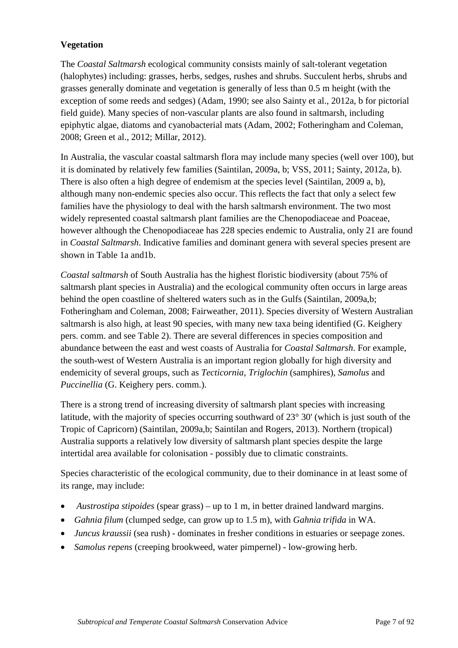## **Vegetation**

The *Coastal Saltmarsh* ecological community consists mainly of salt-tolerant vegetation (halophytes) including: grasses, herbs, sedges, rushes and shrubs. Succulent herbs, shrubs and grasses generally dominate and vegetation is generally of less than 0.5 m height (with the exception of some reeds and sedges) (Adam, 1990; see also Sainty et al., 2012a, b for pictorial field guide). Many species of non-vascular plants are also found in saltmarsh, including epiphytic algae, diatoms and cyanobacterial mats (Adam, 2002; Fotheringham and Coleman, 2008; Green et al., 2012; Millar, 2012).

In Australia, the vascular coastal saltmarsh flora may include many species (well over 100), but it is dominated by relatively few families (Saintilan, 2009a, b; VSS, 2011; Sainty, 2012a, b). There is also often a high degree of endemism at the species level (Saintilan, 2009 a, b), although many non-endemic species also occur. This reflects the fact that only a select few families have the physiology to deal with the harsh saltmarsh environment. The two most widely represented coastal saltmarsh plant families are the Chenopodiaceae and Poaceae, however although the Chenopodiaceae has 228 species endemic to Australia, only 21 are found in *Coastal Saltmarsh*. Indicative families and dominant genera with several species present are shown in Table 1a and1b.

*Coastal saltmarsh* of South Australia has the highest floristic biodiversity (about 75% of saltmarsh plant species in Australia) and the ecological community often occurs in large areas behind the open coastline of sheltered waters such as in the Gulfs (Saintilan, 2009a,b; Fotheringham and Coleman, 2008; Fairweather, 2011). Species diversity of Western Australian saltmarsh is also high, at least 90 species, with many new taxa being identified (G. Keighery pers. comm. and see Table 2). There are several differences in species composition and abundance between the east and west coasts of Australia for *Coastal Saltmarsh*. For example, the south-west of Western Australia is an important region globally for high diversity and endemicity of several groups, such as *Tecticornia*, *Triglochin* (samphires), *Samolus* and *Puccinellia* (G. Keighery pers. comm.).

There is a strong trend of increasing diversity of saltmarsh plant species with increasing latitude, with the majority of species occurring southward of 23° 30' (which is just south of the Tropic of Capricorn) (Saintilan, 2009a,b; Saintilan and Rogers, 2013). Northern (tropical) Australia supports a relatively low diversity of saltmarsh plant species despite the large intertidal area available for colonisation - possibly due to climatic constraints.

Species characteristic of the ecological community, due to their dominance in at least some of its range, may include:

- *Austrostipa stipoides* (spear grass) up to 1 m, in better drained landward margins.
- *Gahnia filum* (clumped sedge, can grow up to 1.5 m), with *Gahnia trifida* in WA.
- *Juncus kraussii* (sea rush) dominates in fresher conditions in estuaries or seepage zones.
- *Samolus repens* (creeping brookweed, water pimpernel) low-growing herb.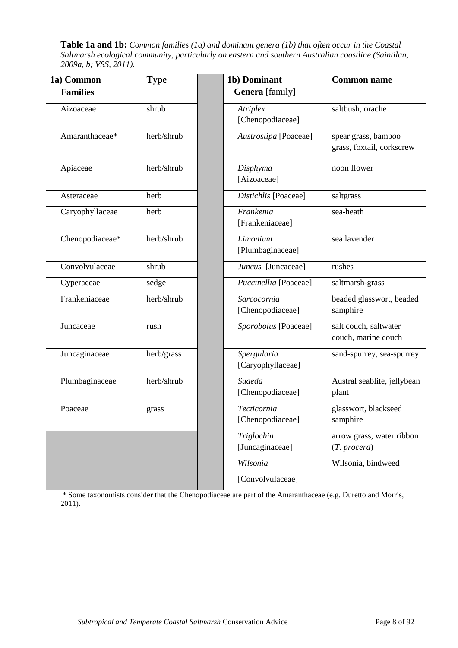**Table 1a and 1b:** *Common families (1a) and dominant genera (1b) that often occur in the Coastal Saltmarsh ecological community, particularly on eastern and southern Australian coastline (Saintilan, 2009a, b; VSS, 2011).*

| 1a) Common      | <b>Type</b> | 1b) Dominant                        | <b>Common name</b>                               |
|-----------------|-------------|-------------------------------------|--------------------------------------------------|
| <b>Families</b> |             | <b>Genera</b> [family]              |                                                  |
| Aizoaceae       | shrub       | <b>Atriplex</b><br>[Chenopodiaceae] | saltbush, orache                                 |
| Amaranthaceae*  | herb/shrub  | Austrostipa [Poaceae]               | spear grass, bamboo<br>grass, foxtail, corkscrew |
| Apiaceae        | herb/shrub  | Disphyma<br>[Aizoaceae]             | noon flower                                      |
| Asteraceae      | herb        | Distichlis [Poaceae]                | saltgrass                                        |
| Caryophyllaceae | herb        | Frankenia<br>[Frankeniaceae]        | sea-heath                                        |
| Chenopodiaceae* | herb/shrub  | Limonium<br>[Plumbaginaceae]        | sea lavender                                     |
| Convolvulaceae  | shrub       | Juncus [Juncaceae]                  | rushes                                           |
| Cyperaceae      | sedge       | Puccinellia [Poaceae]               | saltmarsh-grass                                  |
| Frankeniaceae   | herb/shrub  | Sarcocornia<br>[Chenopodiaceae]     | beaded glasswort, beaded<br>samphire             |
| Juncaceae       | rush        | Sporobolus [Poaceae]                | salt couch, saltwater<br>couch, marine couch     |
| Juncaginaceae   | herb/grass  | Spergularia<br>[Caryophyllaceae]    | sand-spurrey, sea-spurrey                        |
| Plumbaginaceae  | herb/shrub  | Suaeda<br>[Chenopodiaceae]          | Austral seablite, jellybean<br>plant             |
| Poaceae         | grass       | Tecticornia<br>[Chenopodiaceae]     | glasswort, blackseed<br>samphire                 |
|                 |             | Triglochin<br>[Juncaginaceae]       | arrow grass, water ribbon<br>(T. procera)        |
|                 |             | Wilsonia<br>[Convolvulaceae]        | Wilsonia, bindweed                               |

\* Some taxonomists consider that the Chenopodiaceae are part of the Amaranthaceae (e.g. Duretto and Morris, 2011).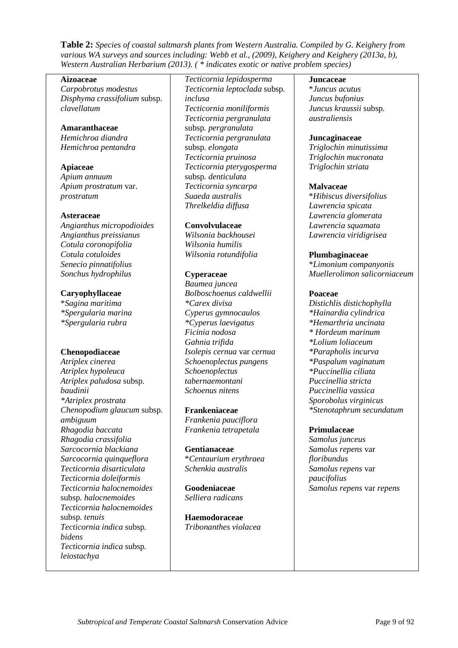**Table 2:** *Species of coastal saltmarsh plants from Western Australia. Compiled by G. Keighery from various WA surveys and sources including: Webb et al., (2009), Keighery and Keighery (2013a, b), Western Australian Herbarium (2013). ( \* indicates exotic or native problem species)*

#### **Aizoaceae**

*Carpobrotus modestus Disphyma crassifolium* subsp. *clavellatum*

#### **Amaranthaceae**

*Hemichroa diandra Hemichroa pentandra*

**Apiaceae** *Apium annuum Apium prostratum* var. *prostratum*

#### **Asteraceae**

*Angianthus micropodioides Angianthus preissianus Cotula coronopifolia Cotula cotuloides Senecio pinnatifolius Sonchus hydrophilus*

#### **Caryophyllaceae**

\**Sagina maritima \*Spergularia marina \*Spergularia rubra*

#### **Chenopodiaceae**

*Atriplex cinerea Atriplex hypoleuca Atriplex paludosa* subsp*. baudinii \*Atriplex prostrata Chenopodium glaucum* subsp*. ambiguum Rhagodia baccata Rhagodia crassifolia Sarcocornia blackiana Sarcocornia quinqueflora Tecticornia disarticulata Tecticornia doleiformis Tecticornia halocnemoides*  subsp*. halocnemoides Tecticornia halocnemoides*  subsp*. tenuis Tecticornia indica* subsp*. bidens Tecticornia indica* subsp*. leiostachya*

*Tecticornia lepidosperma Tecticornia leptoclada* subsp*. inclusa Tecticornia moniliformis Tecticornia pergranulata*  subsp*. pergranulata Tecticornia pergranulata*  subsp*. elongata Tecticornia pruinosa Tecticornia pterygosperma*  subsp*. denticulata Tecticornia syncarpa Suaeda australis Threlkeldia diffusa*

#### **Convolvulaceae**

*Wilsonia backhousei Wilsonia humilis Wilsonia rotundifolia*

#### **Cyperaceae**

*Baumea juncea Bolboschoenus caldwellii \*Carex divisa Cyperus gymnocaulos \*Cyperus laevigatus Ficinia nodosa Gahnia trifida Isolepis cernua* var *cernua Schoenoplectus pungens Schoenoplectus tabernaemontani Schoenus nitens*

#### **Frankeniaceae**

*Frankenia pauciflora Frankenia tetrapetala*

**Gentianaceae** \**Centaurium erythraea Schenkia australis*

**Goodeniaceae** *Selliera radicans*

**Haemodoraceae** *Tribonanthes violacea*

#### **Juncaceae**

\**Juncus acutus Juncus bufonius Juncus kraussii* subsp*. australiensis*

#### **Juncaginaceae**

*Triglochin minutissima Triglochin mucronata Triglochin striata*

#### **Malvaceae**

\**Hibiscus diversifolius Lawrencia spicata Lawrencia glomerata Lawrencia squamata Lawrencia viridigrisea*

#### **Plumbaginaceae**

\**Limonium companyonis Muellerolimon salicorniaceum*

#### **Poaceae**

*Distichlis distichophylla \*Hainardia cylindrica \*Hemarthria uncinata \* Hordeum marinum \*Lolium loliaceum \*Parapholis incurva \*Paspalum vaginatum \*Puccinellia ciliata Puccinellia stricta Puccinellia vassica Sporobolus virginicus \*Stenotaphrum secundatum*

#### **Primulaceae**

*Samolus junceus Samolus repens* var *floribundus Samolus repens* var *paucifolius Samolus repens* var *repens*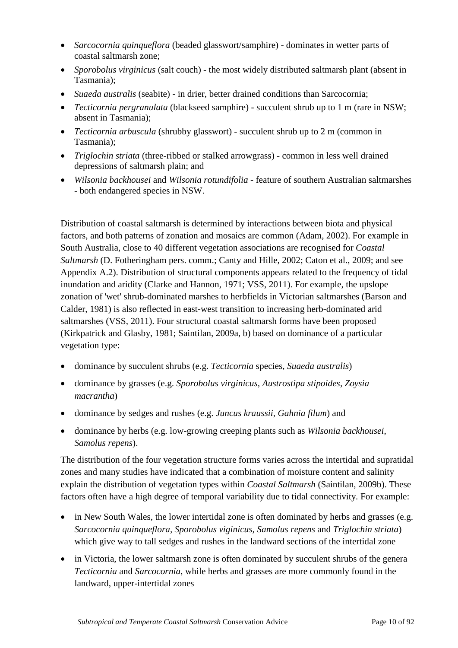- *Sarcocornia quinqueflora* (beaded glasswort/samphire) dominates in wetter parts of coastal saltmarsh zone;
- *Sporobolus virginicus* (salt couch) the most widely distributed saltmarsh plant (absent in Tasmania);
- *Suaeda australis* (seabite) in drier, better drained conditions than Sarcocornia;
- *Tecticornia pergranulata* (blackseed samphire) succulent shrub up to 1 m (rare in NSW; absent in Tasmania);
- *Tecticornia arbuscula* (shrubby glasswort) succulent shrub up to 2 m (common in Tasmania);
- *Triglochin striata* (three-ribbed or stalked arrowgrass) common in less well drained depressions of saltmarsh plain; and
- *Wilsonia backhousei* and *Wilsonia rotundifolia* feature of southern Australian saltmarshes - both endangered species in NSW.

Distribution of coastal saltmarsh is determined by interactions between biota and physical factors, and both patterns of zonation and mosaics are common (Adam, 2002). For example in South Australia, close to 40 different vegetation associations are recognised for *Coastal Saltmarsh* (D. Fotheringham pers. comm.; Canty and Hille, 2002; Caton et al., 2009; and see Appendix A.2). Distribution of structural components appears related to the frequency of tidal inundation and aridity (Clarke and Hannon, 1971; VSS, 2011). For example, the upslope zonation of 'wet' shrub-dominated marshes to herbfields in Victorian saltmarshes (Barson and Calder, 1981) is also reflected in east-west transition to increasing herb-dominated arid saltmarshes (VSS, 2011). Four structural coastal saltmarsh forms have been proposed (Kirkpatrick and Glasby, 1981; Saintilan, 2009a, b) based on dominance of a particular vegetation type:

- dominance by succulent shrubs (e.g. *Tecticornia* species, *Suaeda australis*)
- dominance by grasses (e.g. *Sporobolus virginicus, Austrostipa stipoides, Zoysia macrantha*)
- dominance by sedges and rushes (e.g. *Juncus kraussii*, *Gahnia filum*) and
- dominance by herbs (e.g. low-growing creeping plants such as *Wilsonia backhousei*, *Samolus repens*).

The distribution of the four vegetation structure forms varies across the intertidal and supratidal zones and many studies have indicated that a combination of moisture content and salinity explain the distribution of vegetation types within *Coastal Saltmarsh* (Saintilan, 2009b). These factors often have a high degree of temporal variability due to tidal connectivity. For example:

- in New South Wales, the lower intertidal zone is often dominated by herbs and grasses (e.g. *Sarcocornia quinqueflora, Sporobolus viginicus, Samolus repens* and *Triglochin striata*) which give way to tall sedges and rushes in the landward sections of the intertidal zone
- in Victoria, the lower saltmarsh zone is often dominated by succulent shrubs of the genera *Tecticornia* and *Sarcocornia*, while herbs and grasses are more commonly found in the landward, upper-intertidal zones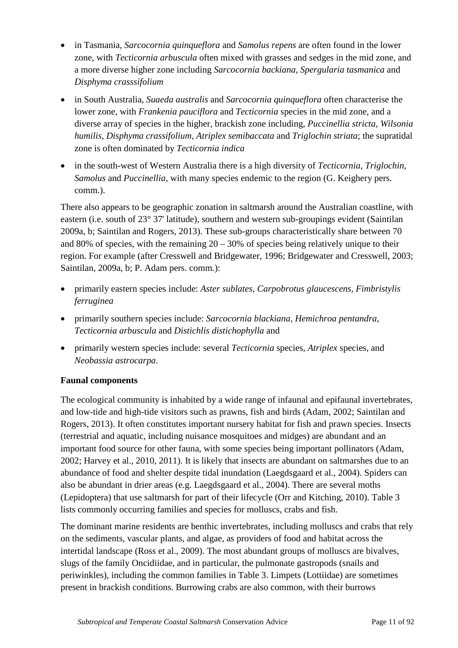- in Tasmania, *Sarcocornia quinqueflora* and *Samolus repens* are often found in the lower zone, with *Tecticornia arbuscula* often mixed with grasses and sedges in the mid zone, and a more diverse higher zone including *Sarcocornia backiana*, *Spergularia tasmanica* and *Disphyma crasssifolium*
- in South Australia, *Suaeda australis* and *Sarcocornia quinqueflora* often characterise the lower zone, with *Frankenia pauciflora* and *Tecticornia* species in the mid zone, and a diverse array of species in the higher, brackish zone including*, Puccinellia stricta, Wilsonia humilis, Disphyma crassifolium, Atriplex semibaccata* and *Triglochin striata*; the supratidal zone is often dominated by *Tecticornia indica*
- in the south-west of Western Australia there is a high diversity of *Tecticornia*, *Triglochin*, *Samolus* and *Puccinellia*, with many species endemic to the region (G. Keighery pers. comm.).

There also appears to be geographic zonation in saltmarsh around the Australian coastline, with eastern (i.e. south of 23° 37' latitude), southern and western sub-groupings evident (Saintilan 2009a, b; Saintilan and Rogers, 2013). These sub-groups characteristically share between 70 and 80% of species, with the remaining  $20 - 30%$  of species being relatively unique to their region. For example (after Cresswell and Bridgewater, 1996; Bridgewater and Cresswell, 2003; Saintilan, 2009a, b; P. Adam pers. comm.):

- primarily eastern species include: *Aster sublates, Carpobrotus glaucescens, Fimbristylis ferruginea*
- primarily southern species include: *Sarcocornia blackiana, Hemichroa pentandra*, *Tecticornia arbuscula* and *Distichlis distichophylla* and
- primarily western species include: several *Tecticornia* species, *Atriplex* species, and *Neobassia astrocarpa*.

# **Faunal components**

The ecological community is inhabited by a wide range of infaunal and epifaunal invertebrates, and low-tide and high-tide visitors such as prawns, fish and birds (Adam, 2002; Saintilan and Rogers, 2013). It often constitutes important nursery habitat for fish and prawn species. Insects (terrestrial and aquatic, including nuisance mosquitoes and midges) are abundant and an important food source for other fauna, with some species being important pollinators (Adam, 2002; Harvey et al., 2010, 2011). It is likely that insects are abundant on saltmarshes due to an abundance of food and shelter despite tidal inundation (Laegdsgaard et al., 2004). Spiders can also be abundant in drier areas (e.g. Laegdsgaard et al., 2004). There are several moths (Lepidoptera) that use saltmarsh for part of their lifecycle (Orr and Kitching, 2010). Table 3 lists commonly occurring families and species for molluscs, crabs and fish.

The dominant marine residents are benthic invertebrates, including molluscs and crabs that rely on the sediments, vascular plants, and algae, as providers of food and habitat across the intertidal landscape (Ross et al., 2009). The most abundant groups of molluscs are bivalves, slugs of the family Oncidiidae, and in particular, the pulmonate gastropods (snails and periwinkles), including the common families in Table 3. Limpets (Lottiidae) are sometimes present in brackish conditions. Burrowing crabs are also common, with their burrows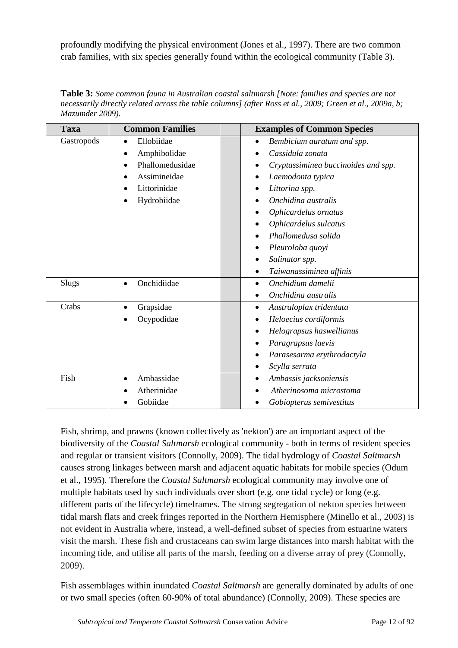profoundly modifying the physical environment (Jones et al., 1997). There are two common crab families, with six species generally found within the ecological community (Table 3).

**Table 3:** *Some common fauna in Australian coastal saltmarsh [Note: families and species are not necessarily directly related across the table columns] (after Ross et al., 2009; Green et al., 2009a, b; Mazumder 2009).*

| <b>Taxa</b> | <b>Common Families</b>   | <b>Examples of Common Species</b>       |
|-------------|--------------------------|-----------------------------------------|
| Gastropods  | Ellobiidae<br>$\bullet$  | Bembicium auratum and spp.<br>$\bullet$ |
|             | Amphibolidae             | Cassidula zonata                        |
|             | Phallomedusidae          | Cryptassiminea buccinoides and spp.     |
|             | Assimineidae             | Laemodonta typica                       |
|             | Littorinidae             | Littorina spp.                          |
|             | Hydrobiidae              | Onchidina australis                     |
|             |                          | Ophicardelus ornatus                    |
|             |                          | Ophicardelus sulcatus                   |
|             |                          | Phallomedusa solida                     |
|             |                          | Pleuroloba quoyi                        |
|             |                          | Salinator spp.                          |
|             |                          | Taiwanassiminea affinis<br>$\bullet$    |
| Slugs       | Onchidiidae<br>$\bullet$ | Onchidium damelii<br>$\bullet$          |
|             |                          | Onchidina australis                     |
| Crabs       | Grapsidae<br>$\bullet$   | Australoplax tridentata<br>$\bullet$    |
|             | Ocypodidae               | Heloecius cordiformis                   |
|             |                          | Helograpsus haswellianus                |
|             |                          | Paragrapsus laevis                      |
|             |                          | Parasesarma erythrodactyla              |
|             |                          | Scylla serrata<br>٠                     |
| Fish        | Ambassidae               | Ambassis jacksoniensis                  |
|             | Atherinidae              | Atherinosoma microstoma                 |
|             | Gobiidae                 | Gobiopterus semivestitus                |

Fish, shrimp, and prawns (known collectively as 'nekton') are an important aspect of the biodiversity of the *Coastal Saltmarsh* ecological community - both in terms of resident species and regular or transient visitors (Connolly, 2009). The tidal hydrology of *Coastal Saltmarsh* causes strong linkages between marsh and adjacent aquatic habitats for mobile species (Odum et al., 1995). Therefore the *Coastal Saltmarsh* ecological community may involve one of multiple habitats used by such individuals over short (e.g. one tidal cycle) or long (e.g. different parts of the lifecycle) timeframes. The strong segregation of nekton species between tidal marsh flats and creek fringes reported in the Northern Hemisphere (Minello et al., 2003) is not evident in Australia where, instead, a well-defined subset of species from estuarine waters visit the marsh. These fish and crustaceans can swim large distances into marsh habitat with the incoming tide, and utilise all parts of the marsh, feeding on a diverse array of prey (Connolly, 2009).

Fish assemblages within inundated *Coastal Saltmarsh* are generally dominated by adults of one or two small species (often 60-90% of total abundance) (Connolly, 2009). These species are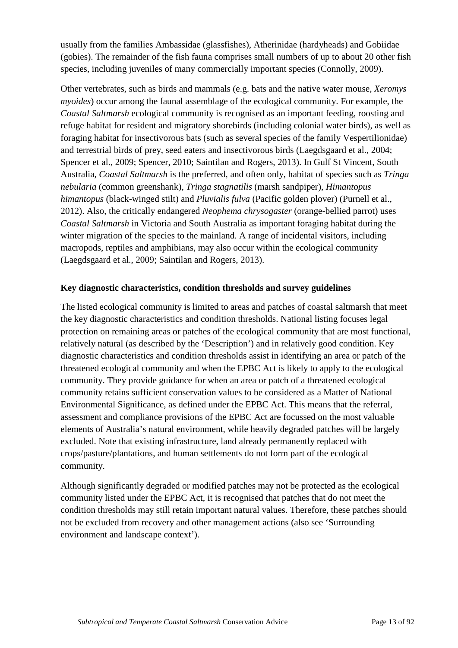usually from the families Ambassidae (glassfishes), Atherinidae (hardyheads) and Gobiidae (gobies). The remainder of the fish fauna comprises small numbers of up to about 20 other fish species, including juveniles of many commercially important species (Connolly, 2009).

Other vertebrates, such as birds and mammals (e.g. bats and the native water mouse, *Xeromys myoides*) occur among the faunal assemblage of the ecological community. For example, the *Coastal Saltmarsh* ecological community is recognised as an important feeding, roosting and refuge habitat for resident and migratory shorebirds (including colonial water birds), as well as foraging habitat for insectivorous bats (such as several species of the family Vespertilionidae) and terrestrial birds of prey, seed eaters and insectivorous birds (Laegdsgaard et al., 2004; Spencer et al., 2009; Spencer, 2010; Saintilan and Rogers, 2013). In Gulf St Vincent, South Australia, *Coastal Saltmarsh* is the preferred, and often only, habitat of species such as *Tringa nebularia* (common greenshank), *Tringa stagnatilis* (marsh sandpiper), *Himantopus himantopus* (black-winged stilt) and *Pluvialis fulva* (Pacific golden plover) (Purnell et al., 2012). Also, the critically endangered *Neophema chrysogaster* (orange-bellied parrot) uses *Coastal Saltmarsh* in Victoria and South Australia as important foraging habitat during the winter migration of the species to the mainland. A range of incidental visitors, including macropods, reptiles and amphibians, may also occur within the ecological community (Laegdsgaard et al., 2009; Saintilan and Rogers, 2013).

# **Key diagnostic characteristics, condition thresholds and survey guidelines**

The listed ecological community is limited to areas and patches of coastal saltmarsh that meet the key diagnostic characteristics and condition thresholds. National listing focuses legal protection on remaining areas or patches of the ecological community that are most functional, relatively natural (as described by the 'Description') and in relatively good condition. Key diagnostic characteristics and condition thresholds assist in identifying an area or patch of the threatened ecological community and when the EPBC Act is likely to apply to the ecological community. They provide guidance for when an area or patch of a threatened ecological community retains sufficient conservation values to be considered as a Matter of National Environmental Significance, as defined under the EPBC Act. This means that the referral, assessment and compliance provisions of the EPBC Act are focussed on the most valuable elements of Australia's natural environment, while heavily degraded patches will be largely excluded. Note that existing infrastructure, land already permanently replaced with crops/pasture/plantations, and human settlements do not form part of the ecological community.

Although significantly degraded or modified patches may not be protected as the ecological community listed under the EPBC Act, it is recognised that patches that do not meet the condition thresholds may still retain important natural values. Therefore, these patches should not be excluded from recovery and other management actions (also see 'Surrounding environment and landscape context').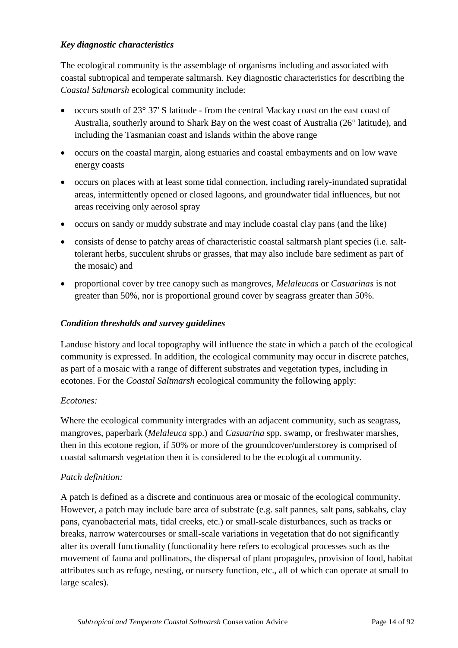## *Key diagnostic characteristics*

The ecological community is the assemblage of organisms including and associated with coastal subtropical and temperate saltmarsh. Key diagnostic characteristics for describing the *Coastal Saltmarsh* ecological community include:

- occurs south of 23° 37' S latitude from the central Mackay coast on the east coast of Australia, southerly around to Shark Bay on the west coast of Australia (26° latitude), and including the Tasmanian coast and islands within the above range
- occurs on the coastal margin, along estuaries and coastal embayments and on low wave energy coasts
- occurs on places with at least some tidal connection, including rarely-inundated supratidal areas, intermittently opened or closed lagoons, and groundwater tidal influences, but not areas receiving only aerosol spray
- occurs on sandy or muddy substrate and may include coastal clay pans (and the like)
- consists of dense to patchy areas of characteristic coastal saltmarsh plant species (i.e. salttolerant herbs, succulent shrubs or grasses, that may also include bare sediment as part of the mosaic) and
- proportional cover by tree canopy such as mangroves, *Melaleucas* or *Casuarinas* is not greater than 50%, nor is proportional ground cover by seagrass greater than 50%.

### *Condition thresholds and survey guidelines*

Landuse history and local topography will influence the state in which a patch of the ecological community is expressed. In addition, the ecological community may occur in discrete patches, as part of a mosaic with a range of different substrates and vegetation types, including in ecotones. For the *Coastal Saltmarsh* ecological community the following apply:

#### *Ecotones:*

Where the ecological community intergrades with an adjacent community, such as seagrass, mangroves, paperbark (*Melaleuca* spp.) and *Casuarina* spp. swamp, or freshwater marshes, then in this ecotone region, if 50% or more of the groundcover/understorey is comprised of coastal saltmarsh vegetation then it is considered to be the ecological community.

#### *Patch definition:*

A patch is defined as a discrete and continuous area or mosaic of the ecological community. However, a patch may include bare area of substrate (e.g. salt pannes, salt pans, sabkahs, clay pans, cyanobacterial mats, tidal creeks, etc.) or small-scale disturbances, such as tracks or breaks, narrow watercourses or small-scale variations in vegetation that do not significantly alter its overall functionality (functionality here refers to ecological processes such as the movement of fauna and pollinators, the dispersal of plant propagules, provision of food, habitat attributes such as refuge, nesting, or nursery function, etc., all of which can operate at small to large scales).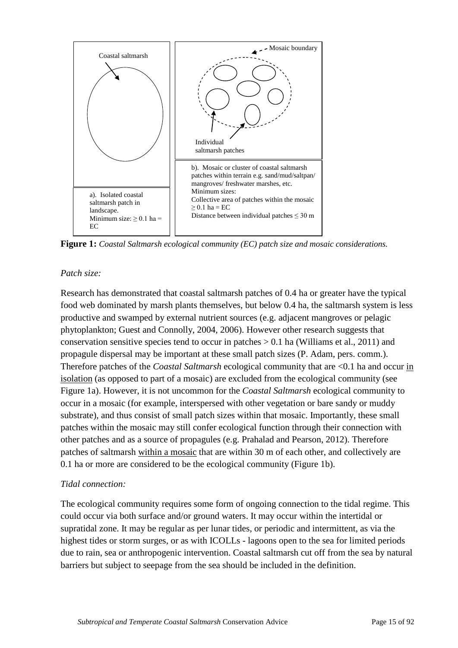

**Figure 1:** *Coastal Saltmarsh ecological community (EC) patch size and mosaic considerations.*

## *Patch size:*

Research has demonstrated that coastal saltmarsh patches of 0.4 ha or greater have the typical food web dominated by marsh plants themselves, but below 0.4 ha, the saltmarsh system is less productive and swamped by external nutrient sources (e.g. adjacent mangroves or pelagic phytoplankton; Guest and Connolly, 2004, 2006). However other research suggests that conservation sensitive species tend to occur in patches  $> 0.1$  ha (Williams et al., 2011) and propagule dispersal may be important at these small patch sizes (P. Adam, pers. comm.). Therefore patches of the *Coastal Saltmarsh* ecological community that are <0.1 ha and occur in isolation (as opposed to part of a mosaic) are excluded from the ecological community (see Figure 1a). However, it is not uncommon for the *Coastal Saltmarsh* ecological community to occur in a mosaic (for example, interspersed with other vegetation or bare sandy or muddy substrate), and thus consist of small patch sizes within that mosaic. Importantly, these small patches within the mosaic may still confer ecological function through their connection with other patches and as a source of propagules (e.g. Prahalad and Pearson, 2012). Therefore patches of saltmarsh within a mosaic that are within 30 m of each other, and collectively are 0.1 ha or more are considered to be the ecological community (Figure 1b).

# *Tidal connection:*

The ecological community requires some form of ongoing connection to the tidal regime. This could occur via both surface and/or ground waters. It may occur within the intertidal or supratidal zone. It may be regular as per lunar tides, or periodic and intermittent, as via the highest tides or storm surges, or as with ICOLLs - lagoons open to the sea for limited periods due to rain, sea or anthropogenic intervention. Coastal saltmarsh cut off from the sea by natural barriers but subject to seepage from the sea should be included in the definition.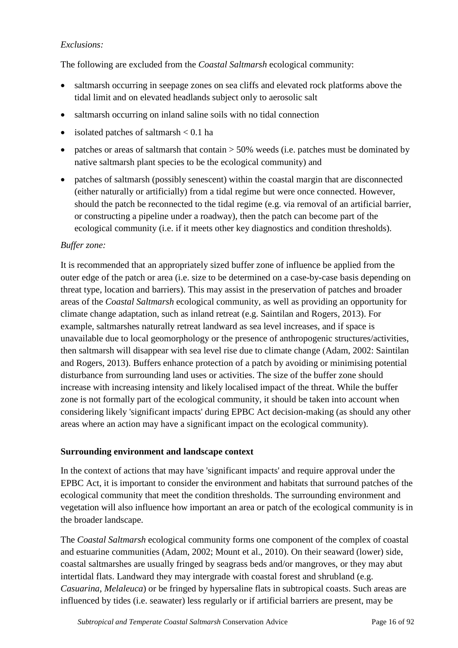## *Exclusions:*

The following are excluded from the *Coastal Saltmarsh* ecological community:

- saltmarsh occurring in seepage zones on sea cliffs and elevated rock platforms above the tidal limit and on elevated headlands subject only to aerosolic salt
- saltmarsh occurring on inland saline soils with no tidal connection
- isolated patches of saltmarsh  $< 0.1$  ha
- patches or areas of saltmarsh that contain  $>$  50% weeds (i.e. patches must be dominated by native saltmarsh plant species to be the ecological community) and
- patches of saltmarsh (possibly senescent) within the coastal margin that are disconnected (either naturally or artificially) from a tidal regime but were once connected. However, should the patch be reconnected to the tidal regime (e.g. via removal of an artificial barrier, or constructing a pipeline under a roadway), then the patch can become part of the ecological community (i.e. if it meets other key diagnostics and condition thresholds).

#### *Buffer zone:*

It is recommended that an appropriately sized buffer zone of influence be applied from the outer edge of the patch or area (i.e. size to be determined on a case-by-case basis depending on threat type, location and barriers). This may assist in the preservation of patches and broader areas of the *Coastal Saltmarsh* ecological community, as well as providing an opportunity for climate change adaptation, such as inland retreat (e.g. Saintilan and Rogers, 2013). For example, saltmarshes naturally retreat landward as sea level increases, and if space is unavailable due to local geomorphology or the presence of anthropogenic structures/activities, then saltmarsh will disappear with sea level rise due to climate change (Adam, 2002: Saintilan and Rogers, 2013). Buffers enhance protection of a patch by avoiding or minimising potential disturbance from surrounding land uses or activities. The size of the buffer zone should increase with increasing intensity and likely localised impact of the threat. While the buffer zone is not formally part of the ecological community, it should be taken into account when considering likely 'significant impacts' during EPBC Act decision-making (as should any other areas where an action may have a significant impact on the ecological community).

#### **Surrounding environment and landscape context**

In the context of actions that may have 'significant impacts' and require approval under the EPBC Act, it is important to consider the environment and habitats that surround patches of the ecological community that meet the condition thresholds. The surrounding environment and vegetation will also influence how important an area or patch of the ecological community is in the broader landscape.

The *Coastal Saltmarsh* ecological community forms one component of the complex of coastal and estuarine communities (Adam, 2002; Mount et al., 2010). On their seaward (lower) side, coastal saltmarshes are usually fringed by seagrass beds and/or mangroves, or they may abut intertidal flats. Landward they may intergrade with coastal forest and shrubland (e.g. *Casuarina*, *Melaleuca*) or be fringed by hypersaline flats in subtropical coasts. Such areas are influenced by tides (i.e. seawater) less regularly or if artificial barriers are present, may be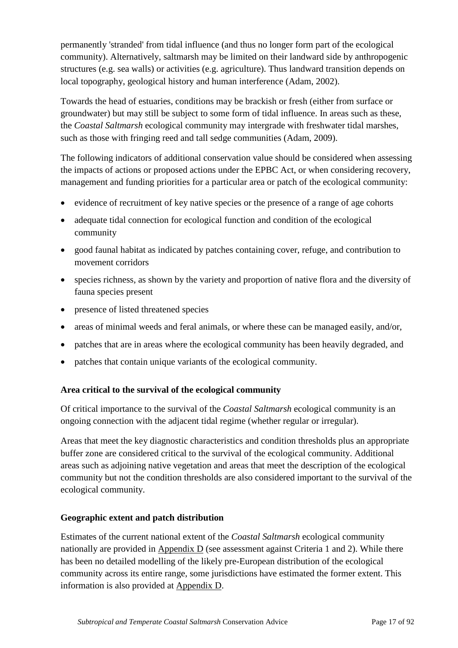permanently 'stranded' from tidal influence (and thus no longer form part of the ecological community). Alternatively, saltmarsh may be limited on their landward side by anthropogenic structures (e.g. sea walls) or activities (e.g. agriculture). Thus landward transition depends on local topography, geological history and human interference (Adam, 2002).

Towards the head of estuaries, conditions may be brackish or fresh (either from surface or groundwater) but may still be subject to some form of tidal influence. In areas such as these, the *Coastal Saltmarsh* ecological community may intergrade with freshwater tidal marshes, such as those with fringing reed and tall sedge communities (Adam, 2009).

The following indicators of additional conservation value should be considered when assessing the impacts of actions or proposed actions under the EPBC Act, or when considering recovery, management and funding priorities for a particular area or patch of the ecological community:

- evidence of recruitment of key native species or the presence of a range of age cohorts
- adequate tidal connection for ecological function and condition of the ecological community
- good faunal habitat as indicated by patches containing cover, refuge, and contribution to movement corridors
- species richness, as shown by the variety and proportion of native flora and the diversity of fauna species present
- presence of listed threatened species
- areas of minimal weeds and feral animals, or where these can be managed easily, and/or,
- patches that are in areas where the ecological community has been heavily degraded, and
- patches that contain unique variants of the ecological community.

# **Area critical to the survival of the ecological community**

Of critical importance to the survival of the *Coastal Saltmarsh* ecological community is an ongoing connection with the adjacent tidal regime (whether regular or irregular).

Areas that meet the key diagnostic characteristics and condition thresholds plus an appropriate buffer zone are considered critical to the survival of the ecological community. Additional areas such as adjoining native vegetation and areas that meet the description of the ecological community but not the condition thresholds are also considered important to the survival of the ecological community.

# **Geographic extent and patch distribution**

Estimates of the current national extent of the *Coastal Saltmarsh* ecological community nationally are provided in Appendix D (see assessment against Criteria 1 and 2). While there has been no detailed modelling of the likely pre-European distribution of the ecological community across its entire range, some jurisdictions have estimated the former extent. This information is also provided at Appendix D.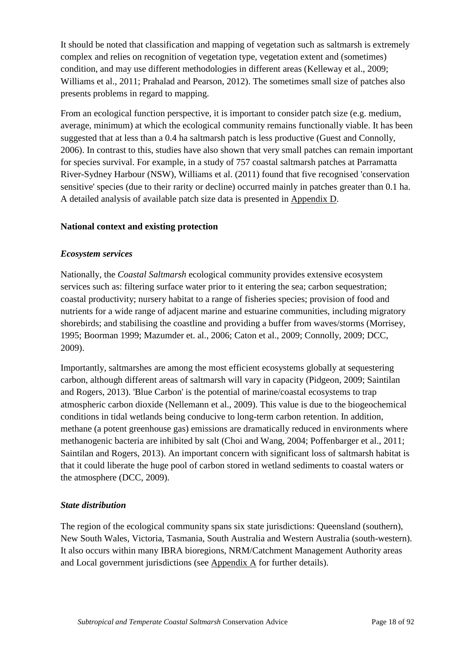It should be noted that classification and mapping of vegetation such as saltmarsh is extremely complex and relies on recognition of vegetation type, vegetation extent and (sometimes) condition, and may use different methodologies in different areas (Kelleway et al., 2009; Williams et al., 2011; Prahalad and Pearson, 2012). The sometimes small size of patches also presents problems in regard to mapping.

From an ecological function perspective, it is important to consider patch size (e.g. medium, average, minimum) at which the ecological community remains functionally viable. It has been suggested that at less than a 0.4 ha saltmarsh patch is less productive (Guest and Connolly, 2006). In contrast to this, studies have also shown that very small patches can remain important for species survival. For example, in a study of 757 coastal saltmarsh patches at Parramatta River-Sydney Harbour (NSW), Williams et al. (2011) found that five recognised 'conservation sensitive' species (due to their rarity or decline) occurred mainly in patches greater than 0.1 ha. A detailed analysis of available patch size data is presented in **Appendix D**.

#### **National context and existing protection**

## *Ecosystem services*

Nationally, the *Coastal Saltmarsh* ecological community provides extensive ecosystem services such as: filtering surface water prior to it entering the sea; carbon sequestration; coastal productivity; nursery habitat to a range of fisheries species; provision of food and nutrients for a wide range of adjacent marine and estuarine communities, including migratory shorebirds; and stabilising the coastline and providing a buffer from waves/storms (Morrisey, 1995; Boorman 1999; Mazumder et. al., 2006; Caton et al., 2009; Connolly, 2009; DCC, 2009).

Importantly, saltmarshes are among the most efficient ecosystems globally at sequestering carbon, although different areas of saltmarsh will vary in capacity (Pidgeon, 2009; Saintilan and Rogers, 2013). 'Blue Carbon' is the potential of marine/coastal ecosystems to trap atmospheric carbon dioxide (Nellemann et al., 2009). This value is due to the biogeochemical conditions in tidal wetlands being conducive to long-term carbon retention. In addition, methane (a potent greenhouse gas) emissions are dramatically reduced in environments where methanogenic bacteria are inhibited by salt (Choi and Wang, 2004; Poffenbarger et al., 2011; Saintilan and Rogers, 2013). An important concern with significant loss of saltmarsh habitat is that it could liberate the huge pool of carbon stored in wetland sediments to coastal waters or the atmosphere (DCC, 2009).

#### *State distribution*

The region of the ecological community spans six state jurisdictions: Queensland (southern), New South Wales, Victoria, Tasmania, South Australia and Western Australia (south-western). It also occurs within many IBRA bioregions, NRM/Catchment Management Authority areas and Local government jurisdictions (see Appendix A for further details).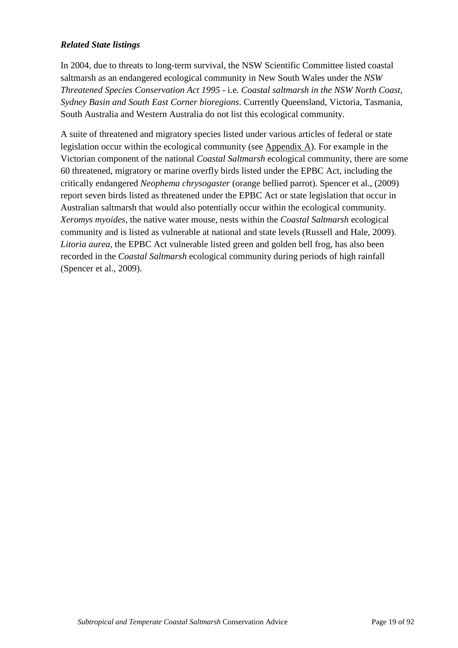## *Related State listings*

In 2004, due to threats to long-term survival, the NSW Scientific Committee listed coastal saltmarsh as an endangered ecological community in New South Wales under the *NSW Threatened Species Conservation Act 1995* - i.e. *Coastal saltmarsh in the NSW North Coast, Sydney Basin and South East Corner bioregions*. Currently Queensland, Victoria, Tasmania, South Australia and Western Australia do not list this ecological community.

A suite of threatened and migratory species listed under various articles of federal or state legislation occur within the ecological community (see Appendix A). For example in the Victorian component of the national *Coastal Saltmarsh* ecological community, there are some 60 threatened, migratory or marine overfly birds listed under the EPBC Act, including the critically endangered *Neophema chrysogaster* (orange bellied parrot). Spencer et al., (2009) report seven birds listed as threatened under the EPBC Act or state legislation that occur in Australian saltmarsh that would also potentially occur within the ecological community. *Xeromys myoides*, the native water mouse, nests within the *Coastal Saltmarsh* ecological community and is listed as vulnerable at national and state levels (Russell and Hale, 2009). *Litoria aurea*, the EPBC Act vulnerable listed green and golden bell frog, has also been recorded in the *Coastal Saltmarsh* ecological community during periods of high rainfall (Spencer et al., 2009).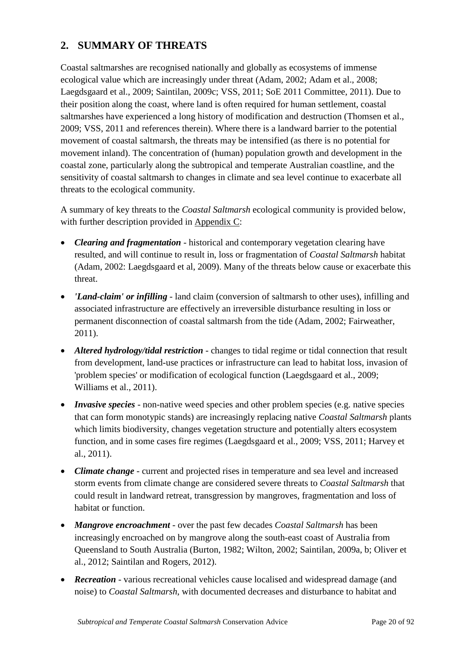# **2. SUMMARY OF THREATS**

Coastal saltmarshes are recognised nationally and globally as ecosystems of immense ecological value which are increasingly under threat (Adam, 2002; Adam et al., 2008; Laegdsgaard et al., 2009; Saintilan, 2009c; VSS, 2011; SoE 2011 Committee, 2011). Due to their position along the coast, where land is often required for human settlement, coastal saltmarshes have experienced a long history of modification and destruction (Thomsen et al., 2009; VSS, 2011 and references therein). Where there is a landward barrier to the potential movement of coastal saltmarsh, the threats may be intensified (as there is no potential for movement inland). The concentration of (human) population growth and development in the coastal zone, particularly along the subtropical and temperate Australian coastline, and the sensitivity of coastal saltmarsh to changes in climate and sea level continue to exacerbate all threats to the ecological community.

A summary of key threats to the *Coastal Saltmarsh* ecological community is provided below, with further description provided in Appendix C:

- *Clearing and fragmentation* historical and contemporary vegetation clearing have resulted, and will continue to result in, loss or fragmentation of *Coastal Saltmarsh* habitat (Adam, 2002: Laegdsgaard et al, 2009). Many of the threats below cause or exacerbate this threat.
- *'Land-claim' or infilling* land claim (conversion of saltmarsh to other uses), infilling and associated infrastructure are effectively an irreversible disturbance resulting in loss or permanent disconnection of coastal saltmarsh from the tide (Adam, 2002; Fairweather, 2011).
- *Altered hydrology/tidal restriction* changes to tidal regime or tidal connection that result from development, land-use practices or infrastructure can lead to habitat loss, invasion of 'problem species' or modification of ecological function (Laegdsgaard et al., 2009; Williams et al., 2011).
- *Invasive species* non-native weed species and other problem species (e.g. native species that can form monotypic stands) are increasingly replacing native *Coastal Saltmarsh* plants which limits biodiversity, changes vegetation structure and potentially alters ecosystem function, and in some cases fire regimes (Laegdsgaard et al., 2009; VSS, 2011; Harvey et al., 2011).
- *Climate change* current and projected rises in temperature and sea level and increased storm events from climate change are considered severe threats to *Coastal Saltmarsh* that could result in landward retreat, transgression by mangroves, fragmentation and loss of habitat or function.
- *Mangrove encroachment* over the past few decades *Coastal Saltmarsh* has been increasingly encroached on by mangrove along the south-east coast of Australia from Queensland to South Australia (Burton, 1982; Wilton, 2002; Saintilan, 2009a, b; Oliver et al., 2012; Saintilan and Rogers, 2012).
- *Recreation* various recreational vehicles cause localised and widespread damage (and noise) to *Coastal Saltmarsh*, with documented decreases and disturbance to habitat and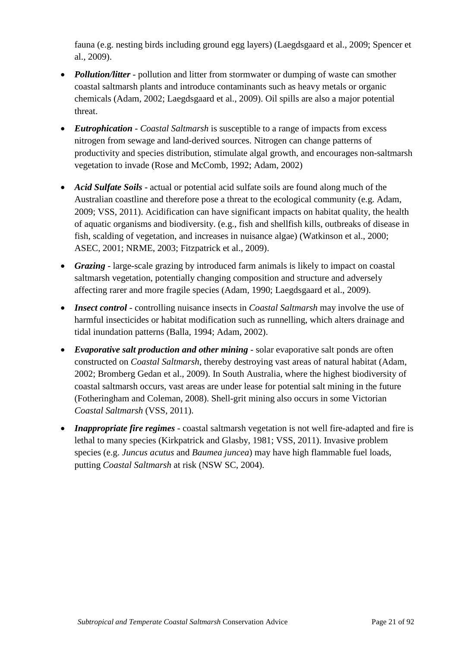fauna (e.g. nesting birds including ground egg layers) (Laegdsgaard et al., 2009; Spencer et al., 2009).

- *Pollution/litter* pollution and litter from stormwater or dumping of waste can smother coastal saltmarsh plants and introduce contaminants such as heavy metals or organic chemicals (Adam, 2002; Laegdsgaard et al., 2009). Oil spills are also a major potential threat.
- *Eutrophication Coastal Saltmarsh* is susceptible to a range of impacts from excess nitrogen from sewage and land-derived sources. Nitrogen can change patterns of productivity and species distribution, stimulate algal growth, and encourages non-saltmarsh vegetation to invade (Rose and McComb, 1992; Adam, 2002)
- *Acid Sulfate Soils* actual or potential acid sulfate soils are found along much of the Australian coastline and therefore pose a threat to the ecological community (e.g. Adam, 2009; VSS, 2011). Acidification can have significant impacts on habitat quality, the health of aquatic organisms and biodiversity. (e.g., fish and shellfish kills, outbreaks of disease in fish, scalding of vegetation, and increases in nuisance algae) (Watkinson et al., 2000; ASEC, 2001; NRME, 2003; Fitzpatrick et al., 2009).
- *Grazing* large-scale grazing by introduced farm animals is likely to impact on coastal saltmarsh vegetation, potentially changing composition and structure and adversely affecting rarer and more fragile species (Adam, 1990; Laegdsgaard et al., 2009).
- *Insect control* controlling nuisance insects in *Coastal Saltmarsh* may involve the use of harmful insecticides or habitat modification such as runnelling, which alters drainage and tidal inundation patterns (Balla, 1994; Adam, 2002).
- *Evaporative salt production and other mining* solar evaporative salt ponds are often constructed on *Coastal Saltmarsh*, thereby destroying vast areas of natural habitat (Adam, 2002; Bromberg Gedan et al., 2009). In South Australia, where the highest biodiversity of coastal saltmarsh occurs, vast areas are under lease for potential salt mining in the future (Fotheringham and Coleman, 2008). Shell-grit mining also occurs in some Victorian *Coastal Saltmarsh* (VSS, 2011).
- *Inappropriate fire regimes* coastal saltmarsh vegetation is not well fire-adapted and fire is lethal to many species (Kirkpatrick and Glasby, 1981; VSS, 2011). Invasive problem species (e.g. *Juncus acutus* and *Baumea juncea*) may have high flammable fuel loads, putting *Coastal Saltmarsh* at risk (NSW SC, 2004).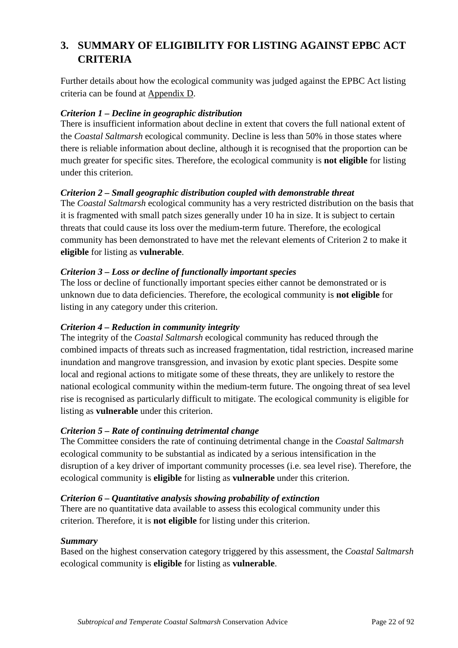# **3. SUMMARY OF ELIGIBILITY FOR LISTING AGAINST EPBC ACT CRITERIA**

Further details about how the ecological community was judged against the EPBC Act listing criteria can be found at **Appendix D**.

## *Criterion 1 – Decline in geographic distribution*

There is insufficient information about decline in extent that covers the full national extent of the *Coastal Saltmarsh* ecological community. Decline is less than 50% in those states where there is reliable information about decline, although it is recognised that the proportion can be much greater for specific sites. Therefore, the ecological community is **not eligible** for listing under this criterion.

## *Criterion 2 – Small geographic distribution coupled with demonstrable threat*

The *Coastal Saltmarsh* ecological community has a very restricted distribution on the basis that it is fragmented with small patch sizes generally under 10 ha in size. It is subject to certain threats that could cause its loss over the medium-term future. Therefore, the ecological community has been demonstrated to have met the relevant elements of Criterion 2 to make it **eligible** for listing as **vulnerable**.

## *Criterion 3 – Loss or decline of functionally important species*

The loss or decline of functionally important species either cannot be demonstrated or is unknown due to data deficiencies. Therefore, the ecological community is **not eligible** for listing in any category under this criterion.

#### *Criterion 4 – Reduction in community integrity*

The integrity of the *Coastal Saltmarsh* ecological community has reduced through the combined impacts of threats such as increased fragmentation, tidal restriction, increased marine inundation and mangrove transgression, and invasion by exotic plant species. Despite some local and regional actions to mitigate some of these threats, they are unlikely to restore the national ecological community within the medium-term future. The ongoing threat of sea level rise is recognised as particularly difficult to mitigate. The ecological community is eligible for listing as **vulnerable** under this criterion.

#### *Criterion 5 – Rate of continuing detrimental change*

The Committee considers the rate of continuing detrimental change in the *Coastal Saltmarsh* ecological community to be substantial as indicated by a serious intensification in the disruption of a key driver of important community processes (i.e. sea level rise). Therefore, the ecological community is **eligible** for listing as **vulnerable** under this criterion.

#### *Criterion 6 – Quantitative analysis showing probability of extinction*

There are no quantitative data available to assess this ecological community under this criterion. Therefore, it is **not eligible** for listing under this criterion.

#### *Summary*

Based on the highest conservation category triggered by this assessment, the *Coastal Saltmarsh* ecological community is **eligible** for listing as **vulnerable**.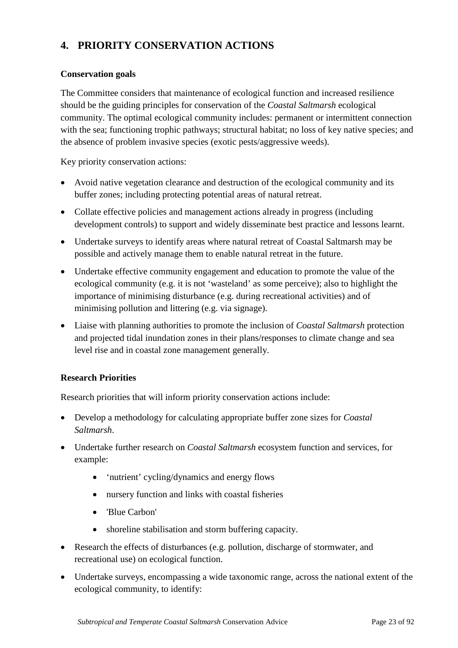# **4. PRIORITY CONSERVATION ACTIONS**

#### **Conservation goals**

The Committee considers that maintenance of ecological function and increased resilience should be the guiding principles for conservation of the *Coastal Saltmarsh* ecological community. The optimal ecological community includes: permanent or intermittent connection with the sea; functioning trophic pathways; structural habitat; no loss of key native species; and the absence of problem invasive species (exotic pests/aggressive weeds).

Key priority conservation actions:

- Avoid native vegetation clearance and destruction of the ecological community and its buffer zones; including protecting potential areas of natural retreat.
- Collate effective policies and management actions already in progress (including development controls) to support and widely disseminate best practice and lessons learnt.
- Undertake surveys to identify areas where natural retreat of Coastal Saltmarsh may be possible and actively manage them to enable natural retreat in the future.
- Undertake effective community engagement and education to promote the value of the ecological community (e.g. it is not 'wasteland' as some perceive); also to highlight the importance of minimising disturbance (e.g. during recreational activities) and of minimising pollution and littering (e.g. via signage).
- Liaise with planning authorities to promote the inclusion of *Coastal Saltmarsh* protection and projected tidal inundation zones in their plans/responses to climate change and sea level rise and in coastal zone management generally.

#### **Research Priorities**

Research priorities that will inform priority conservation actions include:

- Develop a methodology for calculating appropriate buffer zone sizes for *Coastal Saltmarsh*.
- Undertake further research on *Coastal Saltmarsh* ecosystem function and services, for example:
	- 'nutrient' cycling/dynamics and energy flows
	- nursery function and links with coastal fisheries
	- 'Blue Carbon'
	- shoreline stabilisation and storm buffering capacity.
- Research the effects of disturbances (e.g. pollution, discharge of stormwater, and recreational use) on ecological function.
- Undertake surveys, encompassing a wide taxonomic range, across the national extent of the ecological community, to identify: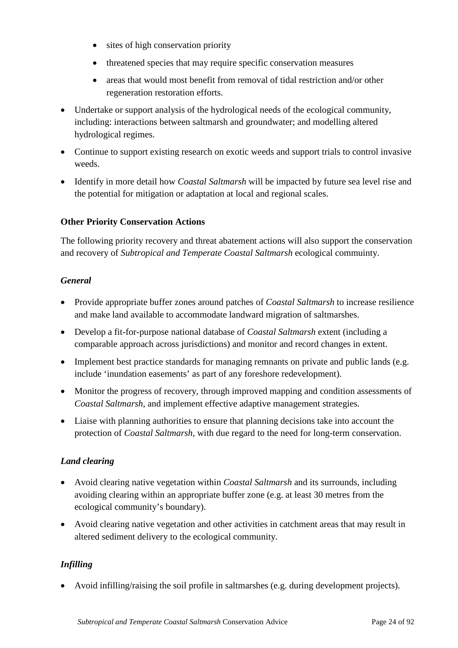- sites of high conservation priority
- threatened species that may require specific conservation measures
- areas that would most benefit from removal of tidal restriction and/or other regeneration restoration efforts.
- Undertake or support analysis of the hydrological needs of the ecological community, including: interactions between saltmarsh and groundwater; and modelling altered hydrological regimes.
- Continue to support existing research on exotic weeds and support trials to control invasive weeds.
- Identify in more detail how *Coastal Saltmarsh* will be impacted by future sea level rise and the potential for mitigation or adaptation at local and regional scales.

## **Other Priority Conservation Actions**

The following priority recovery and threat abatement actions will also support the conservation and recovery of *Subtropical and Temperate Coastal Saltmarsh* ecological commuinty.

#### *General*

- Provide appropriate buffer zones around patches of *Coastal Saltmarsh* to increase resilience and make land available to accommodate landward migration of saltmarshes.
- Develop a fit-for-purpose national database of *Coastal Saltmarsh* extent (including a comparable approach across jurisdictions) and monitor and record changes in extent.
- Implement best practice standards for managing remnants on private and public lands (e.g. include 'inundation easements' as part of any foreshore redevelopment).
- Monitor the progress of recovery, through improved mapping and condition assessments of *Coastal Saltmarsh*, and implement effective adaptive management strategies*.*
- Liaise with planning authorities to ensure that planning decisions take into account the protection of *Coastal Saltmarsh*, with due regard to the need for long-term conservation.

# *Land clearing*

- Avoid clearing native vegetation within *Coastal Saltmarsh* and its surrounds, including avoiding clearing within an appropriate buffer zone (e.g. at least 30 metres from the ecological community's boundary).
- Avoid clearing native vegetation and other activities in catchment areas that may result in altered sediment delivery to the ecological community.

# *Infilling*

• Avoid infilling/raising the soil profile in saltmarshes (e.g. during development projects).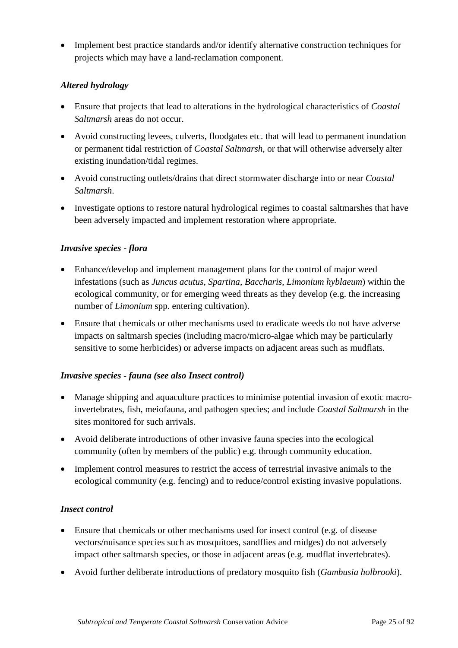• Implement best practice standards and/or identify alternative construction techniques for projects which may have a land-reclamation component.

## *Altered hydrology*

- Ensure that projects that lead to alterations in the hydrological characteristics of *Coastal Saltmarsh* areas do not occur.
- Avoid constructing levees, culverts, floodgates etc. that will lead to permanent inundation or permanent tidal restriction of *Coastal Saltmarsh*, or that will otherwise adversely alter existing inundation/tidal regimes.
- Avoid constructing outlets/drains that direct stormwater discharge into or near *Coastal Saltmarsh*.
- Investigate options to restore natural hydrological regimes to coastal saltmarshes that have been adversely impacted and implement restoration where appropriate.

#### *Invasive species - flora*

- Enhance/develop and implement management plans for the control of major weed infestations (such as *Juncus acutus*, *Spartina, Baccharis*, *Limonium hyblaeum*) within the ecological community, or for emerging weed threats as they develop (e.g. the increasing number of *Limonium* spp. entering cultivation).
- Ensure that chemicals or other mechanisms used to eradicate weeds do not have adverse impacts on saltmarsh species (including macro/micro-algae which may be particularly sensitive to some herbicides) or adverse impacts on adjacent areas such as mudflats.

#### *Invasive species - fauna (see also Insect control)*

- Manage shipping and aquaculture practices to minimise potential invasion of exotic macroinvertebrates, fish, meiofauna, and pathogen species; and include *Coastal Saltmarsh* in the sites monitored for such arrivals.
- Avoid deliberate introductions of other invasive fauna species into the ecological community (often by members of the public) e.g. through community education.
- Implement control measures to restrict the access of terrestrial invasive animals to the ecological community (e.g. fencing) and to reduce/control existing invasive populations.

# *Insect control*

- Ensure that chemicals or other mechanisms used for insect control (e.g. of disease vectors/nuisance species such as mosquitoes, sandflies and midges) do not adversely impact other saltmarsh species, or those in adjacent areas (e.g. mudflat invertebrates).
- Avoid further deliberate introductions of predatory mosquito fish (*Gambusia holbrooki*).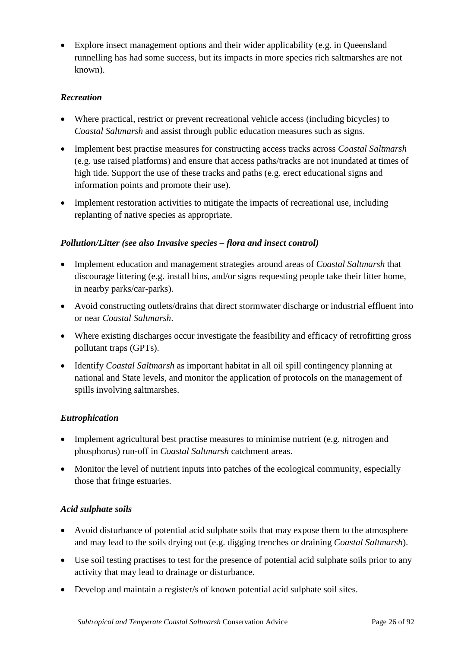• Explore insect management options and their wider applicability (e.g. in Queensland runnelling has had some success, but its impacts in more species rich saltmarshes are not known).

# *Recreation*

- Where practical, restrict or prevent recreational vehicle access (including bicycles) to *Coastal Saltmarsh* and assist through public education measures such as signs.
- Implement best practise measures for constructing access tracks across *Coastal Saltmarsh* (e.g. use raised platforms) and ensure that access paths/tracks are not inundated at times of high tide. Support the use of these tracks and paths (e.g. erect educational signs and information points and promote their use).
- Implement restoration activities to mitigate the impacts of recreational use, including replanting of native species as appropriate.

# *Pollution/Litter (see also Invasive species – flora and insect control)*

- Implement education and management strategies around areas of *Coastal Saltmarsh* that discourage littering (e.g. install bins, and/or signs requesting people take their litter home, in nearby parks/car-parks).
- Avoid constructing outlets/drains that direct stormwater discharge or industrial effluent into or near *Coastal Saltmarsh*.
- Where existing discharges occur investigate the feasibility and efficacy of retrofitting gross pollutant traps (GPTs).
- Identify *Coastal Saltmarsh* as important habitat in all oil spill contingency planning at national and State levels, and monitor the application of protocols on the management of spills involving saltmarshes.

# *Eutrophication*

- Implement agricultural best practise measures to minimise nutrient (e.g. nitrogen and phosphorus) run-off in *Coastal Saltmarsh* catchment areas.
- Monitor the level of nutrient inputs into patches of the ecological community, especially those that fringe estuaries.

# *Acid sulphate soils*

- Avoid disturbance of potential acid sulphate soils that may expose them to the atmosphere and may lead to the soils drying out (e.g. digging trenches or draining *Coastal Saltmarsh*).
- Use soil testing practises to test for the presence of potential acid sulphate soils prior to any activity that may lead to drainage or disturbance.
- Develop and maintain a register/s of known potential acid sulphate soil sites.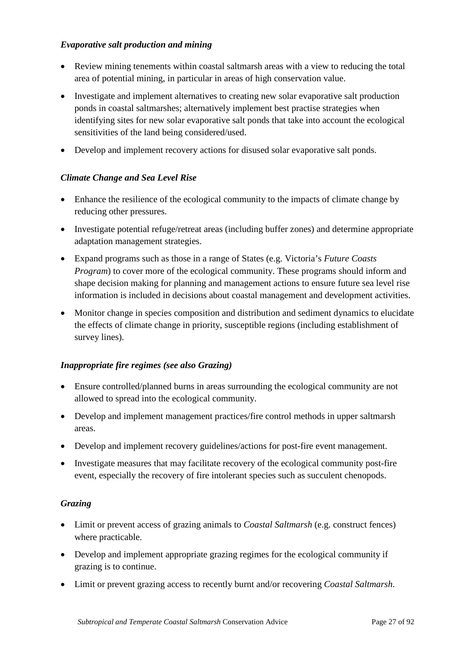## *Evaporative salt production and mining*

- Review mining tenements within coastal saltmarsh areas with a view to reducing the total area of potential mining, in particular in areas of high conservation value.
- Investigate and implement alternatives to creating new solar evaporative salt production ponds in coastal saltmarshes; alternatively implement best practise strategies when identifying sites for new solar evaporative salt ponds that take into account the ecological sensitivities of the land being considered/used.
- Develop and implement recovery actions for disused solar evaporative salt ponds.

## *Climate Change and Sea Level Rise*

- Enhance the resilience of the ecological community to the impacts of climate change by reducing other pressures.
- Investigate potential refuge/retreat areas (including buffer zones) and determine appropriate adaptation management strategies.
- Expand programs such as those in a range of States (e.g. Victoria's *Future Coasts Program*) to cover more of the ecological community. These programs should inform and shape decision making for planning and management actions to ensure future sea level rise information is included in decisions about coastal management and development activities.
- Monitor change in species composition and distribution and sediment dynamics to elucidate the effects of climate change in priority, susceptible regions (including establishment of survey lines).

#### *Inappropriate fire regimes (see also Grazing)*

- Ensure controlled/planned burns in areas surrounding the ecological community are not allowed to spread into the ecological community.
- Develop and implement management practices/fire control methods in upper saltmarsh areas.
- Develop and implement recovery guidelines/actions for post-fire event management.
- Investigate measures that may facilitate recovery of the ecological community post-fire event, especially the recovery of fire intolerant species such as succulent chenopods.

#### *Grazing*

- Limit or prevent access of grazing animals to *Coastal Saltmarsh* (e.g. construct fences) where practicable.
- Develop and implement appropriate grazing regimes for the ecological community if grazing is to continue.
- Limit or prevent grazing access to recently burnt and/or recovering *Coastal Saltmarsh*.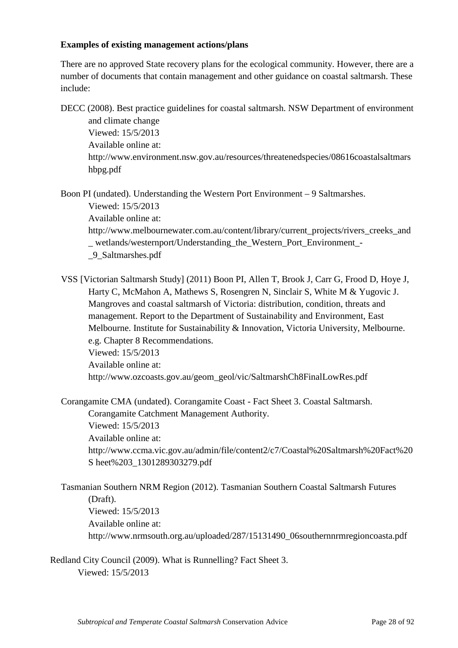### **Examples of existing management actions/plans**

There are no approved State recovery plans for the ecological community. However, there are a number of documents that contain management and other guidance on coastal saltmarsh. These include:

DECC (2008). Best practice guidelines for coastal saltmarsh. NSW Department of environment

and climate change Viewed: 15/5/2013 Available online at: [http://www.environment.nsw.gov.au/resources/threatenedspecies/08616coastalsaltmars](http://www.environment.nsw.gov.au/resources/threatenedspecies/08616coastalsaltmarshbpg.pdf) [hbpg.pdf](http://www.environment.nsw.gov.au/resources/threatenedspecies/08616coastalsaltmarshbpg.pdf)

Boon PI (undated). Understanding the Western Port Environment – 9 Saltmarshes. Viewed: 15/5/2013

Available online at:

[http://www.melbournewater.com.au/content/library/current\\_projects/rivers\\_creeks\\_and](http://www.melbournewater.com.au/content/library/current_projects/rivers_creeks_and_wetlands/westernport/Understanding_the_Western_Port_Environment_-_9_Saltmarshes.pdf) \_ [wetlands/westernport/Understanding\\_the\\_Western\\_Port\\_Environment\\_-](http://www.melbournewater.com.au/content/library/current_projects/rivers_creeks_and_wetlands/westernport/Understanding_the_Western_Port_Environment_-_9_Saltmarshes.pdf)

[\\_9\\_Saltmarshes.pdf](http://www.melbournewater.com.au/content/library/current_projects/rivers_creeks_and_wetlands/westernport/Understanding_the_Western_Port_Environment_-_9_Saltmarshes.pdf)

VSS [Victorian Saltmarsh Study] (2011) Boon PI, Allen T, Brook J, Carr G, Frood D, Hoye J, Harty C, McMahon A, Mathews S, Rosengren N, Sinclair S, White M & Yugovic J. Mangroves and coastal saltmarsh of Victoria: distribution, condition, threats and management. Report to the Department of Sustainability and Environment, East Melbourne. Institute for Sustainability & Innovation, Victoria University, Melbourne. e.g. Chapter 8 Recommendations. Viewed: 15/5/2013 Available online at:

[http://www.ozcoasts.gov.au/geom\\_geol/vic/SaltmarshCh8FinalLowRes.pdf](http://www.ozcoasts.gov.au/geom_geol/vic/SaltmarshCh8FinalLowRes.pdf)

Corangamite CMA (undated). Corangamite Coast - Fact Sheet 3. Coastal Saltmarsh.

Corangamite Catchment Management Authority.

Viewed: 15/5/2013

Available online at:

[http://www.ccma.vic.gov.au/admin/file/content2/c7/Coastal%20Saltmarsh%20Fact%20](http://www.ccma.vic.gov.au/admin/file/content2/c7/Coastal%20Saltmarsh%20Fact%20Sheet%203_1301289303279.pdf) S [heet%203\\_1301289303279.pdf](http://www.ccma.vic.gov.au/admin/file/content2/c7/Coastal%20Saltmarsh%20Fact%20Sheet%203_1301289303279.pdf)

Tasmanian Southern NRM Region (2012). Tasmanian Southern Coastal Saltmarsh Futures (Draft). Viewed: 15/5/2013 Available online at: [http://www.nrmsouth.org.au/uploaded/287/15131490\\_06southernnrmregioncoasta.pdf](http://www.nrmsouth.org.au/uploaded/287/15131490_06southernnrmregioncoasta.pdf)

Redland City Council (2009). What is Runnelling? Fact Sheet 3. Viewed: 15/5/2013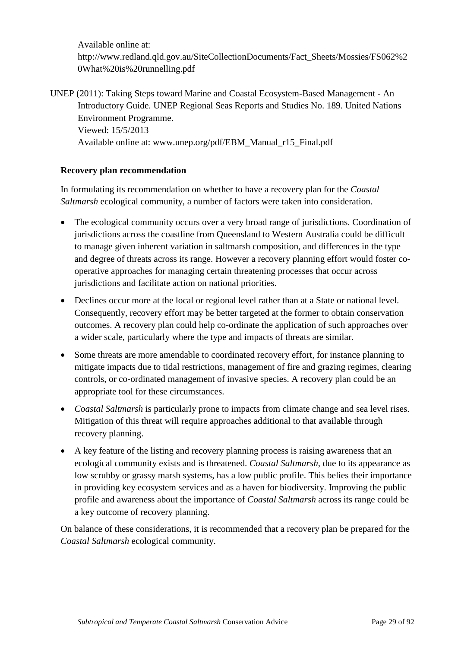Available online at: [http://www.redland.qld.gov.au/SiteCollectionDocuments/Fact\\_Sheets/Mossies/FS062%2](http://www.redland.qld.gov.au/SiteCollectionDocuments/Fact_Sheets/Mossies/FS062%20What%20is%20runnelling.pdf) [0What%20is%20runnelling.pdf](http://www.redland.qld.gov.au/SiteCollectionDocuments/Fact_Sheets/Mossies/FS062%20What%20is%20runnelling.pdf)

UNEP (2011): Taking Steps toward Marine and Coastal Ecosystem-Based Management - An Introductory Guide. UNEP Regional Seas Reports and Studies No. 189. United Nations Environment Programme. Viewed: 15/5/2013 Available online at: [www.unep.org/pdf/EBM\\_Manual\\_r15\\_Final.pdf](http://www.unep.org/pdf/EBM_Manual_r15_Final.pdf)

#### **Recovery plan recommendation**

In formulating its recommendation on whether to have a recovery plan for the *Coastal Saltmarsh* ecological community, a number of factors were taken into consideration.

- The ecological community occurs over a very broad range of jurisdictions. Coordination of jurisdictions across the coastline from Queensland to Western Australia could be difficult to manage given inherent variation in saltmarsh composition, and differences in the type and degree of threats across its range. However a recovery planning effort would foster cooperative approaches for managing certain threatening processes that occur across jurisdictions and facilitate action on national priorities.
- Declines occur more at the local or regional level rather than at a State or national level. Consequently, recovery effort may be better targeted at the former to obtain conservation outcomes. A recovery plan could help co-ordinate the application of such approaches over a wider scale, particularly where the type and impacts of threats are similar.
- Some threats are more amendable to coordinated recovery effort, for instance planning to mitigate impacts due to tidal restrictions, management of fire and grazing regimes, clearing controls, or co-ordinated management of invasive species. A recovery plan could be an appropriate tool for these circumstances.
- *Coastal Saltmarsh* is particularly prone to impacts from climate change and sea level rises. Mitigation of this threat will require approaches additional to that available through recovery planning.
- A key feature of the listing and recovery planning process is raising awareness that an ecological community exists and is threatened. *Coastal Saltmarsh*, due to its appearance as low scrubby or grassy marsh systems, has a low public profile. This belies their importance in providing key ecosystem services and as a haven for biodiversity. Improving the public profile and awareness about the importance of *Coastal Saltmarsh* across its range could be a key outcome of recovery planning.

On balance of these considerations, it is recommended that a recovery plan be prepared for the *Coastal Saltmarsh* ecological community.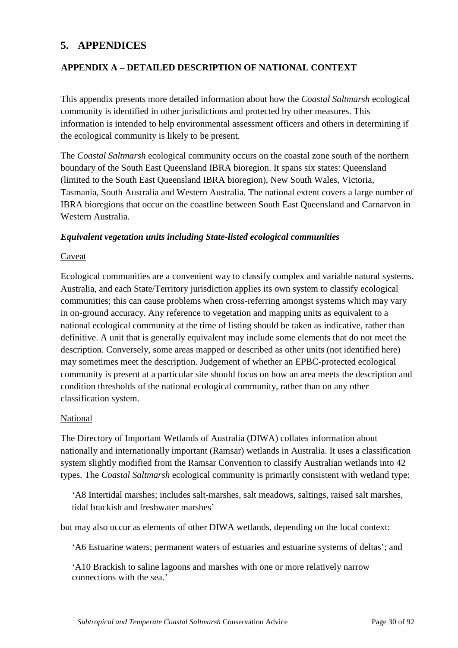# **5. APPENDICES**

## **APPENDIX A – DETAILED DESCRIPTION OF NATIONAL CONTEXT**

This appendix presents more detailed information about how the *Coastal Saltmarsh* ecological community is identified in other jurisdictions and protected by other measures. This information is intended to help environmental assessment officers and others in determining if the ecological community is likely to be present.

The *Coastal Saltmarsh* ecological community occurs on the coastal zone south of the northern boundary of the South East Queensland IBRA bioregion. It spans six states: Queensland (limited to the South East Queensland IBRA bioregion), New South Wales, Victoria, Tasmania, South Australia and Western Australia. The national extent covers a large number of IBRA bioregions that occur on the coastline between South East Queensland and Carnarvon in Western Australia.

#### *Equivalent vegetation units including State-listed ecological communities*

#### Caveat

Ecological communities are a convenient way to classify complex and variable natural systems. Australia, and each State/Territory jurisdiction applies its own system to classify ecological communities; this can cause problems when cross-referring amongst systems which may vary in on-ground accuracy. Any reference to vegetation and mapping units as equivalent to a national ecological community at the time of listing should be taken as indicative, rather than definitive. A unit that is generally equivalent may include some elements that do not meet the description. Conversely, some areas mapped or described as other units (not identified here) may sometimes meet the description. Judgement of whether an EPBC-protected ecological community is present at a particular site should focus on how an area meets the description and condition thresholds of the national ecological community, rather than on any other classification system.

#### National

The Directory of Important Wetlands of Australia (DIWA) collates information about nationally and internationally important (Ramsar) wetlands in Australia. It uses a classification system slightly modified from the Ramsar Convention to classify Australian wetlands into 42 types. The *Coastal Saltmarsh* ecological community is primarily consistent with wetland type:

'A8 Intertidal marshes; includes salt-marshes, salt meadows, saltings, raised salt marshes, tidal brackish and freshwater marshes'

but may also occur as elements of other DIWA wetlands, depending on the local context:

'A6 Estuarine waters; permanent waters of estuaries and estuarine systems of deltas'; and

'A10 Brackish to saline lagoons and marshes with one or more relatively narrow connections with the sea.'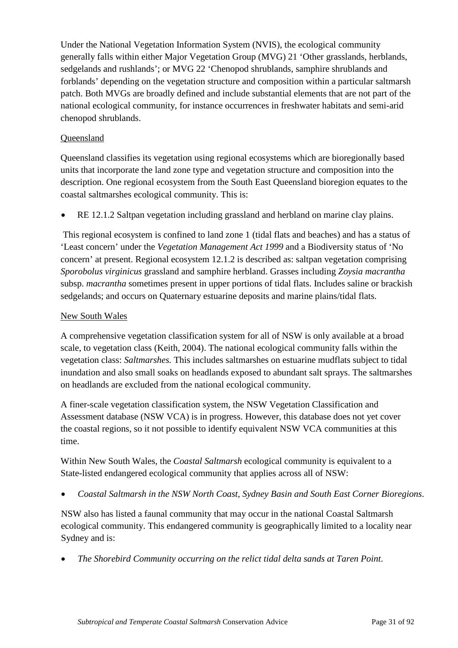Under the National Vegetation Information System (NVIS), the ecological community generally falls within either Major Vegetation Group (MVG) 21 'Other grasslands, herblands, sedgelands and rushlands'; or MVG 22 'Chenopod shrublands, samphire shrublands and forblands' depending on the vegetation structure and composition within a particular saltmarsh patch. Both MVGs are broadly defined and include substantial elements that are not part of the national ecological community, for instance occurrences in freshwater habitats and semi-arid chenopod shrublands.

## Queensland

Queensland classifies its vegetation using regional ecosystems which are bioregionally based units that incorporate the land zone type and vegetation structure and composition into the description. One regional ecosystem from the South East Queensland bioregion equates to the coastal saltmarshes ecological community. This is:

• RE 12.1.2 Saltpan vegetation including grassland and herbland on marine clay plains.

This regional ecosystem is confined to land zone 1 (tidal flats and beaches) and has a status of 'Least concern' under the *Vegetation Management Act 1999* and a Biodiversity status of 'No concern' at present. Regional ecosystem 12.1.2 is described as: saltpan vegetation comprising *Sporobolus virginicus* grassland and samphire herbland. Grasses including *Zoysia macrantha* subsp. *macrantha* sometimes present in upper portions of tidal flats. Includes saline or brackish sedgelands; and occurs on Quaternary estuarine deposits and marine plains/tidal flats.

#### New South Wales

A comprehensive vegetation classification system for all of NSW is only available at a broad scale, to vegetation class (Keith, 2004). The national ecological community falls within the vegetation class: *Saltmarshes.* This includes saltmarshes on estuarine mudflats subject to tidal inundation and also small soaks on headlands exposed to abundant salt sprays. The saltmarshes on headlands are excluded from the national ecological community.

A finer-scale vegetation classification system, the NSW Vegetation Classification and Assessment database (NSW VCA) is in progress. However, this database does not yet cover the coastal regions, so it not possible to identify equivalent NSW VCA communities at this time.

Within New South Wales, the *Coastal Saltmarsh* ecological community is equivalent to a State-listed endangered ecological community that applies across all of NSW:

• *Coastal Saltmarsh in the NSW North Coast, Sydney Basin and South East Corner Bioregions*.

NSW also has listed a faunal community that may occur in the national Coastal Saltmarsh ecological community. This endangered community is geographically limited to a locality near Sydney and is:

• *The Shorebird Community occurring on the relict tidal delta sands at Taren Point*.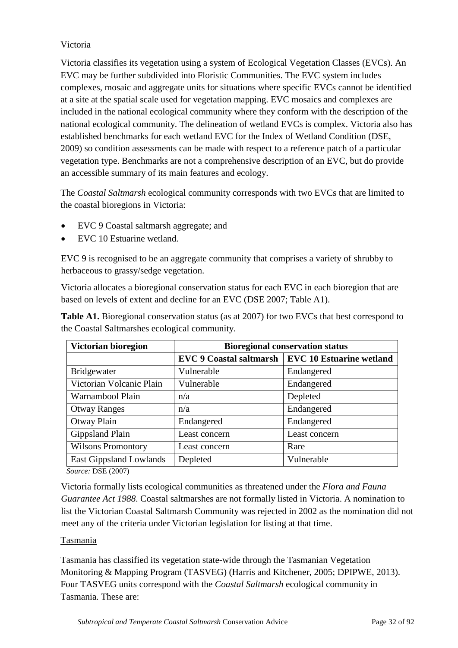# Victoria

Victoria classifies its vegetation using a system of Ecological Vegetation Classes (EVCs). An EVC may be further subdivided into Floristic Communities. The EVC system includes complexes, mosaic and aggregate units for situations where specific EVCs cannot be identified at a site at the spatial scale used for vegetation mapping. EVC mosaics and complexes are included in the national ecological community where they conform with the description of the national ecological community. The delineation of wetland EVCs is complex. Victoria also has established benchmarks for each wetland EVC for the Index of Wetland Condition (DSE, 2009) so condition assessments can be made with respect to a reference patch of a particular vegetation type. Benchmarks are not a comprehensive description of an EVC, but do provide an accessible summary of its main features and ecology.

The *Coastal Saltmarsh* ecological community corresponds with two EVCs that are limited to the coastal bioregions in Victoria:

- EVC 9 Coastal saltmarsh aggregate; and
- EVC 10 Estuarine wetland.

EVC 9 is recognised to be an aggregate community that comprises a variety of shrubby to herbaceous to grassy/sedge vegetation.

Victoria allocates a bioregional conservation status for each EVC in each bioregion that are based on levels of extent and decline for an EVC (DSE 2007; Table A1).

| <b>Table A1.</b> Bioregional conservation status (as at 2007) for two EVCs that best correspond to |
|----------------------------------------------------------------------------------------------------|
| the Coastal Saltmarshes ecological community.                                                      |

| Victorian bioregion       | <b>Bioregional conservation status</b> |                                 |  |
|---------------------------|----------------------------------------|---------------------------------|--|
|                           | <b>EVC 9 Coastal saltmarsh</b>         | <b>EVC 10 Estuarine wetland</b> |  |
| Bridgewater               | Vulnerable                             | Endangered                      |  |
| Victorian Volcanic Plain  | Vulnerable                             | Endangered                      |  |
| Warnambool Plain          | n/a                                    | Depleted                        |  |
| <b>Otway Ranges</b>       | n/a                                    | Endangered                      |  |
| Otway Plain               | Endangered                             | Endangered                      |  |
| Gippsland Plain           | Least concern                          | Least concern                   |  |
| <b>Wilsons Promontory</b> | Least concern                          | Rare                            |  |
| East Gippsland Lowlands   | Depleted                               | Vulnerable                      |  |

*Source:* DSE (2007)

Victoria formally lists ecological communities as threatened under the *Flora and Fauna Guarantee Act 1988*. Coastal saltmarshes are not formally listed in Victoria. A nomination to list the Victorian Coastal Saltmarsh Community was rejected in 2002 as the nomination did not meet any of the criteria under Victorian legislation for listing at that time.

#### Tasmania

Tasmania has classified its vegetation state-wide through the Tasmanian Vegetation Monitoring & Mapping Program (TASVEG) (Harris and Kitchener, 2005; DPIPWE, 2013). Four TASVEG units correspond with the *Coastal Saltmarsh* ecological community in Tasmania. These are: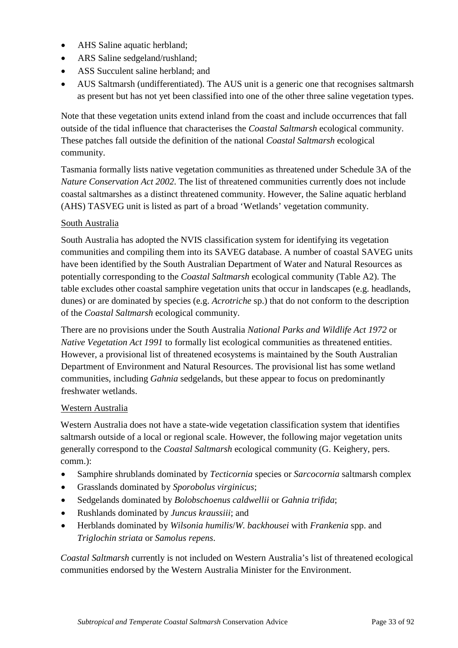- AHS Saline aquatic herbland;
- ARS Saline sedgeland/rushland;
- ASS Succulent saline herbland; and
- AUS Saltmarsh (undifferentiated). The AUS unit is a generic one that recognises saltmarsh as present but has not yet been classified into one of the other three saline vegetation types.

Note that these vegetation units extend inland from the coast and include occurrences that fall outside of the tidal influence that characterises the *Coastal Saltmarsh* ecological community. These patches fall outside the definition of the national *Coastal Saltmarsh* ecological community.

Tasmania formally lists native vegetation communities as threatened under Schedule 3A of the *Nature Conservation Act 2002*. The list of threatened communities currently does not include coastal saltmarshes as a distinct threatened community. However, the Saline aquatic herbland (AHS) TASVEG unit is listed as part of a broad 'Wetlands' vegetation community.

#### South Australia

South Australia has adopted the NVIS classification system for identifying its vegetation communities and compiling them into its SAVEG database. A number of coastal SAVEG units have been identified by the South Australian Department of Water and Natural Resources as potentially corresponding to the *Coastal Saltmarsh* ecological community (Table A2). The table excludes other coastal samphire vegetation units that occur in landscapes (e.g. headlands, dunes) or are dominated by species (e.g. *Acrotriche* sp.) that do not conform to the description of the *Coastal Saltmarsh* ecological community.

There are no provisions under the South Australia *National Parks and Wildlife Act 1972* or *Native Vegetation Act 1991* to formally list ecological communities as threatened entities. However, a provisional list of threatened ecosystems is maintained by the South Australian Department of Environment and Natural Resources. The provisional list has some wetland communities, including *Gahnia* sedgelands, but these appear to focus on predominantly freshwater wetlands.

#### Western Australia

Western Australia does not have a state-wide vegetation classification system that identifies saltmarsh outside of a local or regional scale. However, the following major vegetation units generally correspond to the *Coastal Saltmarsh* ecological community (G. Keighery, pers. comm.):

- Samphire shrublands dominated by *Tecticornia* species or *Sarcocornia* saltmarsh complex
- Grasslands dominated by *Sporobolus virginicus*;
- Sedgelands dominated by *Bolobschoenus caldwellii* or *Gahnia trifida*;
- Rushlands dominated by *Juncus kraussiii*; and
- Herblands dominated by *Wilsonia humilis*/*W. backhousei* with *Frankenia* spp. and *Triglochin striata* or *Samolus repens*.

*Coastal Saltmarsh* currently is not included on Western Australia's list of threatened ecological communities endorsed by the Western Australia Minister for the Environment.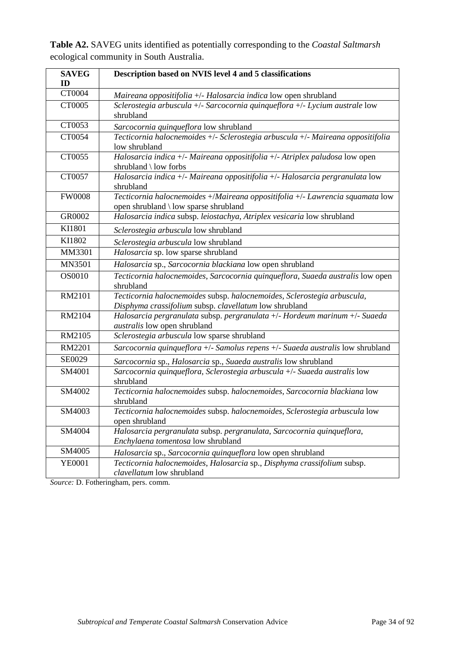| <b>SAVEG</b>  | Description based on NVIS level 4 and 5 classifications                                                                           |
|---------------|-----------------------------------------------------------------------------------------------------------------------------------|
| ID            |                                                                                                                                   |
| CT0004        | Maireana oppositifolia +/- Halosarcia indica low open shrubland                                                                   |
| CT0005        | Sclerostegia arbuscula +/- Sarcocornia quinqueflora +/- Lycium australe low<br>shrubland                                          |
| CT0053        | Sarcocornia quinqueflora low shrubland                                                                                            |
| CT0054        | Tecticornia halocnemoides +/- Sclerostegia arbuscula +/- Maireana oppositifolia<br>low shrubland                                  |
| CT0055        | Halosarcia indica +/- Maireana oppositifolia +/- Atriplex paludosa low open<br>shrubland $\langle$ low forbs                      |
| CT0057        | Halosarcia indica +/- Maireana oppositifolia +/- Halosarcia pergranulata low<br>shrubland                                         |
| <b>FW0008</b> | Tecticornia halocnemoides +/Maireana oppositifolia +/- Lawrencia squamata low<br>open shrubland \ low sparse shrubland            |
| GR0002        | Halosarcia indica subsp. leiostachya, Atriplex vesicaria low shrubland                                                            |
| KI1801        | Sclerostegia arbuscula low shrubland                                                                                              |
| KI1802        | Sclerostegia arbuscula low shrubland                                                                                              |
| MM3301        | Halosarcia sp. low sparse shrubland                                                                                               |
| <b>MN3501</b> | Halosarcia sp., Sarcocornia blackiana low open shrubland                                                                          |
| OS0010        | Tecticornia halocnemoides, Sarcocornia quinqueflora, Suaeda australis low open<br>shrubland                                       |
| RM2101        | Tecticornia halocnemoides subsp. halocnemoides, Sclerostegia arbuscula,<br>Disphyma crassifolium subsp. clavellatum low shrubland |
| RM2104        | Halosarcia pergranulata subsp. pergranulata +/- Hordeum marinum +/- Suaeda<br><i>australis</i> low open shrubland                 |
| RM2105        | Sclerostegia arbuscula low sparse shrubland                                                                                       |
| <b>RM2201</b> | Sarcocornia quinqueflora +/- Samolus repens +/- Suaeda australis low shrubland                                                    |
| SE0029        | Sarcocornia sp., Halosarcia sp., Suaeda australis low shrubland                                                                   |
| SM4001        | Sarcocornia quinqueflora, Sclerostegia arbuscula +/- Suaeda australis low<br>shrubland                                            |
| SM4002        | Tecticornia halocnemoides subsp. halocnemoides, Sarcocornia blackiana low<br>shrubland                                            |
| SM4003        | Tecticornia halocnemoides subsp. halocnemoides, Sclerostegia arbuscula low<br>open shrubland                                      |
| SM4004        | Halosarcia pergranulata subsp. pergranulata, Sarcocornia quinqueflora,<br>Enchylaena tomentosa low shrubland                      |
| SM4005        | Halosarcia sp., Sarcocornia quinqueflora low open shrubland                                                                       |
| YE0001        | Tecticornia halocnemoides, Halosarcia sp., Disphyma crassifolium subsp.<br>clavellatum low shrubland                              |

**Table A2.** SAVEG units identified as potentially corresponding to the *Coastal Saltmarsh* ecological community in South Australia.

*Source:* D. Fotheringham, pers. comm.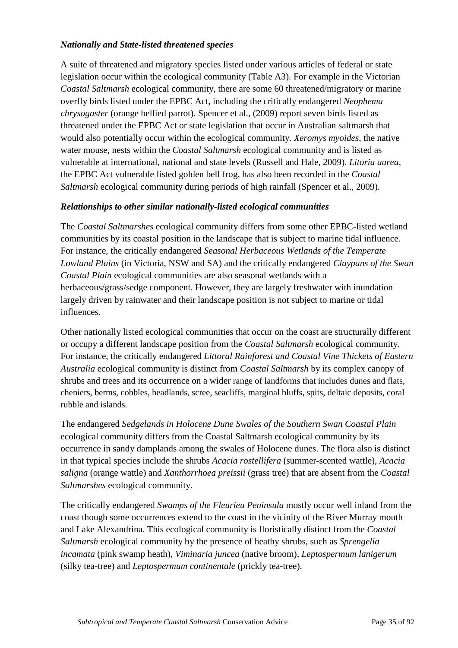## *Nationally and State-listed threatened species*

A suite of threatened and migratory species listed under various articles of federal or state legislation occur within the ecological community (Table A3). For example in the Victorian *Coastal Saltmarsh* ecological community, there are some 60 threatened/migratory or marine overfly birds listed under the EPBC Act, including the critically endangered *Neophema chrysogaster* (orange bellied parrot). Spencer et al., (2009) report seven birds listed as threatened under the EPBC Act or state legislation that occur in Australian saltmarsh that would also potentially occur within the ecological community. *Xeromys myoides*, the native water mouse, nests within the *Coastal Saltmarsh* ecological community and is listed as vulnerable at international, national and state levels (Russell and Hale, 2009). *Litoria aurea*, the EPBC Act vulnerable listed golden bell frog, has also been recorded in the *Coastal Saltmarsh* ecological community during periods of high rainfall (Spencer et al., 2009).

#### *Relationships to other similar nationally-listed ecological communities*

The *Coastal Saltmarshes* ecological community differs from some other EPBC-listed wetland communities by its coastal position in the landscape that is subject to marine tidal influence. For instance, the critically endangered *Seasonal Herbaceous Wetlands of the Temperate Lowland Plains* (in Victoria, NSW and SA) and the critically endangered *Claypans of the Swan Coastal Plain* ecological communities are also seasonal wetlands with a herbaceous/grass/sedge component. However, they are largely freshwater with inundation largely driven by rainwater and their landscape position is not subject to marine or tidal influences.

Other nationally listed ecological communities that occur on the coast are structurally different or occupy a different landscape position from the *Coastal Saltmarsh* ecological community. For instance, the critically endangered *Littoral Rainforest and Coastal Vine Thickets of Eastern Australia* ecological community is distinct from *Coastal Saltmarsh* by its complex canopy of shrubs and trees and its occurrence on a wider range of landforms that includes dunes and flats, cheniers, berms, cobbles, headlands, scree, seacliffs, marginal bluffs, spits, deltaic deposits, coral rubble and islands.

The endangered *Sedgelands in Holocene Dune Swales of the Southern Swan Coastal Plain* ecological community differs from the Coastal Saltmarsh ecological community by its occurrence in sandy damplands among the swales of Holocene dunes. The flora also is distinct in that typical species include the shrubs *Acacia rostellifera* (summer-scented wattle), *Acacia saligna* (orange wattle) and *Xanthorrhoea preissii* (grass tree) that are absent from the *Coastal Saltmarshes* ecological community.

The critically endangered *Swamps of the Fleurieu Peninsula* mostly occur well inland from the coast though some occurrences extend to the coast in the vicinity of the River Murray mouth and Lake Alexandrina. This ecological community is floristically distinct from the *Coastal Saltmarsh* ecological community by the presence of heathy shrubs, such as *Sprengelia incamata* (pink swamp heath), *Viminaria juncea* (native broom), *Leptospermum lanigerum* (silky tea-tree) and *Leptospermum continentale* (prickly tea-tree).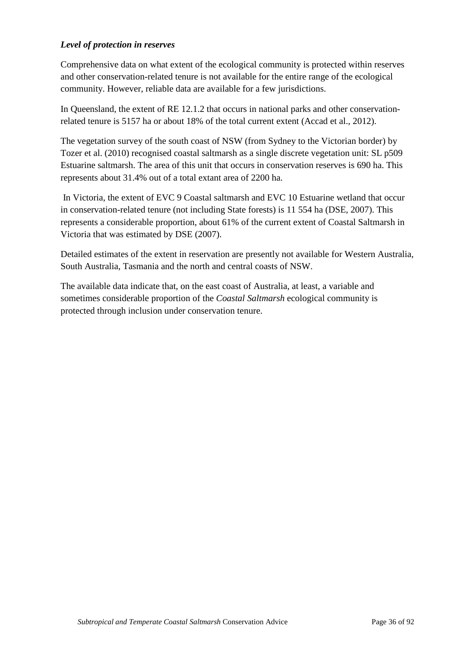## *Level of protection in reserves*

Comprehensive data on what extent of the ecological community is protected within reserves and other conservation-related tenure is not available for the entire range of the ecological community. However, reliable data are available for a few jurisdictions.

In Queensland, the extent of RE 12.1.2 that occurs in national parks and other conservationrelated tenure is 5157 ha or about 18% of the total current extent (Accad et al., 2012).

The vegetation survey of the south coast of NSW (from Sydney to the Victorian border) by Tozer et al. (2010) recognised coastal saltmarsh as a single discrete vegetation unit: SL p509 Estuarine saltmarsh. The area of this unit that occurs in conservation reserves is 690 ha. This represents about 31.4% out of a total extant area of 2200 ha.

In Victoria, the extent of EVC 9 Coastal saltmarsh and EVC 10 Estuarine wetland that occur in conservation-related tenure (not including State forests) is 11 554 ha (DSE, 2007). This represents a considerable proportion, about 61% of the current extent of Coastal Saltmarsh in Victoria that was estimated by DSE (2007).

Detailed estimates of the extent in reservation are presently not available for Western Australia, South Australia, Tasmania and the north and central coasts of NSW.

The available data indicate that, on the east coast of Australia, at least, a variable and sometimes considerable proportion of the *Coastal Saltmarsh* ecological community is protected through inclusion under conservation tenure.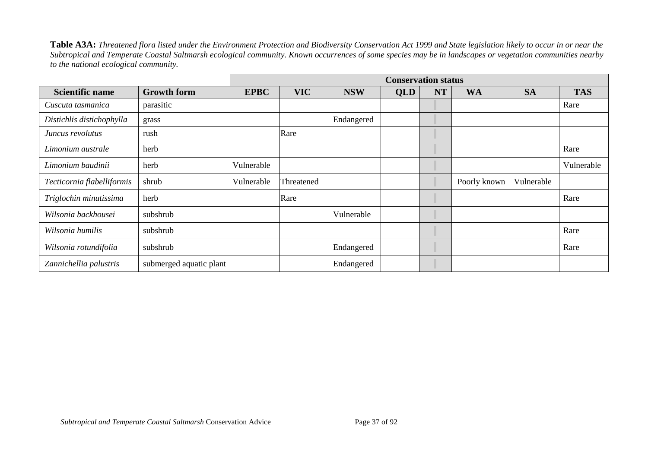**Table A3A:** *Threatened flora listed under the Environment Protection and Biodiversity Conservation Act 1999 and State legislation likely to occur in or near the Subtropical and Temperate Coastal Saltmarsh ecological community. Known occurrences of some species may be in landscapes or vegetation communities nearby to the national ecological community.*

|                            |                         |             |            |            | <b>Conservation status</b> |           |              |            |            |
|----------------------------|-------------------------|-------------|------------|------------|----------------------------|-----------|--------------|------------|------------|
| <b>Scientific name</b>     | <b>Growth form</b>      | <b>EPBC</b> | <b>VIC</b> | <b>NSW</b> | <b>QLD</b>                 | <b>NT</b> | <b>WA</b>    | <b>SA</b>  | <b>TAS</b> |
| Cuscuta tasmanica          | parasitic               |             |            |            |                            |           |              |            | Rare       |
| Distichlis distichophylla  | grass                   |             |            | Endangered |                            |           |              |            |            |
| Juncus revolutus           | rush                    |             | Rare       |            |                            |           |              |            |            |
| Limonium australe          | herb                    |             |            |            |                            |           |              |            | Rare       |
| Limonium baudinii          | herb                    | Vulnerable  |            |            |                            |           |              |            | Vulnerable |
| Tecticornia flabelliformis | shrub                   | Vulnerable  | Threatened |            |                            |           | Poorly known | Vulnerable |            |
| Triglochin minutissima     | herb                    |             | Rare       |            |                            |           |              |            | Rare       |
| Wilsonia backhousei        | subshrub                |             |            | Vulnerable |                            |           |              |            |            |
| Wilsonia humilis           | subshrub                |             |            |            |                            |           |              |            | Rare       |
| Wilsonia rotundifolia      | subshrub                |             |            | Endangered |                            |           |              |            | Rare       |
| Zannichellia palustris     | submerged aquatic plant |             |            | Endangered |                            |           |              |            |            |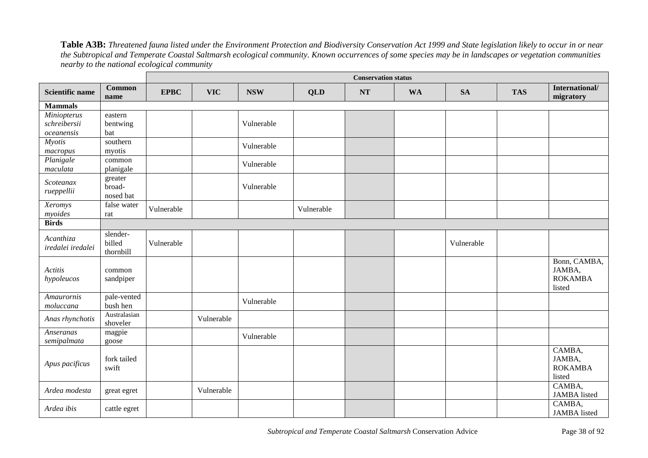**Table A3B:** *Threatened fauna listed under the Environment Protection and Biodiversity Conservation Act 1999 and State legislation likely to occur in or near the Subtropical and Temperate Coastal Saltmarsh ecological community. Known occurrences of some species may be in landscapes or vegetation communities nearby to the national ecological community*

|                        |                          |             |            |            |            | <b>Conservation status</b> |           |            |            |                             |
|------------------------|--------------------------|-------------|------------|------------|------------|----------------------------|-----------|------------|------------|-----------------------------|
| <b>Scientific name</b> | <b>Common</b><br>name    | <b>EPBC</b> | <b>VIC</b> | <b>NSW</b> | <b>QLD</b> | <b>NT</b>                  | <b>WA</b> | <b>SA</b>  | <b>TAS</b> | International/<br>migratory |
| <b>Mammals</b>         |                          |             |            |            |            |                            |           |            |            |                             |
| Miniopterus            | eastern                  |             |            |            |            |                            |           |            |            |                             |
| schreibersii           | bentwing                 |             |            | Vulnerable |            |                            |           |            |            |                             |
| oceanensis             | bat                      |             |            |            |            |                            |           |            |            |                             |
| <b>Myotis</b>          | southern                 |             |            | Vulnerable |            |                            |           |            |            |                             |
| macropus               | myotis                   |             |            |            |            |                            |           |            |            |                             |
| Planigale              | common                   |             |            | Vulnerable |            |                            |           |            |            |                             |
| maculata               | planigale                |             |            |            |            |                            |           |            |            |                             |
| Scoteanax              | greater                  |             |            |            |            |                            |           |            |            |                             |
| rueppellii             | broad-<br>nosed bat      |             |            | Vulnerable |            |                            |           |            |            |                             |
| Xeromys                | false water              |             |            |            |            |                            |           |            |            |                             |
| myoides                | rat                      | Vulnerable  |            |            | Vulnerable |                            |           |            |            |                             |
| <b>Birds</b>           |                          |             |            |            |            |                            |           |            |            |                             |
|                        | slender-                 |             |            |            |            |                            |           |            |            |                             |
| Acanthiza              | billed                   | Vulnerable  |            |            |            |                            |           | Vulnerable |            |                             |
| iredalei iredalei      | thornbill                |             |            |            |            |                            |           |            |            |                             |
|                        |                          |             |            |            |            |                            |           |            |            | Bonn, CAMBA,                |
| Actitis                | common                   |             |            |            |            |                            |           |            |            | JAMBA,                      |
| hypoleucos             | sandpiper                |             |            |            |            |                            |           |            |            | <b>ROKAMBA</b>              |
|                        |                          |             |            |            |            |                            |           |            |            | listed                      |
| Amaurornis             | pale-vented              |             |            | Vulnerable |            |                            |           |            |            |                             |
| moluccana              | bush hen                 |             |            |            |            |                            |           |            |            |                             |
| Anas rhynchotis        | Australasian<br>shoveler |             | Vulnerable |            |            |                            |           |            |            |                             |
| Anseranas              |                          |             |            |            |            |                            |           |            |            |                             |
| semipalmata            | magpie<br>goose          |             |            | Vulnerable |            |                            |           |            |            |                             |
|                        |                          |             |            |            |            |                            |           |            |            | CAMBA,                      |
|                        | fork tailed              |             |            |            |            |                            |           |            |            | JAMBA,                      |
| Apus pacificus         | swift                    |             |            |            |            |                            |           |            |            | <b>ROKAMBA</b>              |
|                        |                          |             |            |            |            |                            |           |            |            | listed                      |
|                        |                          |             |            |            |            |                            |           |            |            | CAMBA,                      |
| Ardea modesta          | great egret              |             | Vulnerable |            |            |                            |           |            |            | <b>JAMBA</b> listed         |
| Ardea ibis             | cattle egret             |             |            |            |            |                            |           |            |            | CAMBA,                      |
|                        |                          |             |            |            |            |                            |           |            |            | <b>JAMBA</b> listed         |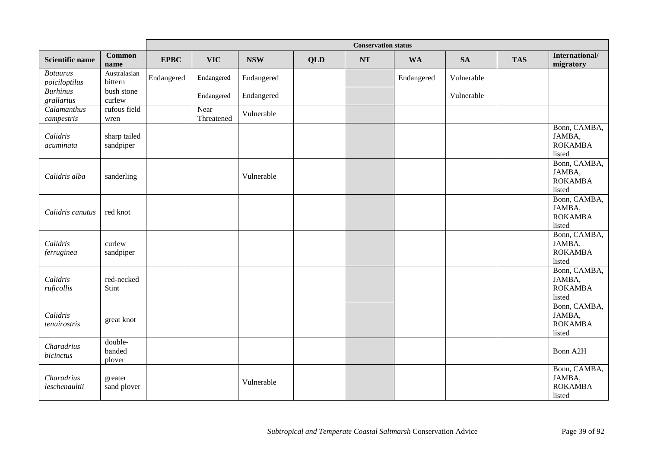|                                  |                             |             |                    |            |            | <b>Conservation status</b> |            |            |            |                                                    |
|----------------------------------|-----------------------------|-------------|--------------------|------------|------------|----------------------------|------------|------------|------------|----------------------------------------------------|
| <b>Scientific name</b>           | <b>Common</b><br>name       | <b>EPBC</b> | <b>VIC</b>         | <b>NSW</b> | <b>QLD</b> | NT                         | <b>WA</b>  | <b>SA</b>  | <b>TAS</b> | International/<br>migratory                        |
| <b>Botaurus</b><br>poiciloptilus | Australasian<br>bittern     | Endangered  | Endangered         | Endangered |            |                            | Endangered | Vulnerable |            |                                                    |
| <b>Burhinus</b><br>grallarius    | bush stone<br>curlew        |             | Endangered         | Endangered |            |                            |            | Vulnerable |            |                                                    |
| Calamanthus<br>campestris        | rufous field<br>wren        |             | Near<br>Threatened | Vulnerable |            |                            |            |            |            |                                                    |
| Calidris<br>acuminata            | sharp tailed<br>sandpiper   |             |                    |            |            |                            |            |            |            | Bonn, CAMBA,<br>JAMBA,<br><b>ROKAMBA</b><br>listed |
| Calidris alba                    | sanderling                  |             |                    | Vulnerable |            |                            |            |            |            | Bonn, CAMBA,<br>JAMBA,<br><b>ROKAMBA</b><br>listed |
| Calidris canutus                 | red knot                    |             |                    |            |            |                            |            |            |            | Bonn, CAMBA,<br>JAMBA,<br><b>ROKAMBA</b><br>listed |
| Calidris<br>ferruginea           | curlew<br>sandpiper         |             |                    |            |            |                            |            |            |            | Bonn, CAMBA,<br>JAMBA,<br><b>ROKAMBA</b><br>listed |
| Calidris<br>ruficollis           | red-necked<br>Stint         |             |                    |            |            |                            |            |            |            | Bonn, CAMBA,<br>JAMBA,<br><b>ROKAMBA</b><br>listed |
| Calidris<br>tenuirostris         | great knot                  |             |                    |            |            |                            |            |            |            | Bonn, CAMBA,<br>JAMBA,<br><b>ROKAMBA</b><br>listed |
| Charadrius<br>bicinctus          | double-<br>banded<br>plover |             |                    |            |            |                            |            |            |            | Bonn A2H                                           |
| Charadrius<br>leschenaultii      | greater<br>sand plover      |             |                    | Vulnerable |            |                            |            |            |            | Bonn, CAMBA,<br>JAMBA,<br><b>ROKAMBA</b><br>listed |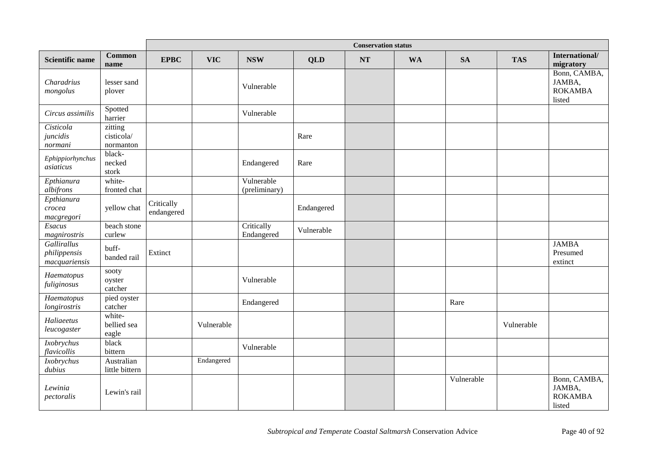|                                              |                                    |                          |            |                             |            | <b>Conservation status</b> |           |            |            |                                                    |
|----------------------------------------------|------------------------------------|--------------------------|------------|-----------------------------|------------|----------------------------|-----------|------------|------------|----------------------------------------------------|
| <b>Scientific name</b>                       | <b>Common</b><br>name              | <b>EPBC</b>              | <b>VIC</b> | <b>NSW</b>                  | <b>QLD</b> | <b>NT</b>                  | <b>WA</b> | <b>SA</b>  | <b>TAS</b> | International/<br>migratory                        |
| Charadrius<br>mongolus                       | lesser sand<br>plover              |                          |            | Vulnerable                  |            |                            |           |            |            | Bonn, CAMBA,<br>JAMBA,<br><b>ROKAMBA</b><br>listed |
| Circus assimilis                             | Spotted<br>harrier                 |                          |            | Vulnerable                  |            |                            |           |            |            |                                                    |
| Cisticola<br>juncidis<br>normani             | zitting<br>cisticola/<br>normanton |                          |            |                             | Rare       |                            |           |            |            |                                                    |
| Ephippiorhynchus<br>asiaticus                | black-<br>necked<br>stork          |                          |            | Endangered                  | Rare       |                            |           |            |            |                                                    |
| Epthianura<br>albifrons                      | white-<br>fronted chat             |                          |            | Vulnerable<br>(preliminary) |            |                            |           |            |            |                                                    |
| Epthianura<br>crocea<br>macgregori           | yellow chat                        | Critically<br>endangered |            |                             | Endangered |                            |           |            |            |                                                    |
| Esacus<br>magnirostris                       | beach stone<br>curlew              |                          |            | Critically<br>Endangered    | Vulnerable |                            |           |            |            |                                                    |
| Gallirallus<br>philippensis<br>macquariensis | buff-<br>banded rail               | Extinct                  |            |                             |            |                            |           |            |            | <b>JAMBA</b><br>Presumed<br>extinct                |
| Haematopus<br>fuliginosus                    | sooty<br>oyster<br>catcher         |                          |            | Vulnerable                  |            |                            |           |            |            |                                                    |
| Haematopus<br>longirostris                   | pied oyster<br>catcher             |                          |            | Endangered                  |            |                            |           | Rare       |            |                                                    |
| Haliaeetus<br>leucogaster                    | white-<br>bellied sea<br>eagle     |                          | Vulnerable |                             |            |                            |           |            | Vulnerable |                                                    |
| Ixobrychus<br>flavicollis                    | black<br>bittern                   |                          |            | Vulnerable                  |            |                            |           |            |            |                                                    |
| Ixobrychus<br>dubits                         | Australian<br>little bittern       |                          | Endangered |                             |            |                            |           |            |            |                                                    |
| Lewinia<br>pectoralis                        | Lewin's rail                       |                          |            |                             |            |                            |           | Vulnerable |            | Bonn, CAMBA,<br>JAMBA,<br><b>ROKAMBA</b><br>listed |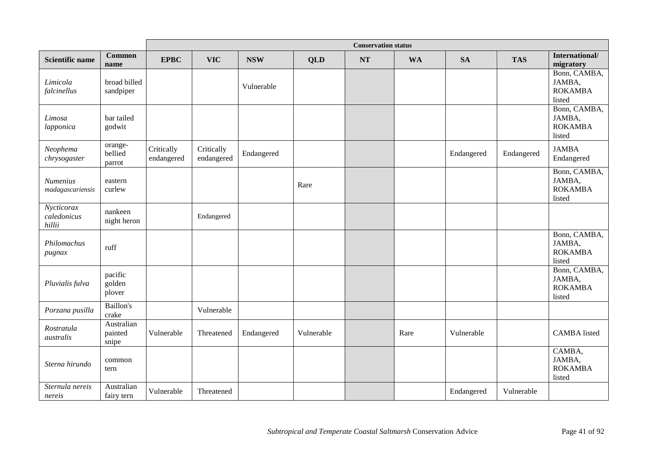|                                     |                                |                          |                          |            |            | <b>Conservation status</b> |           |            |            |                                                    |
|-------------------------------------|--------------------------------|--------------------------|--------------------------|------------|------------|----------------------------|-----------|------------|------------|----------------------------------------------------|
| <b>Scientific name</b>              | <b>Common</b><br>name          | <b>EPBC</b>              | <b>VIC</b>               | <b>NSW</b> | <b>QLD</b> | <b>NT</b>                  | <b>WA</b> | <b>SA</b>  | <b>TAS</b> | International/<br>migratory                        |
| Limicola<br>falcinellus             | broad billed<br>sandpiper      |                          |                          | Vulnerable |            |                            |           |            |            | Bonn, CAMBA,<br>JAMBA,<br><b>ROKAMBA</b><br>listed |
| Limosa<br>lapponica                 | bar tailed<br>godwit           |                          |                          |            |            |                            |           |            |            | Bonn, CAMBA,<br>JAMBA,<br><b>ROKAMBA</b><br>listed |
| Neophema<br>chrysogaster            | orange-<br>bellied<br>parrot   | Critically<br>endangered | Critically<br>endangered | Endangered |            |                            |           | Endangered | Endangered | <b>JAMBA</b><br>Endangered                         |
| <b>Numenius</b><br>madagascariensis | eastern<br>curlew              |                          |                          |            | Rare       |                            |           |            |            | Bonn, CAMBA,<br>JAMBA,<br><b>ROKAMBA</b><br>listed |
| Nycticorax<br>caledonicus<br>hillii | nankeen<br>night heron         |                          | Endangered               |            |            |                            |           |            |            |                                                    |
| Philomachus<br>pugnax               | ruff                           |                          |                          |            |            |                            |           |            |            | Bonn, CAMBA,<br>JAMBA,<br><b>ROKAMBA</b><br>listed |
| Pluvialis fulva                     | pacific<br>golden<br>plover    |                          |                          |            |            |                            |           |            |            | Bonn, CAMBA,<br>JAMBA,<br><b>ROKAMBA</b><br>listed |
| Porzana pusilla                     | Baillon's<br>crake             |                          | Vulnerable               |            |            |                            |           |            |            |                                                    |
| Rostratula<br>australis             | Australian<br>painted<br>snipe | Vulnerable               | Threatened               | Endangered | Vulnerable |                            | Rare      | Vulnerable |            | <b>CAMBA</b> listed                                |
| Sterna hirundo                      | common<br>tern                 |                          |                          |            |            |                            |           |            |            | CAMBA,<br>JAMBA,<br><b>ROKAMBA</b><br>listed       |
| Sternula nereis<br>nereis           | Australian<br>fairy tern       | Vulnerable               | Threatened               |            |            |                            |           | Endangered | Vulnerable |                                                    |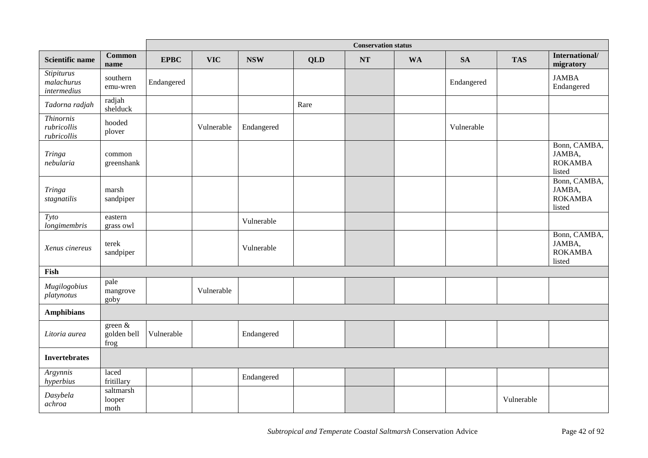|                                                |                                              |             |            |            |            | <b>Conservation status</b> |           |            |            |                                                    |
|------------------------------------------------|----------------------------------------------|-------------|------------|------------|------------|----------------------------|-----------|------------|------------|----------------------------------------------------|
| <b>Scientific name</b>                         | <b>Common</b><br>name                        | <b>EPBC</b> | <b>VIC</b> | <b>NSW</b> | <b>QLD</b> | NT                         | <b>WA</b> | <b>SA</b>  | <b>TAS</b> | International/<br>migratory                        |
| <b>Stipiturus</b><br>malachurus<br>intermedius | southern<br>emu-wren                         | Endangered  |            |            |            |                            |           | Endangered |            | <b>JAMBA</b><br>Endangered                         |
| Tadorna radjah                                 | radjah<br>shelduck                           |             |            |            | Rare       |                            |           |            |            |                                                    |
| <b>Thinomis</b><br>rubricollis<br>rubricollis  | hooded<br>plover                             |             | Vulnerable | Endangered |            |                            |           | Vulnerable |            |                                                    |
| <b>Tringa</b><br>nebularia                     | common<br>greenshank                         |             |            |            |            |                            |           |            |            | Bonn, CAMBA,<br>JAMBA,<br><b>ROKAMBA</b><br>listed |
| Tringa<br>stagnatilis                          | marsh<br>sandpiper                           |             |            |            |            |                            |           |            |            | Bonn, CAMBA,<br>JAMBA,<br><b>ROKAMBA</b><br>listed |
| Tyto<br>longimembris                           | eastern<br>grass owl                         |             |            | Vulnerable |            |                            |           |            |            |                                                    |
| Xenus cinereus                                 | terek<br>sandpiper                           |             |            | Vulnerable |            |                            |           |            |            | Bonn, CAMBA,<br>JAMBA,<br><b>ROKAMBA</b><br>listed |
| Fish                                           |                                              |             |            |            |            |                            |           |            |            |                                                    |
| Mugilogobius<br>platynotus                     | pale<br>mangrove<br>goby                     |             | Vulnerable |            |            |                            |           |            |            |                                                    |
| <b>Amphibians</b>                              |                                              |             |            |            |            |                            |           |            |            |                                                    |
| Litoria aurea                                  | green $\overline{\&}$<br>golden bell<br>frog | Vulnerable  |            | Endangered |            |                            |           |            |            |                                                    |
| <b>Invertebrates</b>                           |                                              |             |            |            |            |                            |           |            |            |                                                    |
| Argynnis<br>hyperbius                          | laced<br>fritillary                          |             |            | Endangered |            |                            |           |            |            |                                                    |
| Dasybela<br>achroa                             | saltmarsh<br>looper<br>moth                  |             |            |            |            |                            |           |            | Vulnerable |                                                    |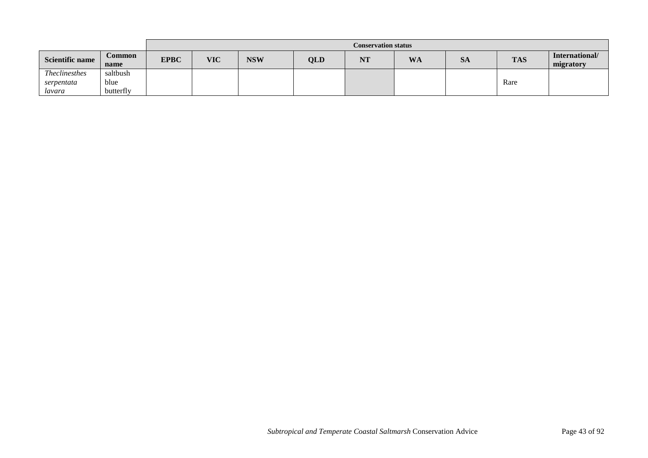|                        |                       |             | <b>Conservation status</b> |            |     |                     |           |           |            |                             |
|------------------------|-----------------------|-------------|----------------------------|------------|-----|---------------------|-----------|-----------|------------|-----------------------------|
| <b>Scientific name</b> | <b>Common</b><br>name | <b>EPBC</b> | <b>VIC</b>                 | <b>NSW</b> | QLD | <b>BITT</b><br>IN J | <b>WA</b> | <b>SA</b> | <b>TAS</b> | International/<br>migratory |
| <b>Theclinesthes</b>   | saltbush              |             |                            |            |     |                     |           |           |            |                             |
| serpentata             | blue                  |             |                            |            |     |                     |           |           | Rare       |                             |
| lavara                 | butterfly             |             |                            |            |     |                     |           |           |            |                             |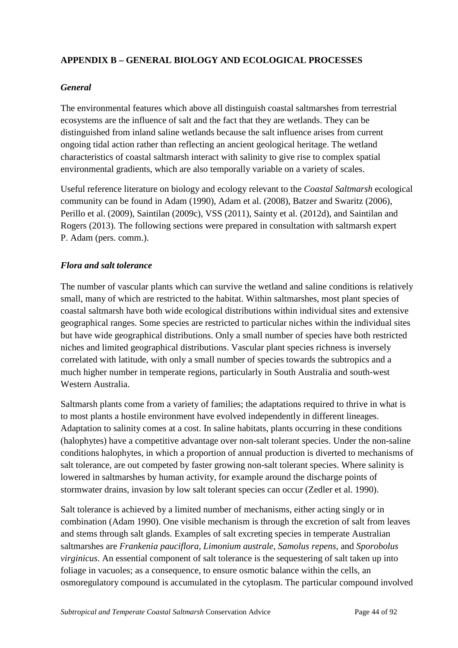## **APPENDIX B – GENERAL BIOLOGY AND ECOLOGICAL PROCESSES**

#### *General*

The environmental features which above all distinguish coastal saltmarshes from terrestrial ecosystems are the influence of salt and the fact that they are wetlands. They can be distinguished from inland saline wetlands because the salt influence arises from current ongoing tidal action rather than reflecting an ancient geological heritage. The wetland characteristics of coastal saltmarsh interact with salinity to give rise to complex spatial environmental gradients, which are also temporally variable on a variety of scales.

Useful reference literature on biology and ecology relevant to the *Coastal Saltmarsh* ecological community can be found in Adam (1990), Adam et al. (2008), Batzer and Swaritz (2006), Perillo et al. (2009), Saintilan (2009c), VSS (2011), Sainty et al. (2012d), and Saintilan and Rogers (2013). The following sections were prepared in consultation with saltmarsh expert P. Adam (pers. comm.).

## *Flora and salt tolerance*

The number of vascular plants which can survive the wetland and saline conditions is relatively small, many of which are restricted to the habitat. Within saltmarshes, most plant species of coastal saltmarsh have both wide ecological distributions within individual sites and extensive geographical ranges. Some species are restricted to particular niches within the individual sites but have wide geographical distributions. Only a small number of species have both restricted niches and limited geographical distributions. Vascular plant species richness is inversely correlated with latitude, with only a small number of species towards the subtropics and a much higher number in temperate regions, particularly in South Australia and south-west Western Australia.

Saltmarsh plants come from a variety of families; the adaptations required to thrive in what is to most plants a hostile environment have evolved independently in different lineages. Adaptation to salinity comes at a cost. In saline habitats, plants occurring in these conditions (halophytes) have a competitive advantage over non-salt tolerant species. Under the non-saline conditions halophytes, in which a proportion of annual production is diverted to mechanisms of salt tolerance, are out competed by faster growing non-salt tolerant species. Where salinity is lowered in saltmarshes by human activity, for example around the discharge points of stormwater drains, invasion by low salt tolerant species can occur (Zedler et al. 1990).

Salt tolerance is achieved by a limited number of mechanisms, either acting singly or in combination (Adam 1990). One visible mechanism is through the excretion of salt from leaves and stems through salt glands. Examples of salt excreting species in temperate Australian saltmarshes are *Frankenia pauciflora, Limonium australe, Samolus repens*, and *Sporobolus virginicus*. An essential component of salt tolerance is the sequestering of salt taken up into foliage in vacuoles; as a consequence, to ensure osmotic balance within the cells, an osmoregulatory compound is accumulated in the cytoplasm. The particular compound involved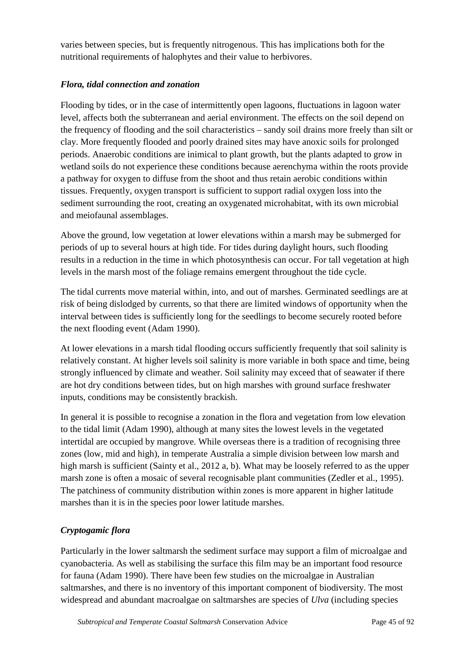varies between species, but is frequently nitrogenous. This has implications both for the nutritional requirements of halophytes and their value to herbivores.

# *Flora, tidal connection and zonation*

Flooding by tides, or in the case of intermittently open lagoons, fluctuations in lagoon water level, affects both the subterranean and aerial environment. The effects on the soil depend on the frequency of flooding and the soil characteristics – sandy soil drains more freely than silt or clay. More frequently flooded and poorly drained sites may have anoxic soils for prolonged periods. Anaerobic conditions are inimical to plant growth, but the plants adapted to grow in wetland soils do not experience these conditions because aerenchyma within the roots provide a pathway for oxygen to diffuse from the shoot and thus retain aerobic conditions within tissues. Frequently, oxygen transport is sufficient to support radial oxygen loss into the sediment surrounding the root, creating an oxygenated microhabitat, with its own microbial and meiofaunal assemblages.

Above the ground, low vegetation at lower elevations within a marsh may be submerged for periods of up to several hours at high tide. For tides during daylight hours, such flooding results in a reduction in the time in which photosynthesis can occur. For tall vegetation at high levels in the marsh most of the foliage remains emergent throughout the tide cycle.

The tidal currents move material within, into, and out of marshes. Germinated seedlings are at risk of being dislodged by currents, so that there are limited windows of opportunity when the interval between tides is sufficiently long for the seedlings to become securely rooted before the next flooding event (Adam 1990).

At lower elevations in a marsh tidal flooding occurs sufficiently frequently that soil salinity is relatively constant. At higher levels soil salinity is more variable in both space and time, being strongly influenced by climate and weather. Soil salinity may exceed that of seawater if there are hot dry conditions between tides, but on high marshes with ground surface freshwater inputs, conditions may be consistently brackish.

In general it is possible to recognise a zonation in the flora and vegetation from low elevation to the tidal limit (Adam 1990), although at many sites the lowest levels in the vegetated intertidal are occupied by mangrove. While overseas there is a tradition of recognising three zones (low, mid and high), in temperate Australia a simple division between low marsh and high marsh is sufficient (Sainty et al., 2012 a, b). What may be loosely referred to as the upper marsh zone is often a mosaic of several recognisable plant communities (Zedler et al., 1995). The patchiness of community distribution within zones is more apparent in higher latitude marshes than it is in the species poor lower latitude marshes.

# *Cryptogamic flora*

Particularly in the lower saltmarsh the sediment surface may support a film of microalgae and cyanobacteria. As well as stabilising the surface this film may be an important food resource for fauna (Adam 1990). There have been few studies on the microalgae in Australian saltmarshes, and there is no inventory of this important component of biodiversity. The most widespread and abundant macroalgae on saltmarshes are species of *Ulva* (including species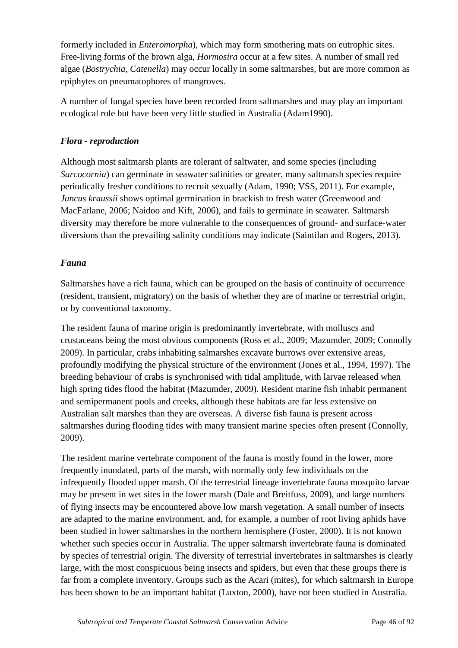formerly included in *Enteromorpha*), which may form smothering mats on eutrophic sites. Free-living forms of the brown alga, *Hormosira* occur at a few sites. A number of small red algae (*Bostrychia, Catenella*) may occur locally in some saltmarshes, but are more common as epiphytes on pneumatophores of mangroves.

A number of fungal species have been recorded from saltmarshes and may play an important ecological role but have been very little studied in Australia (Adam1990).

## *Flora - reproduction*

Although most saltmarsh plants are tolerant of saltwater, and some species (including *Sarcocornia*) can germinate in seawater salinities or greater, many saltmarsh species require periodically fresher conditions to recruit sexually (Adam, 1990; VSS, 2011). For example, *Juncus kraussii* shows optimal germination in brackish to fresh water (Greenwood and MacFarlane, 2006; Naidoo and Kift, 2006), and fails to germinate in seawater. Saltmarsh diversity may therefore be more vulnerable to the consequences of ground- and surface-water diversions than the prevailing salinity conditions may indicate (Saintilan and Rogers, 2013).

## *Fauna*

Saltmarshes have a rich fauna, which can be grouped on the basis of continuity of occurrence (resident, transient, migratory) on the basis of whether they are of marine or terrestrial origin, or by conventional taxonomy.

The resident fauna of marine origin is predominantly invertebrate, with molluscs and crustaceans being the most obvious components (Ross et al., 2009; Mazumder, 2009; Connolly 2009). In particular, crabs inhabiting salmarshes excavate burrows over extensive areas, profoundly modifying the physical structure of the environment (Jones et al., 1994, 1997). The breeding behaviour of crabs is synchronised with tidal amplitude, with larvae released when high spring tides flood the habitat (Mazumder, 2009). Resident marine fish inhabit permanent and semipermanent pools and creeks, although these habitats are far less extensive on Australian salt marshes than they are overseas. A diverse fish fauna is present across saltmarshes during flooding tides with many transient marine species often present (Connolly, 2009).

The resident marine vertebrate component of the fauna is mostly found in the lower, more frequently inundated, parts of the marsh, with normally only few individuals on the infrequently flooded upper marsh. Of the terrestrial lineage invertebrate fauna mosquito larvae may be present in wet sites in the lower marsh (Dale and Breitfuss, 2009), and large numbers of flying insects may be encountered above low marsh vegetation. A small number of insects are adapted to the marine environment, and, for example, a number of root living aphids have been studied in lower saltmarshes in the northern hemisphere (Foster, 2000). It is not known whether such species occur in Australia. The upper saltmarsh invertebrate fauna is dominated by species of terrestrial origin. The diversity of terrestrial invertebrates in saltmarshes is clearly large, with the most conspicuous being insects and spiders, but even that these groups there is far from a complete inventory. Groups such as the Acari (mites), for which saltmarsh in Europe has been shown to be an important habitat (Luxton, 2000), have not been studied in Australia.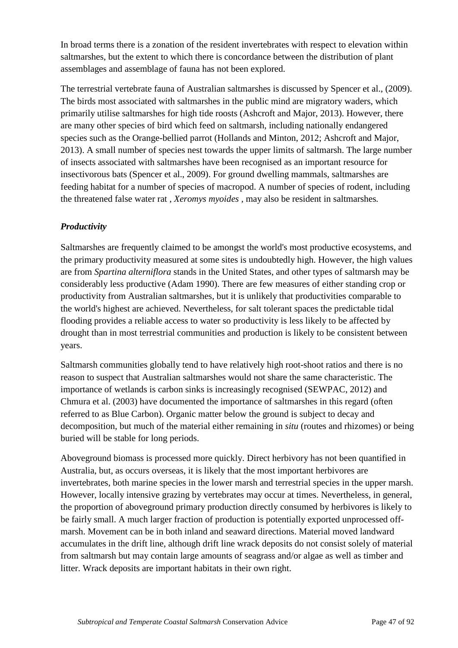In broad terms there is a zonation of the resident invertebrates with respect to elevation within saltmarshes, but the extent to which there is concordance between the distribution of plant assemblages and assemblage of fauna has not been explored.

The terrestrial vertebrate fauna of Australian saltmarshes is discussed by Spencer et al., (2009). The birds most associated with saltmarshes in the public mind are migratory waders, which primarily utilise saltmarshes for high tide roosts (Ashcroft and Major, 2013). However, there are many other species of bird which feed on saltmarsh, including nationally endangered species such as the Orange-bellied parrot (Hollands and Minton, 2012; Ashcroft and Major, 2013). A small number of species nest towards the upper limits of saltmarsh. The large number of insects associated with saltmarshes have been recognised as an important resource for insectivorous bats (Spencer et al., 2009). For ground dwelling mammals, saltmarshes are feeding habitat for a number of species of macropod. A number of species of rodent, including the threatened false water rat , *Xeromys myoides ,* may also be resident in saltmarshes*.*

# *Productivity*

Saltmarshes are frequently claimed to be amongst the world's most productive ecosystems, and the primary productivity measured at some sites is undoubtedly high. However, the high values are from *Spartina alterniflora* stands in the United States, and other types of saltmarsh may be considerably less productive (Adam 1990). There are few measures of either standing crop or productivity from Australian saltmarshes, but it is unlikely that productivities comparable to the world's highest are achieved. Nevertheless, for salt tolerant spaces the predictable tidal flooding provides a reliable access to water so productivity is less likely to be affected by drought than in most terrestrial communities and production is likely to be consistent between years.

Saltmarsh communities globally tend to have relatively high root-shoot ratios and there is no reason to suspect that Australian saltmarshes would not share the same characteristic. The importance of wetlands is carbon sinks is increasingly recognised (SEWPAC, 2012) and Chmura et al. (2003) have documented the importance of saltmarshes in this regard (often referred to as Blue Carbon). Organic matter below the ground is subject to decay and decomposition, but much of the material either remaining in *situ* (routes and rhizomes) or being buried will be stable for long periods.

Aboveground biomass is processed more quickly. Direct herbivory has not been quantified in Australia, but, as occurs overseas, it is likely that the most important herbivores are invertebrates, both marine species in the lower marsh and terrestrial species in the upper marsh. However, locally intensive grazing by vertebrates may occur at times. Nevertheless, in general, the proportion of aboveground primary production directly consumed by herbivores is likely to be fairly small. A much larger fraction of production is potentially exported unprocessed offmarsh. Movement can be in both inland and seaward directions. Material moved landward accumulates in the drift line, although drift line wrack deposits do not consist solely of material from saltmarsh but may contain large amounts of seagrass and/or algae as well as timber and litter. Wrack deposits are important habitats in their own right.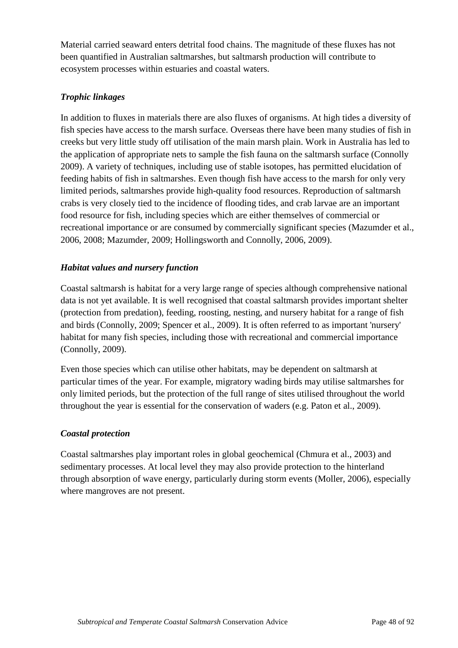Material carried seaward enters detrital food chains. The magnitude of these fluxes has not been quantified in Australian saltmarshes, but saltmarsh production will contribute to ecosystem processes within estuaries and coastal waters.

## *Trophic linkages*

In addition to fluxes in materials there are also fluxes of organisms. At high tides a diversity of fish species have access to the marsh surface. Overseas there have been many studies of fish in creeks but very little study off utilisation of the main marsh plain. Work in Australia has led to the application of appropriate nets to sample the fish fauna on the saltmarsh surface (Connolly 2009). A variety of techniques, including use of stable isotopes, has permitted elucidation of feeding habits of fish in saltmarshes. Even though fish have access to the marsh for only very limited periods, saltmarshes provide high-quality food resources. Reproduction of saltmarsh crabs is very closely tied to the incidence of flooding tides, and crab larvae are an important food resource for fish, including species which are either themselves of commercial or recreational importance or are consumed by commercially significant species (Mazumder et al., 2006, 2008; Mazumder, 2009; Hollingsworth and Connolly, 2006, 2009).

## *Habitat values and nursery function*

Coastal saltmarsh is habitat for a very large range of species although comprehensive national data is not yet available. It is well recognised that coastal saltmarsh provides important shelter (protection from predation), feeding, roosting, nesting, and nursery habitat for a range of fish and birds (Connolly, 2009; Spencer et al., 2009). It is often referred to as important 'nursery' habitat for many fish species, including those with recreational and commercial importance (Connolly, 2009).

Even those species which can utilise other habitats, may be dependent on saltmarsh at particular times of the year. For example, migratory wading birds may utilise saltmarshes for only limited periods, but the protection of the full range of sites utilised throughout the world throughout the year is essential for the conservation of waders (e.g. Paton et al., 2009).

## *Coastal protection*

Coastal saltmarshes play important roles in global geochemical (Chmura et al., 2003) and sedimentary processes. At local level they may also provide protection to the hinterland through absorption of wave energy, particularly during storm events (Moller, 2006), especially where mangroves are not present.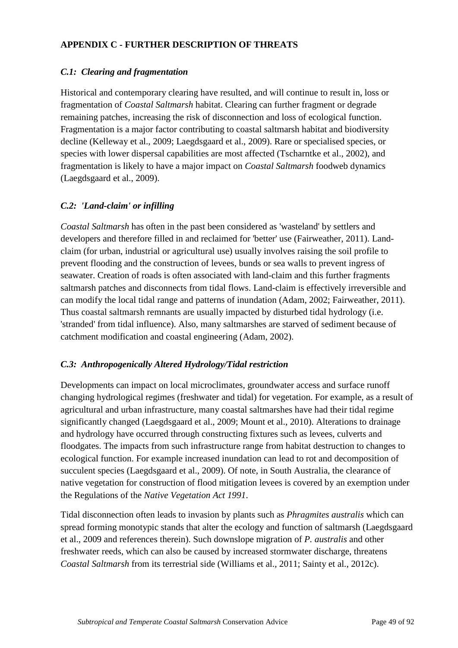# **APPENDIX C - FURTHER DESCRIPTION OF THREATS**

## *C.1: Clearing and fragmentation*

Historical and contemporary clearing have resulted, and will continue to result in, loss or fragmentation of *Coastal Saltmarsh* habitat. Clearing can further fragment or degrade remaining patches, increasing the risk of disconnection and loss of ecological function. Fragmentation is a major factor contributing to coastal saltmarsh habitat and biodiversity decline (Kelleway et al., 2009; Laegdsgaard et al., 2009). Rare or specialised species, or species with lower dispersal capabilities are most affected (Tscharntke et al., 2002), and fragmentation is likely to have a major impact on *Coastal Saltmarsh* foodweb dynamics (Laegdsgaard et al., 2009).

## *C.2: 'Land-claim' or infilling*

*Coastal Saltmarsh* has often in the past been considered as 'wasteland' by settlers and developers and therefore filled in and reclaimed for 'better' use (Fairweather, 2011). Landclaim (for urban, industrial or agricultural use) usually involves raising the soil profile to prevent flooding and the construction of levees, bunds or sea walls to prevent ingress of seawater. Creation of roads is often associated with land-claim and this further fragments saltmarsh patches and disconnects from tidal flows. Land-claim is effectively irreversible and can modify the local tidal range and patterns of inundation (Adam, 2002; Fairweather, 2011). Thus coastal saltmarsh remnants are usually impacted by disturbed tidal hydrology (i.e. 'stranded' from tidal influence). Also, many saltmarshes are starved of sediment because of catchment modification and coastal engineering (Adam, 2002).

## *C.3: Anthropogenically Altered Hydrology/Tidal restriction*

Developments can impact on local microclimates, groundwater access and surface runoff changing hydrological regimes (freshwater and tidal) for vegetation. For example, as a result of agricultural and urban infrastructure, many coastal saltmarshes have had their tidal regime significantly changed (Laegdsgaard et al., 2009; Mount et al., 2010). Alterations to drainage and hydrology have occurred through constructing fixtures such as levees, culverts and floodgates. The impacts from such infrastructure range from habitat destruction to changes to ecological function. For example increased inundation can lead to rot and decomposition of succulent species (Laegdsgaard et al., 2009). Of note, in South Australia, the clearance of native vegetation for construction of flood mitigation levees is covered by an exemption under the Regulations of the *Native Vegetation Act 1991*.

Tidal disconnection often leads to invasion by plants such as *Phragmites australis* which can spread forming monotypic stands that alter the ecology and function of saltmarsh (Laegdsgaard et al., 2009 and references therein). Such downslope migration of *P. australis* and other freshwater reeds, which can also be caused by increased stormwater discharge, threatens *Coastal Saltmarsh* from its terrestrial side (Williams et al., 2011; Sainty et al., 2012c).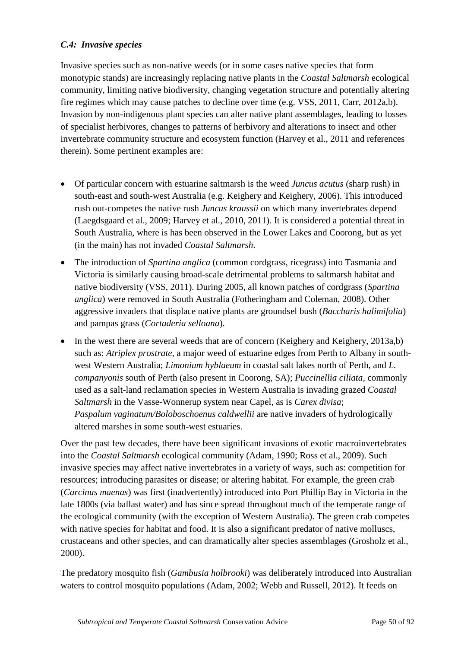# *C.4: Invasive species*

Invasive species such as non-native weeds (or in some cases native species that form monotypic stands) are increasingly replacing native plants in the *Coastal Saltmarsh* ecological community, limiting native biodiversity, changing vegetation structure and potentially altering fire regimes which may cause patches to decline over time (e.g. VSS, 2011, Carr, 2012a,b). Invasion by non-indigenous plant species can alter native plant assemblages, leading to losses of specialist herbivores, changes to patterns of herbivory and alterations to insect and other invertebrate community structure and ecosystem function (Harvey et al., 2011 and references therein). Some pertinent examples are:

- Of particular concern with estuarine saltmarsh is the weed *Juncus acutus* (sharp rush) in south-east and south-west Australia (e.g. Keighery and Keighery, 2006). This introduced rush out-competes the native rush *Juncus kraussii* on which many invertebrates depend (Laegdsgaard et al., 2009; Harvey et al., 2010, 2011). It is considered a potential threat in South Australia, where is has been observed in the Lower Lakes and Coorong, but as yet (in the main) has not invaded *Coastal Saltmarsh*.
- The introduction of *Spartina anglica* (common cordgrass, ricegrass) into Tasmania and Victoria is similarly causing broad-scale detrimental problems to saltmarsh habitat and native biodiversity (VSS, 2011). During 2005, all known patches of cordgrass (*Spartina anglica*) were removed in South Australia (Fotheringham and Coleman, 2008). Other aggressive invaders that displace native plants are groundsel bush (*Baccharis halimifolia*) and pampas grass (*Cortaderia selloana*).
- In the west there are several weeds that are of concern (Keighery and Keighery, 2013a,b) such as: *Atriplex prostrate*, a major weed of estuarine edges from Perth to Albany in southwest Western Australia; *Limonium hyblaeum* in coastal salt lakes north of Perth, and *L. companyonis* south of Perth (also present in Coorong, SA); *Puccinellia ciliata*, commonly used as a salt-land reclamation species in Western Australia is invading grazed *Coastal Saltmarsh* in the Vasse-Wonnerup system near Capel, as is *Carex divisa*; *Paspalum vaginatum/Boloboschoenus caldwellii* are native invaders of hydrologically altered marshes in some south-west estuaries.

Over the past few decades, there have been significant invasions of exotic macroinvertebrates into the *Coastal Saltmarsh* ecological community (Adam, 1990; Ross et al., 2009). Such invasive species may affect native invertebrates in a variety of ways, such as: competition for resources; introducing parasites or disease; or altering habitat. For example, the green crab (*Carcinus maenas*) was first (inadvertently) introduced into Port Phillip Bay in Victoria in the late 1800s (via ballast water) and has since spread throughout much of the temperate range of the ecological community (with the exception of Western Australia). The green crab competes with native species for habitat and food. It is also a significant predator of native molluscs, crustaceans and other species, and can dramatically alter species assemblages (Grosholz et al., 2000).

The predatory mosquito fish (*Gambusia holbrooki*) was deliberately introduced into Australian waters to control mosquito populations (Adam, 2002; Webb and Russell, 2012). It feeds on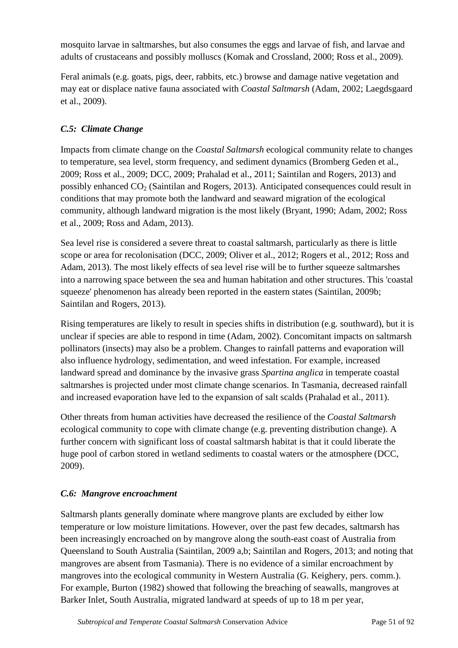mosquito larvae in saltmarshes, but also consumes the eggs and larvae of fish, and larvae and adults of crustaceans and possibly molluscs (Komak and Crossland, 2000; Ross et al., 2009).

Feral animals (e.g. goats, pigs, deer, rabbits, etc.) browse and damage native vegetation and may eat or displace native fauna associated with *Coastal Saltmarsh* (Adam, 2002; Laegdsgaard et al., 2009).

# *C.5: Climate Change*

Impacts from climate change on the *Coastal Saltmarsh* ecological community relate to changes to temperature, sea level, storm frequency, and sediment dynamics (Bromberg Geden et al., 2009; Ross et al., 2009; DCC, 2009; Prahalad et al., 2011; Saintilan and Rogers, 2013) and possibly enhanced  $CO<sub>2</sub>$  (Saintilan and Rogers, 2013). Anticipated consequences could result in conditions that may promote both the landward and seaward migration of the ecological community, although landward migration is the most likely (Bryant, 1990; Adam, 2002; Ross et al., 2009; Ross and Adam, 2013).

Sea level rise is considered a severe threat to coastal saltmarsh, particularly as there is little scope or area for recolonisation (DCC, 2009; Oliver et al., 2012; Rogers et al., 2012; Ross and Adam, 2013). The most likely effects of sea level rise will be to further squeeze saltmarshes into a narrowing space between the sea and human habitation and other structures. This 'coastal squeeze' phenomenon has already been reported in the eastern states (Saintilan, 2009b; Saintilan and Rogers, 2013).

Rising temperatures are likely to result in species shifts in distribution (e.g. southward), but it is unclear if species are able to respond in time (Adam, 2002). Concomitant impacts on saltmarsh pollinators (insects) may also be a problem. Changes to rainfall patterns and evaporation will also influence hydrology, sedimentation, and weed infestation. For example, increased landward spread and dominance by the invasive grass *Spartina anglica* in temperate coastal saltmarshes is projected under most climate change scenarios. In Tasmania, decreased rainfall and increased evaporation have led to the expansion of salt scalds (Prahalad et al., 2011).

Other threats from human activities have decreased the resilience of the *Coastal Saltmarsh* ecological community to cope with climate change (e.g. preventing distribution change). A further concern with significant loss of coastal saltmarsh habitat is that it could liberate the huge pool of carbon stored in wetland sediments to coastal waters or the atmosphere (DCC, 2009).

# *C.6: Mangrove encroachment*

Saltmarsh plants generally dominate where mangrove plants are excluded by either low temperature or low moisture limitations. However, over the past few decades, saltmarsh has been increasingly encroached on by mangrove along the south-east coast of Australia from Queensland to South Australia (Saintilan, 2009 a,b; Saintilan and Rogers, 2013; and noting that mangroves are absent from Tasmania). There is no evidence of a similar encroachment by mangroves into the ecological community in Western Australia (G. Keighery, pers. comm.). For example, Burton (1982) showed that following the breaching of seawalls, mangroves at Barker Inlet, South Australia, migrated landward at speeds of up to 18 m per year,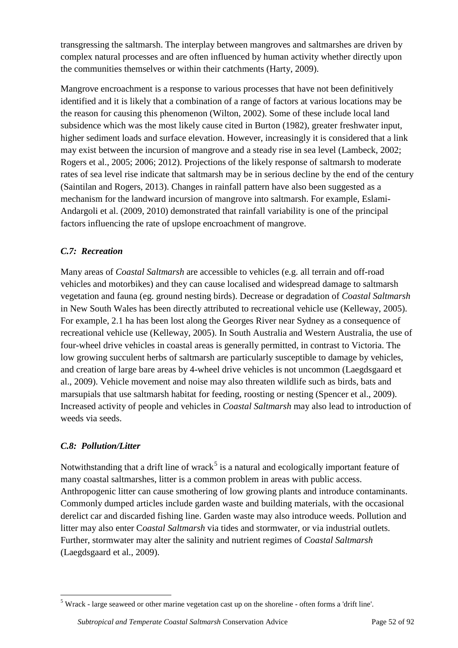transgressing the saltmarsh. The interplay between mangroves and saltmarshes are driven by complex natural processes and are often influenced by human activity whether directly upon the communities themselves or within their catchments (Harty, 2009).

Mangrove encroachment is a response to various processes that have not been definitively identified and it is likely that a combination of a range of factors at various locations may be the reason for causing this phenomenon (Wilton, 2002). Some of these include local land subsidence which was the most likely cause cited in Burton (1982), greater freshwater input, higher sediment loads and surface elevation. However, increasingly it is considered that a link may exist between the incursion of mangrove and a steady rise in sea level (Lambeck, 2002; Rogers et al., 2005; 2006; 2012). Projections of the likely response of saltmarsh to moderate rates of sea level rise indicate that saltmarsh may be in serious decline by the end of the century (Saintilan and Rogers, 2013). Changes in rainfall pattern have also been suggested as a mechanism for the landward incursion of mangrove into saltmarsh. For example, Eslami-Andargoli et al. (2009, 2010) demonstrated that rainfall variability is one of the principal factors influencing the rate of upslope encroachment of mangrove.

# *C.7: Recreation*

Many areas of *Coastal Saltmarsh* are accessible to vehicles (e.g. all terrain and off-road vehicles and motorbikes) and they can cause localised and widespread damage to saltmarsh vegetation and fauna (eg. ground nesting birds). Decrease or degradation of *Coastal Saltmarsh* in New South Wales has been directly attributed to recreational vehicle use (Kelleway, 2005). For example, 2.1 ha has been lost along the Georges River near Sydney as a consequence of recreational vehicle use (Kelleway, 2005). In South Australia and Western Australia, the use of four-wheel drive vehicles in coastal areas is generally permitted, in contrast to Victoria. The low growing succulent herbs of saltmarsh are particularly susceptible to damage by vehicles, and creation of large bare areas by 4-wheel drive vehicles is not uncommon (Laegdsgaard et al., 2009). Vehicle movement and noise may also threaten wildlife such as birds, bats and marsupials that use saltmarsh habitat for feeding, roosting or nesting (Spencer et al., 2009). Increased activity of people and vehicles in *Coastal Saltmarsh* may also lead to introduction of weeds via seeds.

## *C.8: Pollution/Litter*

Notwithstanding that a drift line of wrack<sup>[5](#page-51-0)</sup> is a natural and ecologically important feature of many coastal saltmarshes, litter is a common problem in areas with public access. Anthropogenic litter can cause smothering of low growing plants and introduce contaminants. Commonly dumped articles include garden waste and building materials, with the occasional derelict car and discarded fishing line. Garden waste may also introduce weeds. Pollution and litter may also enter C*oastal Saltmarsh* via tides and stormwater, or via industrial outlets. Further, stormwater may alter the salinity and nutrient regimes of *Coastal Saltmarsh* (Laegdsgaard et al., 2009).

<span id="page-51-0"></span> <sup>5</sup> Wrack - large seaweed or other marine vegetation cast up on the shoreline - often forms a 'drift line'.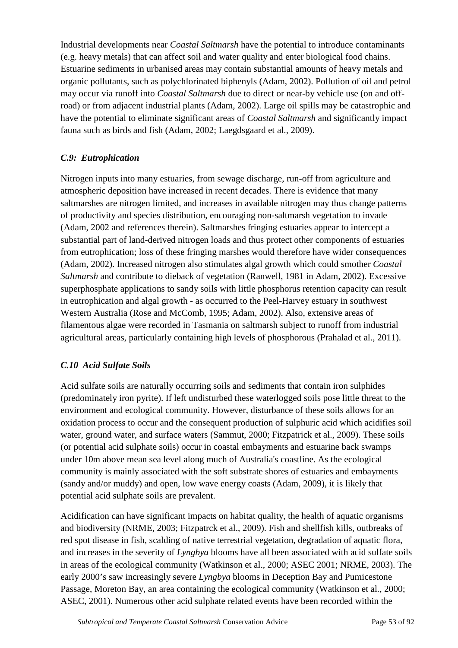Industrial developments near *Coastal Saltmarsh* have the potential to introduce contaminants (e.g. heavy metals) that can affect soil and water quality and enter biological food chains. Estuarine sediments in urbanised areas may contain substantial amounts of heavy metals and organic pollutants, such as polychlorinated biphenyls (Adam, 2002). Pollution of oil and petrol may occur via runoff into *Coastal Saltmarsh* due to direct or near-by vehicle use (on and offroad) or from adjacent industrial plants (Adam, 2002). Large oil spills may be catastrophic and have the potential to eliminate significant areas of *Coastal Saltmarsh* and significantly impact fauna such as birds and fish (Adam, 2002; Laegdsgaard et al., 2009).

# *C.9: Eutrophication*

Nitrogen inputs into many estuaries, from sewage discharge, run-off from agriculture and atmospheric deposition have increased in recent decades. There is evidence that many saltmarshes are nitrogen limited, and increases in available nitrogen may thus change patterns of productivity and species distribution, encouraging non-saltmarsh vegetation to invade (Adam, 2002 and references therein). Saltmarshes fringing estuaries appear to intercept a substantial part of land-derived nitrogen loads and thus protect other components of estuaries from eutrophication; loss of these fringing marshes would therefore have wider consequences (Adam, 2002). Increased nitrogen also stimulates algal growth which could smother *Coastal Saltmarsh* and contribute to dieback of vegetation (Ranwell, 1981 in Adam, 2002). Excessive superphosphate applications to sandy soils with little phosphorus retention capacity can result in eutrophication and algal growth - as occurred to the Peel-Harvey estuary in southwest Western Australia (Rose and McComb, 1995; Adam, 2002). Also, extensive areas of filamentous algae were recorded in Tasmania on saltmarsh subject to runoff from industrial agricultural areas, particularly containing high levels of phosphorous (Prahalad et al., 2011).

# *C.10 Acid Sulfate Soils*

Acid sulfate soils are naturally occurring soils and sediments that contain iron sulphides (predominately iron pyrite). If left undisturbed these waterlogged soils pose little threat to the environment and ecological community. However, disturbance of these soils allows for an oxidation process to occur and the consequent production of sulphuric acid which acidifies soil water, ground water, and surface waters (Sammut, 2000; Fitzpatrick et al., 2009). These soils (or potential acid sulphate soils) occur in coastal embayments and estuarine back swamps under 10m above mean sea level along much of Australia's coastline. As the ecological community is mainly associated with the soft substrate shores of estuaries and embayments (sandy and/or muddy) and open, low wave energy coasts (Adam, 2009), it is likely that potential acid sulphate soils are prevalent.

Acidification can have significant impacts on habitat quality, the health of aquatic organisms and biodiversity (NRME, 2003; Fitzpatrck et al., 2009). Fish and shellfish kills, outbreaks of red spot disease in fish, scalding of native terrestrial vegetation, degradation of aquatic flora, and increases in the severity of *Lyngbya* blooms have all been associated with acid sulfate soils in areas of the ecological community (Watkinson et al., 2000; ASEC 2001; NRME, 2003). The early 2000's saw increasingly severe *Lyngbya* blooms in Deception Bay and Pumicestone Passage, Moreton Bay, an area containing the ecological community (Watkinson et al*.,* 2000; ASEC, 2001). Numerous other acid sulphate related events have been recorded within the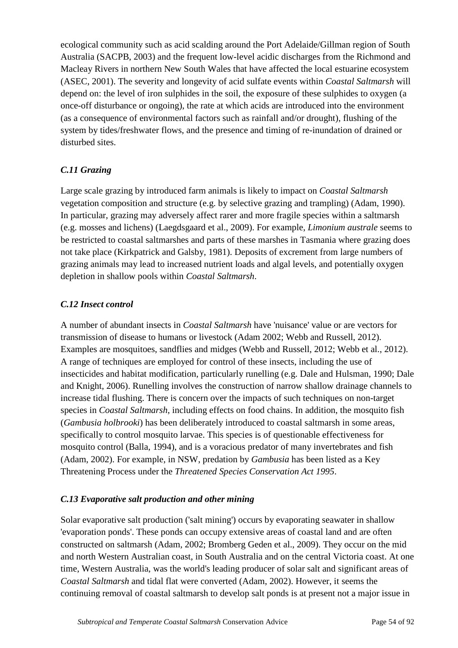ecological community such as acid scalding around the Port Adelaide/Gillman region of South Australia (SACPB, 2003) and the frequent low-level acidic discharges from the Richmond and Macleay Rivers in northern New South Wales that have affected the local estuarine ecosystem (ASEC, 2001). The severity and longevity of acid sulfate events within *Coastal Saltmarsh* will depend on: the level of iron sulphides in the soil, the exposure of these sulphides to oxygen (a once-off disturbance or ongoing), the rate at which acids are introduced into the environment (as a consequence of environmental factors such as rainfall and/or drought), flushing of the system by tides/freshwater flows, and the presence and timing of re-inundation of drained or disturbed sites.

# *C.11 Grazing*

Large scale grazing by introduced farm animals is likely to impact on *Coastal Saltmarsh* vegetation composition and structure (e.g. by selective grazing and trampling) (Adam, 1990). In particular, grazing may adversely affect rarer and more fragile species within a saltmarsh (e.g. mosses and lichens) (Laegdsgaard et al., 2009). For example, *Limonium australe* seems to be restricted to coastal saltmarshes and parts of these marshes in Tasmania where grazing does not take place (Kirkpatrick and Galsby, 1981). Deposits of excrement from large numbers of grazing animals may lead to increased nutrient loads and algal levels, and potentially oxygen depletion in shallow pools within *Coastal Saltmarsh*.

# *C.12 Insect control*

A number of abundant insects in *Coastal Saltmarsh* have 'nuisance' value or are vectors for transmission of disease to humans or livestock (Adam 2002; Webb and Russell, 2012). Examples are mosquitoes, sandflies and midges (Webb and Russell, 2012; Webb et al., 2012). A range of techniques are employed for control of these insects, including the use of insecticides and habitat modification, particularly runelling (e.g. Dale and Hulsman, 1990; Dale and Knight, 2006). Runelling involves the construction of narrow shallow drainage channels to increase tidal flushing. There is concern over the impacts of such techniques on non-target species in *Coastal Saltmarsh*, including effects on food chains. In addition, the mosquito fish (*Gambusia holbrooki*) has been deliberately introduced to coastal saltmarsh in some areas, specifically to control mosquito larvae. This species is of questionable effectiveness for mosquito control (Balla, 1994), and is a voracious predator of many invertebrates and fish (Adam, 2002). For example, in NSW, predation by *Gambusia* has been listed as a Key Threatening Process under the *Threatened Species Conservation Act 1995*.

# *C.13 Evaporative salt production and other mining*

Solar evaporative salt production ('salt mining') occurs by evaporating seawater in shallow 'evaporation ponds'. These ponds can occupy extensive areas of coastal land and are often constructed on saltmarsh (Adam, 2002; Bromberg Geden et al., 2009). They occur on the mid and north Western Australian coast, in South Australia and on the central Victoria coast. At one time, Western Australia, was the world's leading producer of solar salt and significant areas of *Coastal Saltmarsh* and tidal flat were converted (Adam, 2002). However, it seems the continuing removal of coastal saltmarsh to develop salt ponds is at present not a major issue in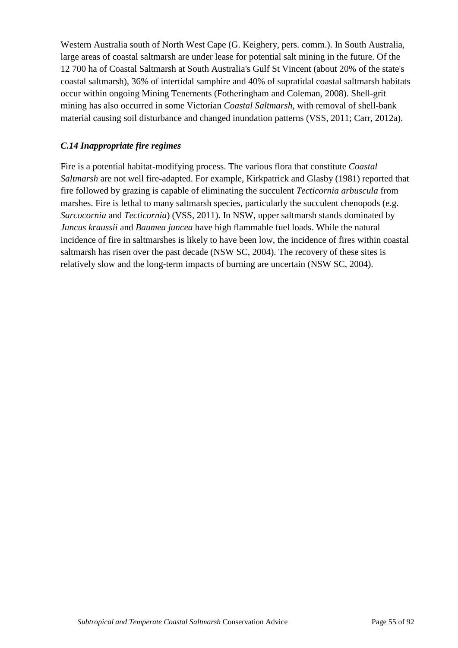Western Australia south of North West Cape (G. Keighery, pers. comm.). In South Australia, large areas of coastal saltmarsh are under lease for potential salt mining in the future. Of the 12 700 ha of Coastal Saltmarsh at South Australia's Gulf St Vincent (about 20% of the state's coastal saltmarsh), 36% of intertidal samphire and 40% of supratidal coastal saltmarsh habitats occur within ongoing Mining Tenements (Fotheringham and Coleman, 2008). Shell-grit mining has also occurred in some Victorian *Coastal Saltmarsh*, with removal of shell-bank material causing soil disturbance and changed inundation patterns (VSS, 2011; Carr, 2012a).

## *C.14 Inappropriate fire regimes*

Fire is a potential habitat-modifying process. The various flora that constitute *Coastal Saltmarsh* are not well fire-adapted. For example, Kirkpatrick and Glasby (1981) reported that fire followed by grazing is capable of eliminating the succulent *Tecticornia arbuscula* from marshes. Fire is lethal to many saltmarsh species, particularly the succulent chenopods (e.g. *Sarcocornia* and *Tecticornia*) (VSS, 2011). In NSW, upper saltmarsh stands dominated by *Juncus kraussii* and *Baumea juncea* have high flammable fuel loads. While the natural incidence of fire in saltmarshes is likely to have been low, the incidence of fires within coastal saltmarsh has risen over the past decade (NSW SC, 2004). The recovery of these sites is relatively slow and the long-term impacts of burning are uncertain (NSW SC, 2004).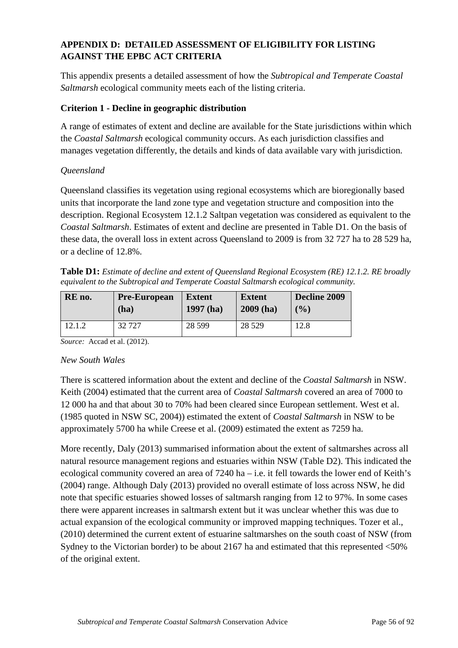# **APPENDIX D: DETAILED ASSESSMENT OF ELIGIBILITY FOR LISTING AGAINST THE EPBC ACT CRITERIA**

This appendix presents a detailed assessment of how the *Subtropical and Temperate Coastal Saltmarsh* ecological community meets each of the listing criteria.

## **Criterion 1 - Decline in geographic distribution**

A range of estimates of extent and decline are available for the State jurisdictions within which the *Coastal Saltmarsh* ecological community occurs. As each jurisdiction classifies and manages vegetation differently, the details and kinds of data available vary with jurisdiction.

## *Queensland*

Queensland classifies its vegetation using regional ecosystems which are bioregionally based units that incorporate the land zone type and vegetation structure and composition into the description. Regional Ecosystem 12.1.2 Saltpan vegetation was considered as equivalent to the *Coastal Saltmarsh*. Estimates of extent and decline are presented in Table D1. On the basis of these data, the overall loss in extent across Queensland to 2009 is from 32 727 ha to 28 529 ha, or a decline of 12.8%.

**Table D1:** *Estimate of decline and extent of Queensland Regional Ecosystem (RE) 12.1.2. RE broadly equivalent to the Subtropical and Temperate Coastal Saltmarsh ecological community.* 

| RE no. | <b>Pre-European</b> | <b>Extent</b> | <b>Extent</b> | Decline 2009 |
|--------|---------------------|---------------|---------------|--------------|
|        | (ha)                | $1997$ (ha)   | $2009$ (ha)   | $($ %)       |
| 12.1.2 | 32727               | 28 5 9 9      | 28 5 29       | 12.8         |

*Source:* Accad et al. (2012).

## *New South Wales*

There is scattered information about the extent and decline of the *Coastal Saltmarsh* in NSW. Keith (2004) estimated that the current area of *Coastal Saltmarsh* covered an area of 7000 to 12 000 ha and that about 30 to 70% had been cleared since European settlement. West et al. (1985 quoted in NSW SC, 2004)) estimated the extent of *Coastal Saltmarsh* in NSW to be approximately 5700 ha while Creese et al. (2009) estimated the extent as 7259 ha.

More recently, Daly (2013) summarised information about the extent of saltmarshes across all natural resource management regions and estuaries within NSW (Table D2). This indicated the ecological community covered an area of 7240 ha – i.e. it fell towards the lower end of Keith's (2004) range. Although Daly (2013) provided no overall estimate of loss across NSW, he did note that specific estuaries showed losses of saltmarsh ranging from 12 to 97%. In some cases there were apparent increases in saltmarsh extent but it was unclear whether this was due to actual expansion of the ecological community or improved mapping techniques. Tozer et al., (2010) determined the current extent of estuarine saltmarshes on the south coast of NSW (from Sydney to the Victorian border) to be about 2167 ha and estimated that this represented <50% of the original extent.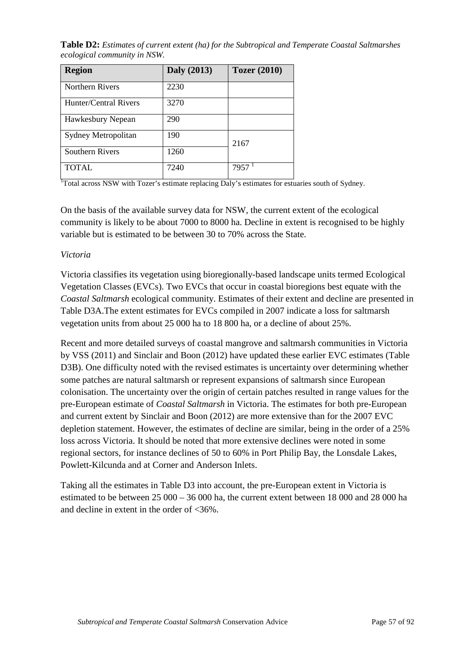**Table D2:** *Estimates of current extent (ha) for the Subtropical and Temperate Coastal Saltmarshes ecological community in NSW.* 

| <b>Region</b>         | <b>Daly</b> (2013) | <b>Tozer</b> (2010) |
|-----------------------|--------------------|---------------------|
| Northern Rivers       | 2230               |                     |
| Hunter/Central Rivers | 3270               |                     |
| Hawkesbury Nepean     | 290                |                     |
| Sydney Metropolitan   | 190                | 2167                |
| Southern Rivers       | 1260               |                     |
| TOTAL.                | 7240               | 7957                |

<sup>1</sup>Total across NSW with Tozer's estimate replacing Daly's estimates for estuaries south of Sydney.

On the basis of the available survey data for NSW, the current extent of the ecological community is likely to be about 7000 to 8000 ha. Decline in extent is recognised to be highly variable but is estimated to be between 30 to 70% across the State.

## *Victoria*

Victoria classifies its vegetation using bioregionally-based landscape units termed Ecological Vegetation Classes (EVCs). Two EVCs that occur in coastal bioregions best equate with the *Coastal Saltmarsh* ecological community. Estimates of their extent and decline are presented in Table D3A.The extent estimates for EVCs compiled in 2007 indicate a loss for saltmarsh vegetation units from about 25 000 ha to 18 800 ha, or a decline of about 25%.

Recent and more detailed surveys of coastal mangrove and saltmarsh communities in Victoria by VSS (2011) and Sinclair and Boon (2012) have updated these earlier EVC estimates (Table D3B). One difficulty noted with the revised estimates is uncertainty over determining whether some patches are natural saltmarsh or represent expansions of saltmarsh since European colonisation. The uncertainty over the origin of certain patches resulted in range values for the pre-European estimate of *Coastal Saltmarsh* in Victoria. The estimates for both pre-European and current extent by Sinclair and Boon (2012) are more extensive than for the 2007 EVC depletion statement. However, the estimates of decline are similar, being in the order of a 25% loss across Victoria. It should be noted that more extensive declines were noted in some regional sectors, for instance declines of 50 to 60% in Port Philip Bay, the Lonsdale Lakes, Powlett-Kilcunda and at Corner and Anderson Inlets.

Taking all the estimates in Table D3 into account, the pre-European extent in Victoria is estimated to be between 25 000 – 36 000 ha, the current extent between 18 000 and 28 000 ha and decline in extent in the order of <36%.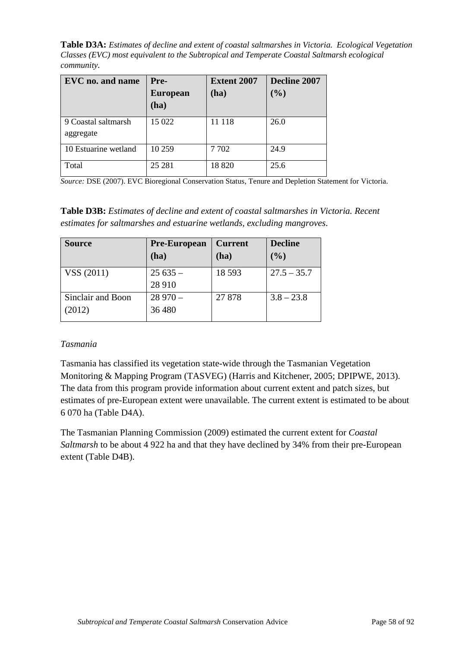**Table D3A:** *Estimates of decline and extent of coastal saltmarshes in Victoria. Ecological Vegetation Classes (EVC) most equivalent to the Subtropical and Temperate Coastal Saltmarsh ecological community.* 

| EVC no. and name                 | Pre-<br><b>European</b><br>(ha) | <b>Extent 2007</b><br>(ha) | Decline 2007<br>(%) |
|----------------------------------|---------------------------------|----------------------------|---------------------|
| 9 Coastal saltmarsh<br>aggregate | 15 022                          | 11 118                     | 26.0                |
| 10 Estuarine wetland             | 10 259                          | 7702                       | 24.9                |
| Total                            | 25 28 1                         | 18820                      | 25.6                |

*Source:* DSE (2007). EVC Bioregional Conservation Status, Tenure and Depletion Statement for Victoria.

**Table D3B:** *Estimates of decline and extent of coastal saltmarshes in Victoria. Recent estimates for saltmarshes and estuarine wetlands, excluding mangroves*.

| <b>Source</b>               | <b>Pre-European</b><br>(ha) | <b>Current</b><br>(ha) | <b>Decline</b><br>(%) |
|-----------------------------|-----------------------------|------------------------|-----------------------|
| VSS (2011)                  | $25635 -$<br>28 910         | 18 5 93                | $27.5 - 35.7$         |
| Sinclair and Boon<br>(2012) | $28970 -$<br>36 480         | 27878                  | $3.8 - 23.8$          |

#### *Tasmania*

Tasmania has classified its vegetation state-wide through the Tasmanian Vegetation Monitoring & Mapping Program (TASVEG) (Harris and Kitchener, 2005; DPIPWE, 2013). The data from this program provide information about current extent and patch sizes, but estimates of pre-European extent were unavailable. The current extent is estimated to be about 6 070 ha (Table D4A).

The Tasmanian Planning Commission (2009) estimated the current extent for *Coastal Saltmarsh* to be about 4 922 ha and that they have declined by 34% from their pre-European extent (Table D4B).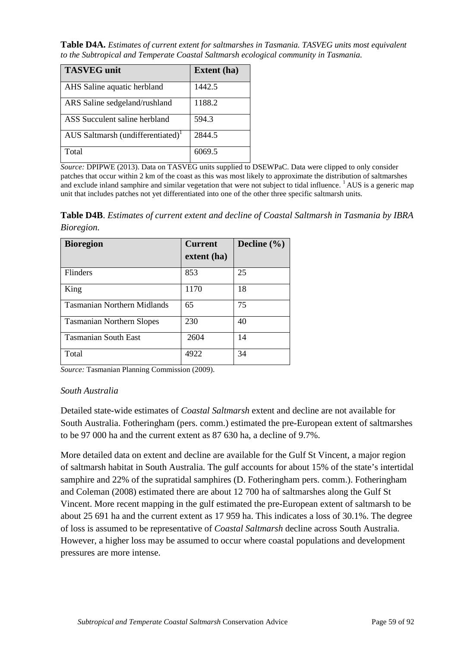**Table D4A.** *Estimates of current extent for saltmarshes in Tasmania. TASVEG units most equivalent to the Subtropical and Temperate Coastal Saltmarsh ecological community in Tasmania.*

| <b>TASVEG</b> unit                            | <b>Extent</b> (ha) |
|-----------------------------------------------|--------------------|
| AHS Saline aquatic herbland                   | 1442.5             |
| ARS Saline sedgeland/rushland                 | 1188.2             |
| ASS Succulent saline herbland                 | 594.3              |
| AUS Saltmarsh (undifferentiated) <sup>1</sup> | 2844.5             |
| Total                                         | 6069.5             |

*Source:* DPIPWE (2013). Data on TASVEG units supplied to DSEWPaC. Data were clipped to only consider patches that occur within 2 km of the coast as this was most likely to approximate the distribution of saltmarshes and exclude inland samphire and similar vegetation that were not subject to tidal influence. <sup>1</sup>AUS is a generic map unit that includes patches not yet differentiated into one of the other three specific saltmarsh units*.*

**Table D4B**. *Estimates of current extent and decline of Coastal Saltmarsh in Tasmania by IBRA Bioregion.*

| <b>Bioregion</b>                   | <b>Current</b><br>extent (ha) | Decline $(\% )$ |
|------------------------------------|-------------------------------|-----------------|
| <b>Flinders</b>                    | 853                           | 25              |
| King                               | 1170                          | 18              |
| <b>Tasmanian Northern Midlands</b> | 65                            | 75              |
| <b>Tasmanian Northern Slopes</b>   | 230                           | 40              |
| <b>Tasmanian South East</b>        | 2604                          | 14              |
| Total                              | 4922                          | 34              |

*Source:* Tasmanian Planning Commission (2009).

#### *South Australia*

Detailed state-wide estimates of *Coastal Saltmarsh* extent and decline are not available for South Australia. Fotheringham (pers. comm.) estimated the pre-European extent of saltmarshes to be 97 000 ha and the current extent as 87 630 ha, a decline of 9.7%.

More detailed data on extent and decline are available for the Gulf St Vincent, a major region of saltmarsh habitat in South Australia. The gulf accounts for about 15% of the state's intertidal samphire and 22% of the supratidal samphires (D. Fotheringham pers. comm.). Fotheringham and Coleman (2008) estimated there are about 12 700 ha of saltmarshes along the Gulf St Vincent. More recent mapping in the gulf estimated the pre-European extent of saltmarsh to be about 25 691 ha and the current extent as 17 959 ha. This indicates a loss of 30.1%. The degree of loss is assumed to be representative of *Coastal Saltmarsh* decline across South Australia. However, a higher loss may be assumed to occur where coastal populations and development pressures are more intense.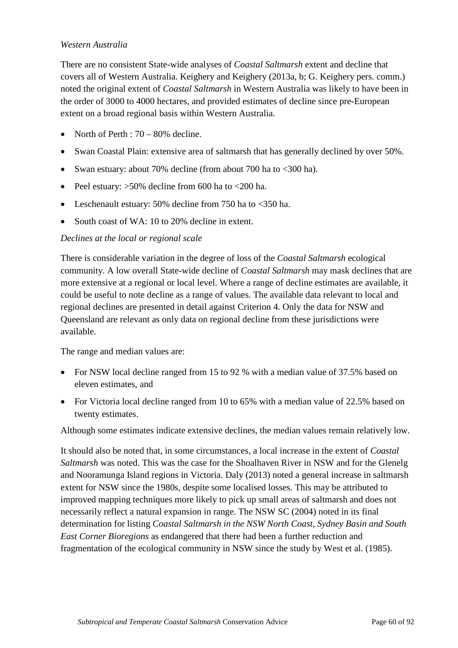## *Western Australia*

There are no consistent State-wide analyses of *Coastal Saltmarsh* extent and decline that covers all of Western Australia. Keighery and Keighery (2013a, b; G. Keighery pers. comm.) noted the original extent of *Coastal Saltmarsh* in Western Australia was likely to have been in the order of 3000 to 4000 hectares, and provided estimates of decline since pre-European extent on a broad regional basis within Western Australia.

- North of Perth :  $70 80\%$  decline.
- Swan Coastal Plain: extensive area of saltmarsh that has generally declined by over 50%.
- Swan estuary: about 70% decline (from about 700 ha to <300 ha).
- Peel estuary:  $>50\%$  decline from 600 ha to  $<200$  ha.
- Leschenault estuary: 50% decline from 750 ha to <350 ha.
- South coast of WA: 10 to 20% decline in extent.

## *Declines at the local or regional scale*

There is considerable variation in the degree of loss of the *Coastal Saltmarsh* ecological community. A low overall State-wide decline of *Coastal Saltmarsh* may mask declines that are more extensive at a regional or local level. Where a range of decline estimates are available, it could be useful to note decline as a range of values. The available data relevant to local and regional declines are presented in detail against Criterion 4. Only the data for NSW and Queensland are relevant as only data on regional decline from these jurisdictions were available.

The range and median values are:

- For NSW local decline ranged from 15 to 92 % with a median value of 37.5% based on eleven estimates, and
- For Victoria local decline ranged from 10 to 65% with a median value of 22.5% based on twenty estimates.

Although some estimates indicate extensive declines, the median values remain relatively low.

It should also be noted that, in some circumstances, a local increase in the extent of *Coastal Saltmarsh* was noted. This was the case for the Shoalhaven River in NSW and for the Glenelg and Nooramunga Island regions in Victoria. Daly (2013) noted a general increase in saltmarsh extent for NSW since the 1980s, despite some localised losses. This may be attributed to improved mapping techniques more likely to pick up small areas of saltmarsh and does not necessarily reflect a natural expansion in range. The NSW SC (2004) noted in its final determination for listing *Coastal Saltmarsh in the NSW North Coast, Sydney Basin and South East Corner Bioregions* as endangered that there had been a further reduction and fragmentation of the ecological community in NSW since the study by West et al. (1985).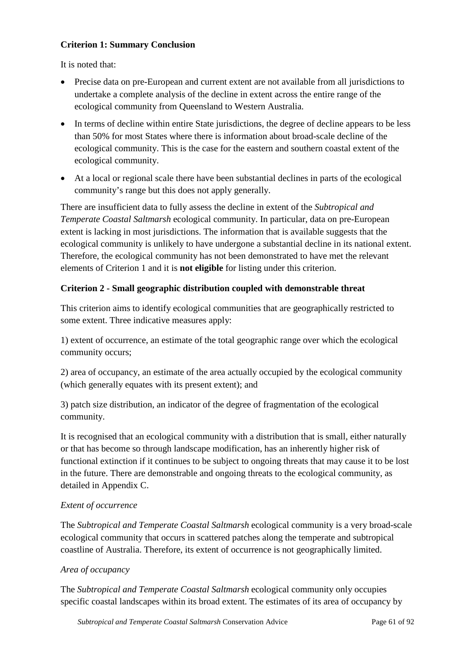# **Criterion 1: Summary Conclusion**

It is noted that:

- Precise data on pre-European and current extent are not available from all jurisdictions to undertake a complete analysis of the decline in extent across the entire range of the ecological community from Queensland to Western Australia.
- In terms of decline within entire State jurisdictions, the degree of decline appears to be less than 50% for most States where there is information about broad-scale decline of the ecological community. This is the case for the eastern and southern coastal extent of the ecological community.
- At a local or regional scale there have been substantial declines in parts of the ecological community's range but this does not apply generally.

There are insufficient data to fully assess the decline in extent of the *Subtropical and Temperate Coastal Saltmarsh* ecological community. In particular, data on pre-European extent is lacking in most jurisdictions. The information that is available suggests that the ecological community is unlikely to have undergone a substantial decline in its national extent. Therefore, the ecological community has not been demonstrated to have met the relevant elements of Criterion 1 and it is **not eligible** for listing under this criterion.

# **Criterion 2 - Small geographic distribution coupled with demonstrable threat**

This criterion aims to identify ecological communities that are geographically restricted to some extent. Three indicative measures apply:

1) extent of occurrence, an estimate of the total geographic range over which the ecological community occurs;

2) area of occupancy, an estimate of the area actually occupied by the ecological community (which generally equates with its present extent); and

3) patch size distribution, an indicator of the degree of fragmentation of the ecological community.

It is recognised that an ecological community with a distribution that is small, either naturally or that has become so through landscape modification, has an inherently higher risk of functional extinction if it continues to be subject to ongoing threats that may cause it to be lost in the future. There are demonstrable and ongoing threats to the ecological community, as detailed in Appendix C.

# *Extent of occurrence*

The *Subtropical and Temperate Coastal Saltmarsh* ecological community is a very broad-scale ecological community that occurs in scattered patches along the temperate and subtropical coastline of Australia. Therefore, its extent of occurrence is not geographically limited.

## *Area of occupancy*

The *Subtropical and Temperate Coastal Saltmarsh* ecological community only occupies specific coastal landscapes within its broad extent. The estimates of its area of occupancy by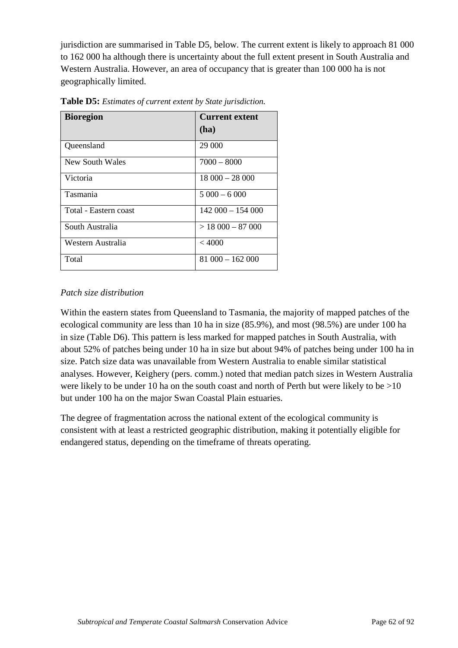jurisdiction are summarised in Table D5, below. The current extent is likely to approach 81 000 to 162 000 ha although there is uncertainty about the full extent present in South Australia and Western Australia. However, an area of occupancy that is greater than 100 000 ha is not geographically limited.

| <b>Bioregion</b>      | <b>Current extent</b><br>(ha) |
|-----------------------|-------------------------------|
| Queensland            | 29 000                        |
| New South Wales       | $7000 - 8000$                 |
| Victoria              | $18000 - 28000$               |
| Tasmania              | $5000 - 6000$                 |
| Total - Eastern coast | $142000 - 154000$             |
| South Australia       | $>$ 18 000 - 87 000           |
| Western Australia     | < 4000                        |
| Total                 | $81000 - 162000$              |

**Table D5:** *Estimates of current extent by State jurisdiction.*

# *Patch size distribution*

Within the eastern states from Queensland to Tasmania, the majority of mapped patches of the ecological community are less than 10 ha in size (85.9%), and most (98.5%) are under 100 ha in size (Table D6). This pattern is less marked for mapped patches in South Australia, with about 52% of patches being under 10 ha in size but about 94% of patches being under 100 ha in size. Patch size data was unavailable from Western Australia to enable similar statistical analyses. However, Keighery (pers. comm.) noted that median patch sizes in Western Australia were likely to be under 10 ha on the south coast and north of Perth but were likely to be  $>10$ but under 100 ha on the major Swan Coastal Plain estuaries.

The degree of fragmentation across the national extent of the ecological community is consistent with at least a restricted geographic distribution, making it potentially eligible for endangered status, depending on the timeframe of threats operating.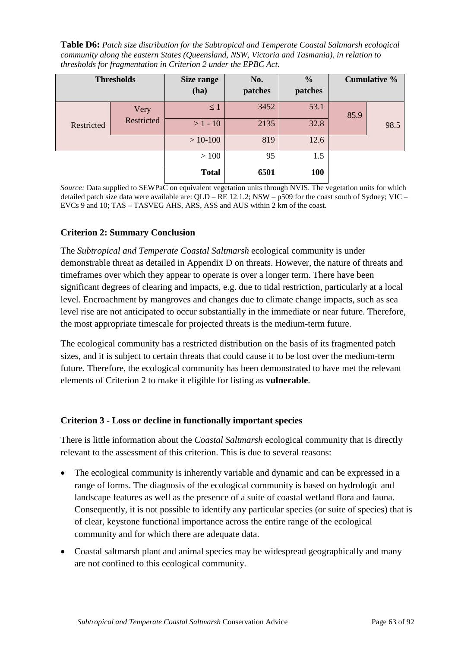**Table D6:** *Patch size distribution for the Subtropical and Temperate Coastal Saltmarsh ecological community along the eastern States (Queensland, NSW, Victoria and Tasmania), in relation to thresholds for fragmentation in Criterion 2 under the EPBC Act.*

|            | <b>Thresholds</b> | <b>Size range</b><br>(ha) | No.<br>patches | $\frac{0}{0}$<br>patches |      | <b>Cumulative %</b> |
|------------|-------------------|---------------------------|----------------|--------------------------|------|---------------------|
|            | Very              | $\leq 1$                  | 3452           | 53.1                     | 85.9 |                     |
| Restricted | Restricted        | $>1 - 10$                 | 2135           | 32.8                     |      | 98.5                |
|            |                   | $>10-100$                 | 819            | 12.6                     |      |                     |
|            |                   | >100                      | 95             | 1.5                      |      |                     |
|            |                   | <b>Total</b>              | 6501           | 100                      |      |                     |

*Source:* Data supplied to SEWPaC on equivalent vegetation units through NVIS. The vegetation units for which detailed patch size data were available are: QLD – RE 12.1.2; NSW – p509 for the coast south of Sydney; VIC – EVCs 9 and 10; TAS – TASVEG AHS, ARS, ASS and AUS within 2 km of the coast.

## **Criterion 2: Summary Conclusion**

The *Subtropical and Temperate Coastal Saltmarsh* ecological community is under demonstrable threat as detailed in Appendix D on threats. However, the nature of threats and timeframes over which they appear to operate is over a longer term. There have been significant degrees of clearing and impacts, e.g. due to tidal restriction, particularly at a local level. Encroachment by mangroves and changes due to climate change impacts, such as sea level rise are not anticipated to occur substantially in the immediate or near future. Therefore, the most appropriate timescale for projected threats is the medium-term future.

The ecological community has a restricted distribution on the basis of its fragmented patch sizes, and it is subject to certain threats that could cause it to be lost over the medium-term future. Therefore, the ecological community has been demonstrated to have met the relevant elements of Criterion 2 to make it eligible for listing as **vulnerable**.

#### **Criterion 3 - Loss or decline in functionally important species**

There is little information about the *Coastal Saltmarsh* ecological community that is directly relevant to the assessment of this criterion. This is due to several reasons:

- The ecological community is inherently variable and dynamic and can be expressed in a range of forms. The diagnosis of the ecological community is based on hydrologic and landscape features as well as the presence of a suite of coastal wetland flora and fauna. Consequently, it is not possible to identify any particular species (or suite of species) that is of clear, keystone functional importance across the entire range of the ecological community and for which there are adequate data.
- Coastal saltmarsh plant and animal species may be widespread geographically and many are not confined to this ecological community.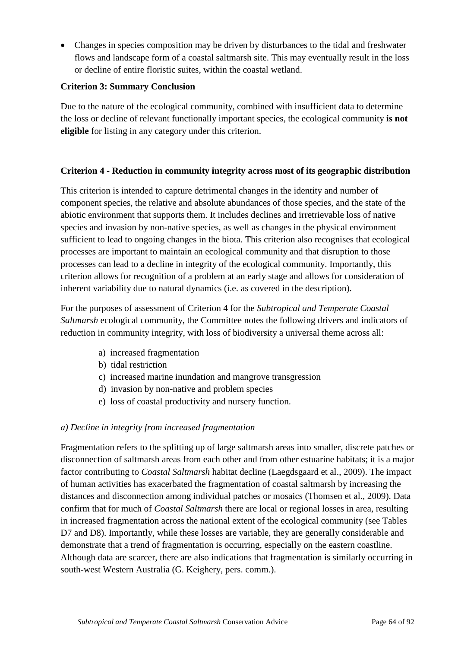• Changes in species composition may be driven by disturbances to the tidal and freshwater flows and landscape form of a coastal saltmarsh site. This may eventually result in the loss or decline of entire floristic suites, within the coastal wetland.

## **Criterion 3: Summary Conclusion**

Due to the nature of the ecological community, combined with insufficient data to determine the loss or decline of relevant functionally important species, the ecological community **is not eligible** for listing in any category under this criterion.

## **Criterion 4 - Reduction in community integrity across most of its geographic distribution**

This criterion is intended to capture detrimental changes in the identity and number of component species, the relative and absolute abundances of those species, and the state of the abiotic environment that supports them. It includes declines and irretrievable loss of native species and invasion by non-native species, as well as changes in the physical environment sufficient to lead to ongoing changes in the biota. This criterion also recognises that ecological processes are important to maintain an ecological community and that disruption to those processes can lead to a decline in integrity of the ecological community. Importantly, this criterion allows for recognition of a problem at an early stage and allows for consideration of inherent variability due to natural dynamics (i.e. as covered in the description).

For the purposes of assessment of Criterion 4 for the *Subtropical and Temperate Coastal Saltmarsh* ecological community, the Committee notes the following drivers and indicators of reduction in community integrity, with loss of biodiversity a universal theme across all:

- a) increased fragmentation
- b) tidal restriction
- c) increased marine inundation and mangrove transgression
- d) invasion by non-native and problem species
- e) loss of coastal productivity and nursery function.

## *a) Decline in integrity from increased fragmentation*

Fragmentation refers to the splitting up of large saltmarsh areas into smaller, discrete patches or disconnection of saltmarsh areas from each other and from other estuarine habitats; it is a major factor contributing to *Coastal Saltmarsh* habitat decline (Laegdsgaard et al., 2009). The impact of human activities has exacerbated the fragmentation of coastal saltmarsh by increasing the distances and disconnection among individual patches or mosaics (Thomsen et al., 2009). Data confirm that for much of *Coastal Saltmarsh* there are local or regional losses in area, resulting in increased fragmentation across the national extent of the ecological community (see Tables D7 and D8). Importantly, while these losses are variable, they are generally considerable and demonstrate that a trend of fragmentation is occurring, especially on the eastern coastline. Although data are scarcer, there are also indications that fragmentation is similarly occurring in south-west Western Australia (G. Keighery, pers. comm.).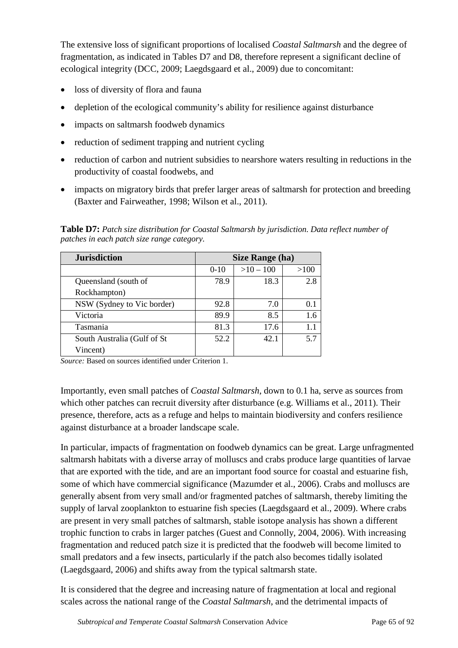The extensive loss of significant proportions of localised *Coastal Saltmarsh* and the degree of fragmentation, as indicated in Tables D7 and D8, therefore represent a significant decline of ecological integrity (DCC, 2009; Laegdsgaard et al., 2009) due to concomitant:

- loss of diversity of flora and fauna
- depletion of the ecological community's ability for resilience against disturbance
- impacts on saltmarsh foodweb dynamics
- reduction of sediment trapping and nutrient cycling
- reduction of carbon and nutrient subsidies to nearshore waters resulting in reductions in the productivity of coastal foodwebs, and
- impacts on migratory birds that prefer larger areas of saltmarsh for protection and breeding (Baxter and Fairweather, 1998; Wilson et al., 2011).

**Table D7:** *Patch size distribution for Coastal Saltmarsh by jurisdiction. Data reflect number of patches in each patch size range category.*

| <b>Jurisdiction</b>         | <b>Size Range (ha)</b> |           |      |
|-----------------------------|------------------------|-----------|------|
|                             | $0 - 10$               | $>10-100$ | >100 |
| Queensland (south of        | 78.9                   | 18.3      | 2.8  |
| Rockhampton)                |                        |           |      |
| NSW (Sydney to Vic border)  | 92.8                   | 7.0       |      |
| Victoria                    | 89.9                   | 8.5       | 1.6  |
| Tasmania                    | 81.3                   | 17.6      | 1.1  |
| South Australia (Gulf of St | 52.2                   | 42.1      | 5.7  |
| Vincent)                    |                        |           |      |

*Source:* Based on sources identified under Criterion 1.

Importantly, even small patches of *Coastal Saltmarsh*, down to 0.1 ha, serve as sources from which other patches can recruit diversity after disturbance (e.g. Williams et al., 2011). Their presence, therefore, acts as a refuge and helps to maintain biodiversity and confers resilience against disturbance at a broader landscape scale.

In particular, impacts of fragmentation on foodweb dynamics can be great. Large unfragmented saltmarsh habitats with a diverse array of molluscs and crabs produce large quantities of larvae that are exported with the tide, and are an important food source for coastal and estuarine fish, some of which have commercial significance (Mazumder et al., 2006). Crabs and molluscs are generally absent from very small and/or fragmented patches of saltmarsh, thereby limiting the supply of larval zooplankton to estuarine fish species (Laegdsgaard et al., 2009). Where crabs are present in very small patches of saltmarsh, stable isotope analysis has shown a different trophic function to crabs in larger patches (Guest and Connolly, 2004, 2006). With increasing fragmentation and reduced patch size it is predicted that the foodweb will become limited to small predators and a few insects, particularly if the patch also becomes tidally isolated (Laegdsgaard, 2006) and shifts away from the typical saltmarsh state.

It is considered that the degree and increasing nature of fragmentation at local and regional scales across the national range of the *Coastal Saltmarsh*, and the detrimental impacts of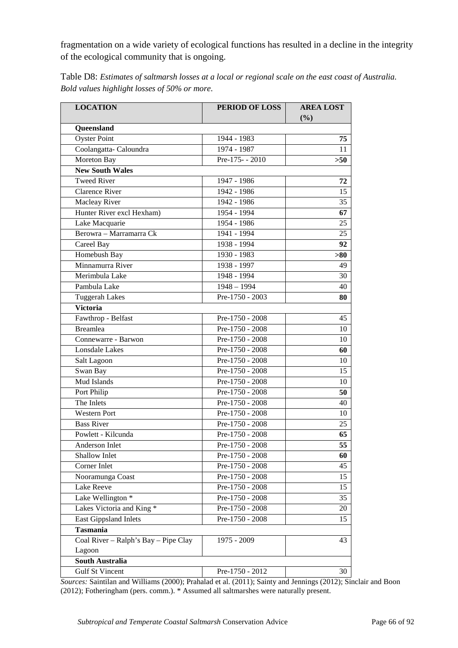fragmentation on a wide variety of ecological functions has resulted in a decline in the integrity of the ecological community that is ongoing.

| <b>LOCATION</b>                                   | PERIOD OF LOSS    | <b>AREA LOST</b><br>(%) |
|---------------------------------------------------|-------------------|-------------------------|
| Queensland                                        |                   |                         |
| <b>Oyster Point</b>                               | 1944 - 1983       | 75                      |
| Coolangatta-Caloundra                             | 1974 - 1987       | 11                      |
| Moreton Bay                                       | Pre-175 - - 2010  | >50                     |
| <b>New South Wales</b>                            |                   |                         |
| <b>Tweed River</b>                                | 1947 - 1986       | 72                      |
| <b>Clarence River</b>                             | 1942 - 1986       | 15                      |
| Macleay River                                     | 1942 - 1986       | 35                      |
| Hunter River excl Hexham)                         | 1954 - 1994       | 67                      |
| Lake Macquarie                                    | 1954 - 1986       | 25                      |
| Berowra - Marramarra Ck                           | 1941 - 1994       | 25                      |
| Careel Bay                                        | 1938 - 1994       | 92                      |
| Homebush Bay                                      | 1930 - 1983       | > 80                    |
| Minnamurra River                                  | 1938 - 1997       | 49                      |
| Merimbula Lake                                    | 1948 - 1994       | 30                      |
| Pambula Lake                                      | $1948 - 1994$     | 40                      |
| <b>Tuggerah Lakes</b>                             | $Pre-1750 - 2003$ | 80                      |
| <b>Victoria</b>                                   |                   |                         |
| Fawthrop - Belfast                                | Pre-1750 - 2008   | 45                      |
| <b>Breamlea</b>                                   | Pre-1750 - 2008   | 10                      |
| Connewarre - Barwon                               | Pre-1750 - 2008   | 10                      |
| Lonsdale Lakes                                    | Pre-1750 - 2008   | 60                      |
| Salt Lagoon                                       | Pre-1750 - 2008   | 10                      |
| Swan Bay                                          | Pre-1750 - 2008   | 15                      |
| Mud Islands                                       | Pre-1750 - 2008   | 10                      |
| Port Philip                                       | Pre-1750 - 2008   | 50                      |
| The Inlets                                        | Pre-1750 - 2008   | 40                      |
| <b>Western Port</b>                               | Pre-1750 - 2008   | 10                      |
| <b>Bass River</b>                                 | Pre-1750 - 2008   | 25                      |
| Powlett - Kilcunda                                | Pre-1750 - 2008   | 65                      |
| Anderson Inlet                                    | Pre-1750 - 2008   | 55                      |
| Shallow Inlet                                     | Pre-1750 - 2008   | 60                      |
| Corner Inlet                                      | Pre-1750 - 2008   | 45                      |
| Nooramunga Coast                                  | Pre-1750 - 2008   |                         |
| Lake Reeve                                        | Pre-1750 - 2008   | 15                      |
| Lake Wellington <sup>*</sup>                      | Pre-1750 - 2008   | 35                      |
| Lakes Victoria and King *                         | Pre-1750 - 2008   | 20                      |
| East Gippsland Inlets                             | Pre-1750 - 2008   | 15                      |
| <b>Tasmania</b>                                   |                   |                         |
| Coal River - Ralph's $\overline{Bay - Pipe}$ Clay | 1975 - 2009       | 43                      |
| Lagoon                                            |                   |                         |
| <b>South Australia</b>                            |                   |                         |
| <b>Gulf St Vincent</b>                            | Pre-1750 - 2012   | 30                      |

Table D8: *Estimates of saltmarsh losses at a local or regional scale on the east coast of Australia. Bold values highlight losses of 50% or more.*

*Sources:* Saintilan and Williams (2000); Prahalad et al. (2011); Sainty and Jennings (2012); Sinclair and Boon (2012); Fotheringham (pers. comm.). \* Assumed all saltmarshes were naturally present.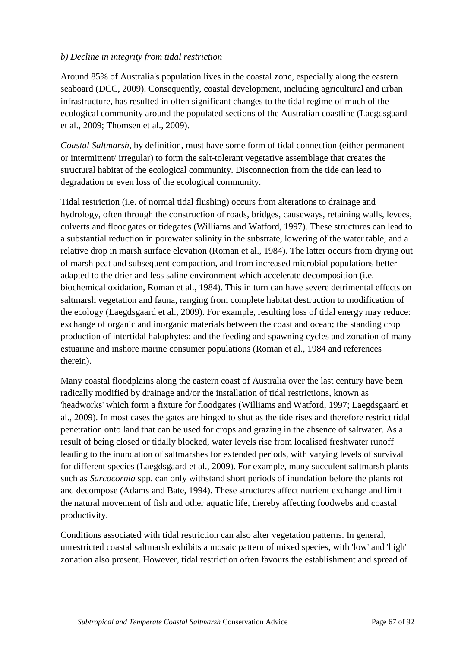## *b) Decline in integrity from tidal restriction*

Around 85% of Australia's population lives in the coastal zone, especially along the eastern seaboard (DCC, 2009). Consequently, coastal development, including agricultural and urban infrastructure, has resulted in often significant changes to the tidal regime of much of the ecological community around the populated sections of the Australian coastline (Laegdsgaard et al., 2009; Thomsen et al., 2009).

*Coastal Saltmarsh*, by definition, must have some form of tidal connection (either permanent or intermittent/ irregular) to form the salt-tolerant vegetative assemblage that creates the structural habitat of the ecological community. Disconnection from the tide can lead to degradation or even loss of the ecological community.

Tidal restriction (i.e. of normal tidal flushing) occurs from alterations to drainage and hydrology, often through the construction of roads, bridges, causeways, retaining walls, levees, culverts and floodgates or tidegates (Williams and Watford, 1997). These structures can lead to a substantial reduction in porewater salinity in the substrate, lowering of the water table, and a relative drop in marsh surface elevation (Roman et al., 1984). The latter occurs from drying out of marsh peat and subsequent compaction, and from increased microbial populations better adapted to the drier and less saline environment which accelerate decomposition (i.e. biochemical oxidation, Roman et al., 1984). This in turn can have severe detrimental effects on saltmarsh vegetation and fauna, ranging from complete habitat destruction to modification of the ecology (Laegdsgaard et al., 2009). For example, resulting loss of tidal energy may reduce: exchange of organic and inorganic materials between the coast and ocean; the standing crop production of intertidal halophytes; and the feeding and spawning cycles and zonation of many estuarine and inshore marine consumer populations (Roman et al., 1984 and references therein).

Many coastal floodplains along the eastern coast of Australia over the last century have been radically modified by drainage and/or the installation of tidal restrictions, known as 'headworks' which form a fixture for floodgates (Williams and Watford, 1997; Laegdsgaard et al., 2009). In most cases the gates are hinged to shut as the tide rises and therefore restrict tidal penetration onto land that can be used for crops and grazing in the absence of saltwater. As a result of being closed or tidally blocked, water levels rise from localised freshwater runoff leading to the inundation of saltmarshes for extended periods, with varying levels of survival for different species (Laegdsgaard et al., 2009). For example, many succulent saltmarsh plants such as *Sarcocornia* spp. can only withstand short periods of inundation before the plants rot and decompose (Adams and Bate, 1994). These structures affect nutrient exchange and limit the natural movement of fish and other aquatic life, thereby affecting foodwebs and coastal productivity.

Conditions associated with tidal restriction can also alter vegetation patterns. In general, unrestricted coastal saltmarsh exhibits a mosaic pattern of mixed species, with 'low' and 'high' zonation also present. However, tidal restriction often favours the establishment and spread of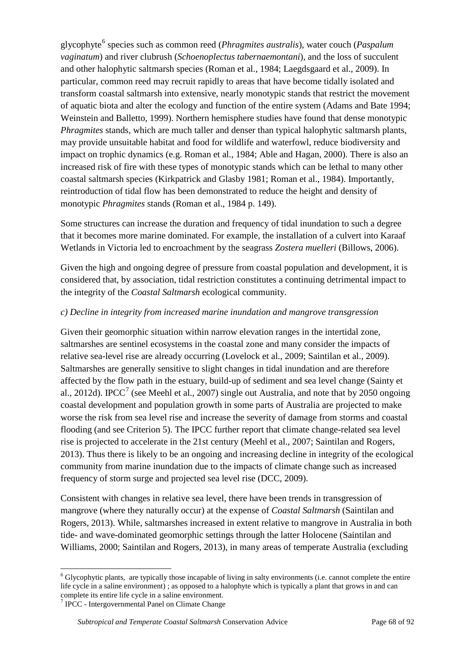glycophyte<sup>[6](#page-67-0)</sup> species such as common reed (*Phragmites australis*), water couch (*Paspalum vaginatum*) and river clubrush (*Schoenoplectus tabernaemontani*), and the loss of succulent and other halophytic saltmarsh species (Roman et al., 1984; Laegdsgaard et al., 2009). In particular, common reed may recruit rapidly to areas that have become tidally isolated and transform coastal saltmarsh into extensive, nearly monotypic stands that restrict the movement of aquatic biota and alter the ecology and function of the entire system (Adams and Bate 1994; Weinstein and Balletto, 1999). Northern hemisphere studies have found that dense monotypic *Phragmites* stands, which are much taller and denser than typical halophytic saltmarsh plants, may provide unsuitable habitat and food for wildlife and waterfowl, reduce biodiversity and impact on trophic dynamics (e.g. Roman et al., 1984; Able and Hagan, 2000). There is also an increased risk of fire with these types of monotypic stands which can be lethal to many other coastal saltmarsh species (Kirkpatrick and Glasby 1981; Roman et al., 1984). Importantly, reintroduction of tidal flow has been demonstrated to reduce the height and density of monotypic *Phragmites* stands (Roman et al., 1984 p. 149).

Some structures can increase the duration and frequency of tidal inundation to such a degree that it becomes more marine dominated. For example, the installation of a culvert into Karaaf Wetlands in Victoria led to encroachment by the seagrass *Zostera muelleri* (Billows, 2006).

Given the high and ongoing degree of pressure from coastal population and development, it is considered that, by association, tidal restriction constitutes a continuing detrimental impact to the integrity of the *Coastal Saltmarsh* ecological community.

# *c) Decline in integrity from increased marine inundation and mangrove transgression*

Given their geomorphic situation within narrow elevation ranges in the intertidal zone, saltmarshes are sentinel ecosystems in the coastal zone and many consider the impacts of relative sea-level rise are already occurring (Lovelock et al., 2009; Saintilan et al., 2009). Saltmarshes are generally sensitive to slight changes in tidal inundation and are therefore affected by the flow path in the estuary, build-up of sediment and sea level change (Sainty et al., 2012d). IPCC<sup>[7](#page-67-1)</sup> (see Meehl et al., 2007) single out Australia, and note that by 2050 ongoing coastal development and population growth in some parts of Australia are projected to make worse the risk from sea level rise and increase the severity of damage from storms and coastal flooding (and see Criterion 5). The IPCC further report that climate change-related sea level rise is projected to accelerate in the 21st century (Meehl et al., 2007; Saintilan and Rogers, 2013). Thus there is likely to be an ongoing and increasing decline in integrity of the ecological community from marine inundation due to the impacts of climate change such as increased frequency of storm surge and projected sea level rise (DCC, 2009).

Consistent with changes in relative sea level, there have been trends in transgression of mangrove (where they naturally occur) at the expense of *Coastal Saltmarsh* (Saintilan and Rogers, 2013). While, saltmarshes increased in extent relative to mangrove in Australia in both tide- and wave-dominated geomorphic settings through the latter Holocene (Saintilan and Williams, 2000; Saintilan and Rogers, 2013), in many areas of temperate Australia (excluding

<span id="page-67-0"></span> $6$  Glycophytic plants, are typically those incapable of living in salty environments (i.e. cannot complete the entire life cycle in a saline environment) ; as opposed to a halophyte which is typically a plant that grows in and can complete its entire life cycle in a saline environment.

<span id="page-67-1"></span><sup>&</sup>lt;sup>7</sup> IPCC - Intergovernmental Panel on Climate Change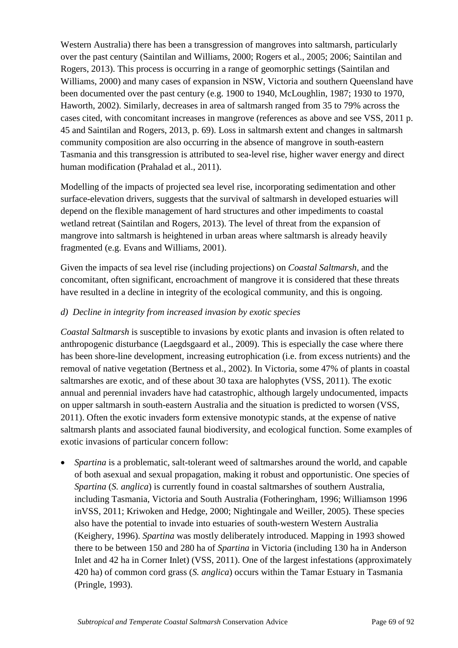Western Australia) there has been a transgression of mangroves into saltmarsh, particularly over the past century (Saintilan and Williams, 2000; Rogers et al., 2005; 2006; Saintilan and Rogers, 2013). This process is occurring in a range of geomorphic settings (Saintilan and Williams, 2000) and many cases of expansion in NSW, Victoria and southern Queensland have been documented over the past century (e.g. 1900 to 1940, McLoughlin, 1987; 1930 to 1970, Haworth, 2002). Similarly, decreases in area of saltmarsh ranged from 35 to 79% across the cases cited, with concomitant increases in mangrove (references as above and see VSS, 2011 p. 45 and Saintilan and Rogers, 2013, p. 69). Loss in saltmarsh extent and changes in saltmarsh community composition are also occurring in the absence of mangrove in south-eastern Tasmania and this transgression is attributed to sea-level rise, higher waver energy and direct human modification (Prahalad et al., 2011).

Modelling of the impacts of projected sea level rise, incorporating sedimentation and other surface-elevation drivers, suggests that the survival of saltmarsh in developed estuaries will depend on the flexible management of hard structures and other impediments to coastal wetland retreat (Saintilan and Rogers, 2013). The level of threat from the expansion of mangrove into saltmarsh is heightened in urban areas where saltmarsh is already heavily fragmented (e.g. Evans and Williams, 2001).

Given the impacts of sea level rise (including projections) on *Coastal Saltmarsh*, and the concomitant, often significant, encroachment of mangrove it is considered that these threats have resulted in a decline in integrity of the ecological community, and this is ongoing.

## *d) Decline in integrity from increased invasion by exotic species*

*Coastal Saltmarsh* is susceptible to invasions by exotic plants and invasion is often related to anthropogenic disturbance (Laegdsgaard et al., 2009). This is especially the case where there has been shore-line development, increasing eutrophication (i.e. from excess nutrients) and the removal of native vegetation (Bertness et al., 2002). In Victoria, some 47% of plants in coastal saltmarshes are exotic, and of these about 30 taxa are halophytes (VSS, 2011). The exotic annual and perennial invaders have had catastrophic, although largely undocumented, impacts on upper saltmarsh in south-eastern Australia and the situation is predicted to worsen (VSS, 2011). Often the exotic invaders form extensive monotypic stands, at the expense of native saltmarsh plants and associated faunal biodiversity, and ecological function. Some examples of exotic invasions of particular concern follow:

• *Spartina* is a problematic, salt-tolerant weed of saltmarshes around the world, and capable of both asexual and sexual propagation, making it robust and opportunistic. One species of *Spartina* (*S. anglica*) is currently found in coastal saltmarshes of southern Australia, including Tasmania, Victoria and South Australia (Fotheringham, 1996; Williamson 1996 inVSS, 2011; Kriwoken and Hedge, 2000; Nightingale and Weiller, 2005). These species also have the potential to invade into estuaries of south-western Western Australia (Keighery, 1996). *Spartina* was mostly deliberately introduced. Mapping in 1993 showed there to be between 150 and 280 ha of *Spartina* in Victoria (including 130 ha in Anderson Inlet and 42 ha in Corner Inlet) (VSS, 2011). One of the largest infestations (approximately 420 ha) of common cord grass (*S. anglica*) occurs within the Tamar Estuary in Tasmania (Pringle, 1993).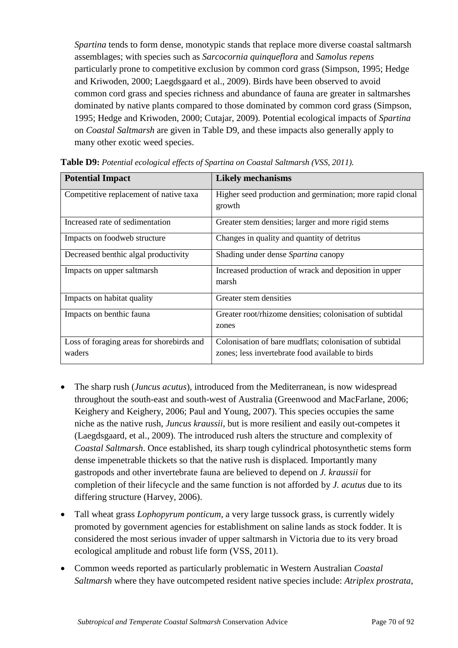*Spartina* tends to form dense, monotypic stands that replace more diverse coastal saltmarsh assemblages; with species such as *Sarcocornia quinqueflora* and *Samolus repens* particularly prone to competitive exclusion by common cord grass (Simpson, 1995; Hedge and Kriwoden, 2000; Laegdsgaard et al., 2009). Birds have been observed to avoid common cord grass and species richness and abundance of fauna are greater in saltmarshes dominated by native plants compared to those dominated by common cord grass (Simpson, 1995; Hedge and Kriwoden, 2000; Cutajar, 2009). Potential ecological impacts of *Spartina* on *Coastal Saltmarsh* are given in Table D9, and these impacts also generally apply to many other exotic weed species.

| <b>Potential Impact</b>                             | <b>Likely mechanisms</b>                                                                                    |
|-----------------------------------------------------|-------------------------------------------------------------------------------------------------------------|
| Competitive replacement of native taxa              | Higher seed production and germination; more rapid clonal<br>growth                                         |
| Increased rate of sedimentation                     | Greater stem densities; larger and more rigid stems                                                         |
| Impacts on foodweb structure                        | Changes in quality and quantity of detritus                                                                 |
| Decreased benthic algal productivity                | Shading under dense Spartina canopy                                                                         |
| Impacts on upper saltmarsh                          | Increased production of wrack and deposition in upper<br>marsh                                              |
| Impacts on habitat quality                          | Greater stem densities                                                                                      |
| Impacts on benthic fauna                            | Greater root/rhizome densities; colonisation of subtidal<br>zones                                           |
| Loss of foraging areas for shorebirds and<br>waders | Colonisation of bare mudflats; colonisation of subtidal<br>zones; less invertebrate food available to birds |

**Table D9:** *Potential ecological effects of Spartina on Coastal Saltmarsh (VSS, 2011).*

- The sharp rush (*Juncus acutus*), introduced from the Mediterranean, is now widespread throughout the south-east and south-west of Australia (Greenwood and MacFarlane, 2006; Keighery and Keighery, 2006; Paul and Young, 2007). This species occupies the same niche as the native rush, *Juncus kraussii*, but is more resilient and easily out-competes it (Laegdsgaard, et al., 2009). The introduced rush alters the structure and complexity of *Coastal Saltmarsh*. Once established, its sharp tough cylindrical photosynthetic stems form dense impenetrable thickets so that the native rush is displaced. Importantly many gastropods and other invertebrate fauna are believed to depend on *J. kraussii* for completion of their lifecycle and the same function is not afforded by *J. acutus* due to its differing structure (Harvey, 2006).
- Tall wheat grass *Lophopyrum ponticum*, a very large tussock grass, is currently widely promoted by government agencies for establishment on saline lands as stock fodder. It is considered the most serious invader of upper saltmarsh in Victoria due to its very broad ecological amplitude and robust life form (VSS, 2011).
- Common weeds reported as particularly problematic in Western Australian *Coastal Saltmarsh* where they have outcompeted resident native species include: *Atriplex prostrata*,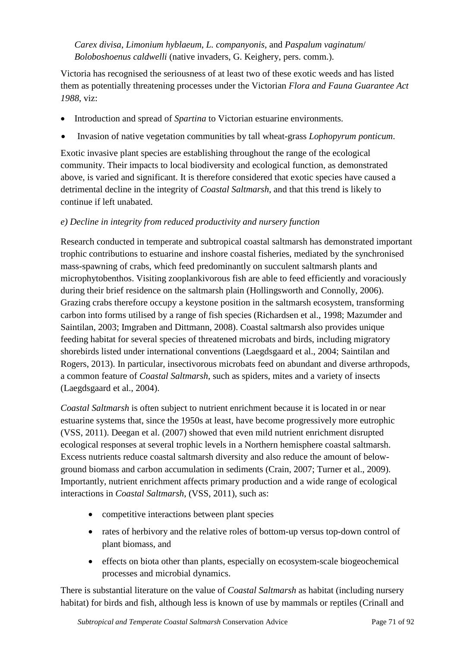*Carex divisa*, *Limonium hyblaeum*, *L. companyonis*, and *Paspalum vaginatum*/ *Boloboshoenus caldwelli* (native invaders, G. Keighery, pers. comm.).

Victoria has recognised the seriousness of at least two of these exotic weeds and has listed them as potentially threatening processes under the Victorian *Flora and Fauna Guarantee Act 1988*, viz:

- Introduction and spread of *Spartina* to Victorian estuarine environments.
- Invasion of native vegetation communities by tall wheat-grass *Lophopyrum ponticum*.

Exotic invasive plant species are establishing throughout the range of the ecological community. Their impacts to local biodiversity and ecological function, as demonstrated above, is varied and significant. It is therefore considered that exotic species have caused a detrimental decline in the integrity of *Coastal Saltmarsh*, and that this trend is likely to continue if left unabated.

## *e) Decline in integrity from reduced productivity and nursery function*

Research conducted in temperate and subtropical coastal saltmarsh has demonstrated important trophic contributions to estuarine and inshore coastal fisheries, mediated by the synchronised mass-spawning of crabs, which feed predominantly on succulent saltmarsh plants and microphytobenthos. Visiting zooplankivorous fish are able to feed efficiently and voraciously during their brief residence on the saltmarsh plain (Hollingsworth and Connolly, 2006). Grazing crabs therefore occupy a keystone position in the saltmarsh ecosystem, transforming carbon into forms utilised by a range of fish species (Richardsen et al., 1998; Mazumder and Saintilan, 2003; Imgraben and Dittmann, 2008). Coastal saltmarsh also provides unique feeding habitat for several species of threatened microbats and birds, including migratory shorebirds listed under international conventions (Laegdsgaard et al., 2004; Saintilan and Rogers, 2013). In particular, insectivorous microbats feed on abundant and diverse arthropods, a common feature of *Coastal Saltmarsh*, such as spiders, mites and a variety of insects (Laegdsgaard et al., 2004).

*Coastal Saltmarsh* is often subject to nutrient enrichment because it is located in or near estuarine systems that, since the 1950s at least, have become progressively more eutrophic (VSS, 2011). Deegan et al. (2007) showed that even mild nutrient enrichment disrupted ecological responses at several trophic levels in a Northern hemisphere coastal saltmarsh. Excess nutrients reduce coastal saltmarsh diversity and also reduce the amount of belowground biomass and carbon accumulation in sediments (Crain, 2007; Turner et al., 2009). Importantly, nutrient enrichment affects primary production and a wide range of ecological interactions in *Coastal Saltmarsh*, (VSS, 2011), such as:

- competitive interactions between plant species
- rates of herbivory and the relative roles of bottom-up versus top-down control of plant biomass, and
- effects on biota other than plants, especially on ecosystem-scale biogeochemical processes and microbial dynamics.

There is substantial literature on the value of *Coastal Saltmarsh* as habitat (including nursery habitat) for birds and fish, although less is known of use by mammals or reptiles (Crinall and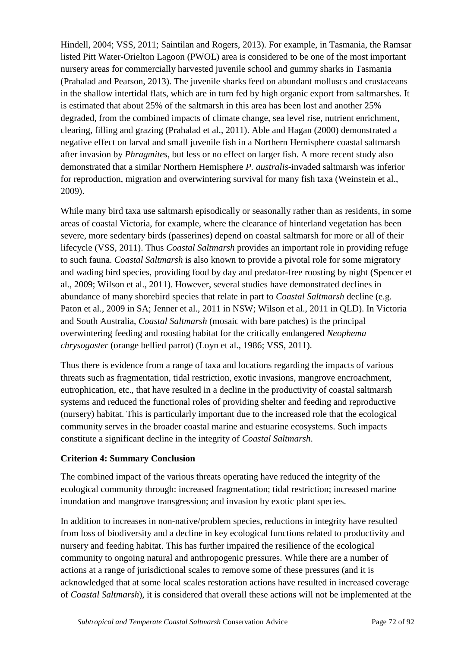Hindell, 2004; VSS, 2011; Saintilan and Rogers, 2013). For example, in Tasmania, the Ramsar listed Pitt Water-Orielton Lagoon (PWOL) area is considered to be one of the most important nursery areas for commercially harvested juvenile school and gummy sharks in Tasmania (Prahalad and Pearson, 2013). The juvenile sharks feed on abundant molluscs and crustaceans in the shallow intertidal flats, which are in turn fed by high organic export from saltmarshes. It is estimated that about 25% of the saltmarsh in this area has been lost and another 25% degraded, from the combined impacts of climate change, sea level rise, nutrient enrichment, clearing, filling and grazing (Prahalad et al., 2011). Able and Hagan (2000) demonstrated a negative effect on larval and small juvenile fish in a Northern Hemisphere coastal saltmarsh after invasion by *Phragmites*, but less or no effect on larger fish. A more recent study also demonstrated that a similar Northern Hemisphere *P. australis*-invaded saltmarsh was inferior for reproduction, migration and overwintering survival for many fish taxa (Weinstein et al., 2009).

While many bird taxa use saltmarsh episodically or seasonally rather than as residents, in some areas of coastal Victoria, for example, where the clearance of hinterland vegetation has been severe, more sedentary birds (passerines) depend on coastal saltmarsh for more or all of their lifecycle (VSS, 2011). Thus *Coastal Saltmarsh* provides an important role in providing refuge to such fauna. *Coastal Saltmarsh* is also known to provide a pivotal role for some migratory and wading bird species, providing food by day and predator-free roosting by night (Spencer et al., 2009; Wilson et al., 2011). However, several studies have demonstrated declines in abundance of many shorebird species that relate in part to *Coastal Saltmarsh* decline (e.g. Paton et al., 2009 in SA; Jenner et al., 2011 in NSW; Wilson et al., 2011 in QLD). In Victoria and South Australia, *Coastal Saltmarsh* (mosaic with bare patches) is the principal overwintering feeding and roosting habitat for the critically endangered *Neophema chrysogaster* (orange bellied parrot) (Loyn et al., 1986; VSS, 2011).

Thus there is evidence from a range of taxa and locations regarding the impacts of various threats such as fragmentation, tidal restriction, exotic invasions, mangrove encroachment, eutrophication, etc., that have resulted in a decline in the productivity of coastal saltmarsh systems and reduced the functional roles of providing shelter and feeding and reproductive (nursery) habitat. This is particularly important due to the increased role that the ecological community serves in the broader coastal marine and estuarine ecosystems. Such impacts constitute a significant decline in the integrity of *Coastal Saltmarsh*.

## **Criterion 4: Summary Conclusion**

The combined impact of the various threats operating have reduced the integrity of the ecological community through: increased fragmentation; tidal restriction; increased marine inundation and mangrove transgression; and invasion by exotic plant species.

In addition to increases in non-native/problem species, reductions in integrity have resulted from loss of biodiversity and a decline in key ecological functions related to productivity and nursery and feeding habitat. This has further impaired the resilience of the ecological community to ongoing natural and anthropogenic pressures. While there are a number of actions at a range of jurisdictional scales to remove some of these pressures (and it is acknowledged that at some local scales restoration actions have resulted in increased coverage of *Coastal Saltmarsh*), it is considered that overall these actions will not be implemented at the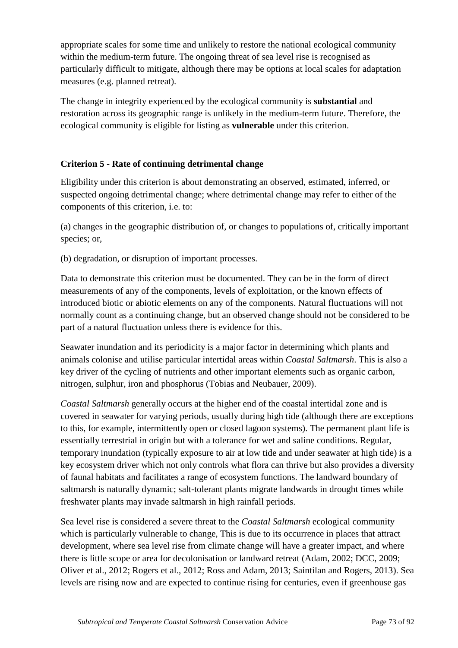appropriate scales for some time and unlikely to restore the national ecological community within the medium-term future. The ongoing threat of sea level rise is recognised as particularly difficult to mitigate, although there may be options at local scales for adaptation measures (e.g. planned retreat).

The change in integrity experienced by the ecological community is **substantial** and restoration across its geographic range is unlikely in the medium-term future. Therefore, the ecological community is eligible for listing as **vulnerable** under this criterion.

## **Criterion 5 - Rate of continuing detrimental change**

Eligibility under this criterion is about demonstrating an observed, estimated, inferred, or suspected ongoing detrimental change; where detrimental change may refer to either of the components of this criterion, i.e. to:

(a) changes in the geographic distribution of, or changes to populations of, critically important species; or,

(b) degradation, or disruption of important processes.

Data to demonstrate this criterion must be documented. They can be in the form of direct measurements of any of the components, levels of exploitation, or the known effects of introduced biotic or abiotic elements on any of the components. Natural fluctuations will not normally count as a continuing change, but an observed change should not be considered to be part of a natural fluctuation unless there is evidence for this.

Seawater inundation and its periodicity is a major factor in determining which plants and animals colonise and utilise particular intertidal areas within *Coastal Saltmarsh*. This is also a key driver of the cycling of nutrients and other important elements such as organic carbon, nitrogen, sulphur, iron and phosphorus (Tobias and Neubauer, 2009).

*Coastal Saltmarsh* generally occurs at the higher end of the coastal intertidal zone and is covered in seawater for varying periods, usually during high tide (although there are exceptions to this, for example, intermittently open or closed lagoon systems). The permanent plant life is essentially terrestrial in origin but with a tolerance for wet and saline conditions. Regular, temporary inundation (typically exposure to air at low tide and under seawater at high tide) is a key ecosystem driver which not only controls what flora can thrive but also provides a diversity of faunal habitats and facilitates a range of ecosystem functions. The landward boundary of saltmarsh is naturally dynamic; salt-tolerant plants migrate landwards in drought times while freshwater plants may invade saltmarsh in high rainfall periods.

Sea level rise is considered a severe threat to the *Coastal Saltmarsh* ecological community which is particularly vulnerable to change, This is due to its occurrence in places that attract development, where sea level rise from climate change will have a greater impact, and where there is little scope or area for decolonisation or landward retreat (Adam, 2002; DCC, 2009; Oliver et al., 2012; Rogers et al., 2012; Ross and Adam, 2013; Saintilan and Rogers, 2013). Sea levels are rising now and are expected to continue rising for centuries, even if greenhouse gas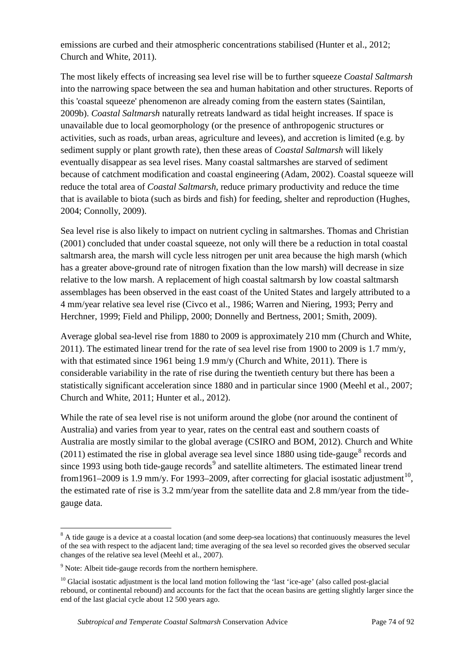emissions are curbed and their atmospheric concentrations stabilised (Hunter et al., 2012; Church and White, 2011).

The most likely effects of increasing sea level rise will be to further squeeze *Coastal Saltmarsh* into the narrowing space between the sea and human habitation and other structures. Reports of this 'coastal squeeze' phenomenon are already coming from the eastern states (Saintilan, 2009b). *Coastal Saltmarsh* naturally retreats landward as tidal height increases. If space is unavailable due to local geomorphology (or the presence of anthropogenic structures or activities, such as roads, urban areas, agriculture and levees), and accretion is limited (e.g. by sediment supply or plant growth rate), then these areas of *Coastal Saltmarsh* will likely eventually disappear as sea level rises. Many coastal saltmarshes are starved of sediment because of catchment modification and coastal engineering (Adam, 2002). Coastal squeeze will reduce the total area of *Coastal Saltmarsh*, reduce primary productivity and reduce the time that is available to biota (such as birds and fish) for feeding, shelter and reproduction (Hughes, 2004; Connolly, 2009).

Sea level rise is also likely to impact on nutrient cycling in saltmarshes. Thomas and Christian (2001) concluded that under coastal squeeze, not only will there be a reduction in total coastal saltmarsh area, the marsh will cycle less nitrogen per unit area because the high marsh (which has a greater above-ground rate of nitrogen fixation than the low marsh) will decrease in size relative to the low marsh. A replacement of high coastal saltmarsh by low coastal saltmarsh assemblages has been observed in the east coast of the United States and largely attributed to a 4 mm/year relative sea level rise (Civco et al., 1986; Warren and Niering, 1993; Perry and Herchner, 1999; Field and Philipp, 2000; Donnelly and Bertness, 2001; Smith, 2009).

Average global sea-level rise from 1880 to 2009 is approximately 210 mm (Church and White, 2011). The estimated linear trend for the rate of sea level rise from 1900 to 2009 is 1.7 mm/y, with that estimated since 1961 being 1.9 mm/y (Church and White, 2011). There is considerable variability in the rate of rise during the twentieth century but there has been a statistically significant acceleration since 1880 and in particular since 1900 (Meehl et al., 2007; Church and White, 2011; Hunter et al., 2012).

While the rate of sea level rise is not uniform around the globe (nor around the continent of Australia) and varies from year to year, rates on the central east and southern coasts of Australia are mostly similar to the global average (CSIRO and BOM, 2012). Church and White (2011) estimated the rise in global average sea level since 1[8](#page-73-0)80 using tide-gauge<sup>8</sup> records and since 1[9](#page-73-1)93 using both tide-gauge records<sup>9</sup> and satellite altimeters. The estimated linear trend from1961–2009 is 1.9 mm/y. For 1993–2009, after correcting for glacial isostatic adjustment<sup>[10](#page-73-2)</sup>, the estimated rate of rise is 3.2 mm/year from the satellite data and 2.8 mm/year from the tidegauge data.

<span id="page-73-0"></span><sup>&</sup>lt;sup>8</sup> A tide gauge is a device at a coastal location (and some deep-sea locations) that continuously measures the level of the sea with respect to the adjacent land; time averaging of the sea level so recorded gives the observed secular changes of the relative sea level (Meehl et al., 2007).

<span id="page-73-1"></span><sup>&</sup>lt;sup>9</sup> Note: Albeit tide-gauge records from the northern hemisphere.

<span id="page-73-2"></span> $10$  Glacial isostatic adjustment is the local land motion following the 'last 'ice-age' (also called post-glacial rebound, or continental rebound) and accounts for the fact that the ocean basins are getting slightly larger since the end of the last glacial cycle about 12 500 years ago.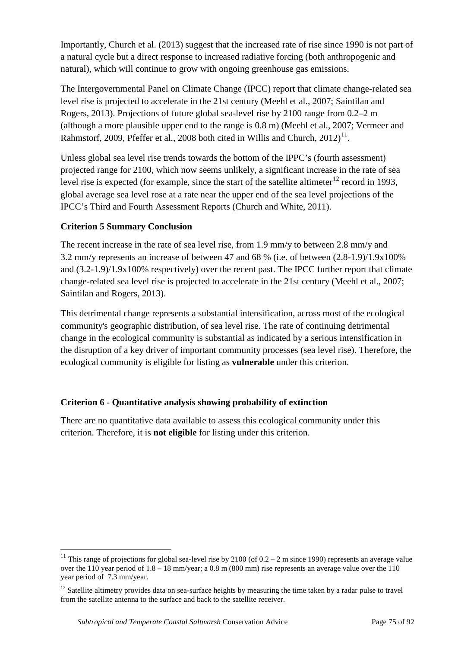Importantly, Church et al. (2013) suggest that the increased rate of rise since 1990 is not part of a natural cycle but a direct response to increased radiative forcing (both anthropogenic and natural), which will continue to grow with ongoing greenhouse gas emissions.

The Intergovernmental Panel on Climate Change (IPCC) report that climate change-related sea level rise is projected to accelerate in the 21st century (Meehl et al., 2007; Saintilan and Rogers, 2013). Projections of future global sea-level rise by 2100 range from 0.2–2 m (although a more plausible upper end to the range is 0.8 m) (Meehl et al., 2007; Vermeer and Rahmstorf, 2009, Pfeffer et al., 2008 both cited in Willis and Church,  $2012$ <sup>[11](#page-74-0)</sup>.

Unless global sea level rise trends towards the bottom of the IPPC's (fourth assessment) projected range for 2100, which now seems unlikely, a significant increase in the rate of sea level rise is expected (for example, since the start of the satellite altimeter $^{12}$  $^{12}$  $^{12}$  record in 1993, global average sea level rose at a rate near the upper end of the sea level projections of the IPCC's Third and Fourth Assessment Reports (Church and White, 2011).

#### **Criterion 5 Summary Conclusion**

The recent increase in the rate of sea level rise, from 1.9 mm/y to between 2.8 mm/y and 3.2 mm/y represents an increase of between 47 and 68 % (i.e. of between (2.8-1.9)/1.9x100% and (3.2-1.9)/1.9x100% respectively) over the recent past. The IPCC further report that climate change-related sea level rise is projected to accelerate in the 21st century (Meehl et al., 2007; Saintilan and Rogers, 2013).

This detrimental change represents a substantial intensification, across most of the ecological community's geographic distribution, of sea level rise. The rate of continuing detrimental change in the ecological community is substantial as indicated by a serious intensification in the disruption of a key driver of important community processes (sea level rise). Therefore, the ecological community is eligible for listing as **vulnerable** under this criterion.

## **Criterion 6 - Quantitative analysis showing probability of extinction**

There are no quantitative data available to assess this ecological community under this criterion. Therefore, it is **not eligible** for listing under this criterion.

<span id="page-74-0"></span><sup>&</sup>lt;sup>11</sup> This range of projections for global sea-level rise by 2100 (of  $0.2 - 2$  m since 1990) represents an average value over the 110 year period of 1.8 – 18 mm/year; a 0.8 m (800 mm) rise represents an average value over the 110 year period of 7.3 mm/year.

<span id="page-74-1"></span> $12$  Satellite altimetry provides data on sea-surface heights by measuring the time taken by a radar pulse to travel from the satellite antenna to the surface and back to the satellite receiver.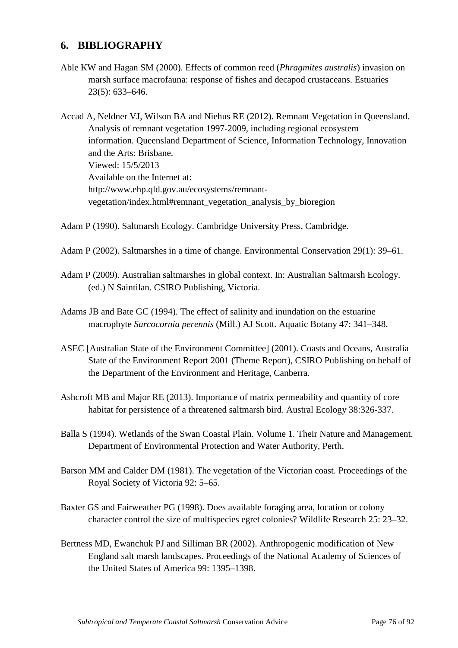# **6. BIBLIOGRAPHY**

Able KW and Hagan SM (2000). Effects of common reed (*Phragmites australis*) invasion on marsh surface macrofauna: response of fishes and decapod crustaceans. Estuaries 23(5): 633–646.

Accad A, Neldner VJ, Wilson BA and Niehus RE (2012). Remnant Vegetation in Queensland. Analysis of remnant vegetation 1997-2009, including regional ecosystem information*.* Queensland Department of Science, Information Technology, Innovation and the Arts: Brisbane. Viewed: 15/5/2013 Available on the Internet at: http://www.ehp.qld.gov.au/ecosystems/remnantvegetation/index.html#remnant\_vegetation\_analysis\_by\_bioregion

- Adam P (1990). Saltmarsh Ecology. Cambridge University Press, Cambridge.
- Adam P (2002). Saltmarshes in a time of change. Environmental Conservation 29(1): 39–61.
- Adam P (2009). Australian saltmarshes in global context. In: Australian Saltmarsh Ecology. (ed.) N Saintilan. CSIRO Publishing, Victoria.
- Adams JB and Bate GC (1994). The effect of salinity and inundation on the estuarine macrophyte *Sarcocornia perennis* (Mill.) AJ Scott. Aquatic Botany 47: 341–348.
- ASEC [Australian State of the Environment Committee] (2001). Coasts and Oceans, Australia State of the Environment Report 2001 (Theme Report), CSIRO Publishing on behalf of the Department of the Environment and Heritage, Canberra.
- Ashcroft MB and Major RE (2013). Importance of matrix permeability and quantity of core habitat for persistence of a threatened saltmarsh bird. Austral Ecology 38:326-337.
- Balla S (1994). Wetlands of the Swan Coastal Plain. Volume 1. Their Nature and Management. Department of Environmental Protection and Water Authority, Perth.
- Barson MM and Calder DM (1981). The vegetation of the Victorian coast. Proceedings of the Royal Society of Victoria 92: 5–65.
- Baxter GS and Fairweather PG (1998). Does available foraging area, location or colony character control the size of multispecies egret colonies? Wildlife Research 25: 23–32.
- Bertness MD, Ewanchuk PJ and Silliman BR (2002). Anthropogenic modification of New England salt marsh landscapes. Proceedings of the National Academy of Sciences of the United States of America 99: 1395–1398.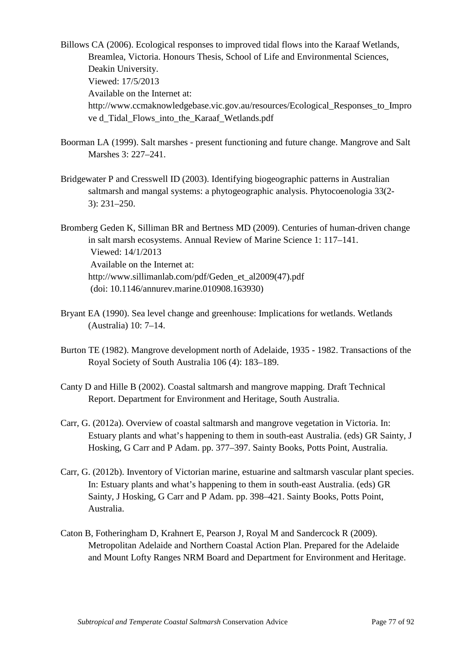Billows CA (2006). Ecological responses to improved tidal flows into the Karaaf Wetlands, Breamlea, Victoria. Honours Thesis, School of Life and Environmental Sciences, Deakin University. Viewed: 17/5/2013 Available on the Internet at: http://www.ccmaknowledgebase.vic.gov.au/resources/Ecological\_Responses\_to\_Impro ve d\_Tidal\_Flows\_into\_the\_Karaaf\_Wetlands.pdf

- Boorman LA (1999). Salt marshes present functioning and future change. Mangrove and Salt Marshes 3: 227–241.
- Bridgewater P and Cresswell ID (2003). Identifying biogeographic patterns in Australian saltmarsh and mangal systems: a phytogeographic analysis. Phytocoenologia 33(2- 3): 231–250.

Bromberg Geden K, Silliman BR and Bertness MD (2009). Centuries of human-driven change in salt marsh ecosystems. Annual Review of Marine Science 1: 117–141. Viewed: 14/1/2013 Available on the Internet at: http://www.sillimanlab.com/pdf/Geden\_et\_al2009(47).pdf (doi: 10.1146/annurev.marine.010908.163930)

- Bryant EA (1990). Sea level change and greenhouse: Implications for wetlands. Wetlands (Australia) 10: 7–14.
- Burton TE (1982). Mangrove development north of Adelaide, 1935 1982. Transactions of the Royal Society of South Australia 106 (4): 183–189.
- Canty D and Hille B (2002). Coastal saltmarsh and mangrove mapping. Draft Technical Report. Department for Environment and Heritage, South Australia.
- Carr, G. (2012a). Overview of coastal saltmarsh and mangrove vegetation in Victoria. In: Estuary plants and what's happening to them in south-east Australia. (eds) GR Sainty, J Hosking, G Carr and P Adam. pp. 377–397. Sainty Books, Potts Point, Australia.
- Carr, G. (2012b). Inventory of Victorian marine, estuarine and saltmarsh vascular plant species. In: Estuary plants and what's happening to them in south-east Australia. (eds) GR Sainty, J Hosking, G Carr and P Adam. pp. 398–421. Sainty Books, Potts Point, Australia.
- Caton B, Fotheringham D, Krahnert E, Pearson J, Royal M and Sandercock R (2009). Metropolitan Adelaide and Northern Coastal Action Plan. Prepared for the Adelaide and Mount Lofty Ranges NRM Board and Department for Environment and Heritage.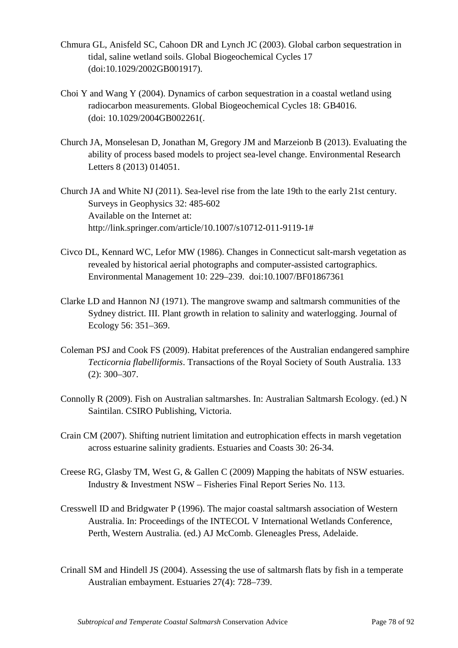- Chmura GL, Anisfeld SC, Cahoon DR and Lynch JC (2003). Global carbon sequestration in tidal, saline wetland soils. Global Biogeochemical Cycles 17 (doi:10.1029/2002GB001917).
- Choi Y and Wang Y (2004). Dynamics of carbon sequestration in a coastal wetland using radiocarbon measurements. Global Biogeochemical Cycles 18: GB4016. (doi: 10.1029/2004GB002261(.
- Church JA, Monselesan D, Jonathan M, Gregory JM and Marzeionb B (2013). Evaluating the ability of process based models to project sea-level change. Environmental Research Letters 8 (2013) 014051.
- Church JA and White NJ (2011). Sea-level rise from the late 19th to the early 21st century. Surveys in Geophysics 32: 485-602 Available on the Internet at: http://link.springer.com/article/10.1007/s10712-011-9119-1#
- Civco DL, Kennard WC, Lefor MW (1986). Changes in Connecticut salt-marsh vegetation as revealed by historical aerial photographs and computer-assisted cartographics. Environmental Management 10: 229–239. doi:10.1007/BF01867361
- Clarke LD and Hannon NJ (1971). The mangrove swamp and saltmarsh communities of the Sydney district. III. Plant growth in relation to salinity and waterlogging. Journal of Ecology 56: 351–369.
- Coleman PSJ and Cook FS (2009). Habitat preferences of the Australian endangered samphire *Tecticornia flabelliformis*. Transactions of the Royal Society of South Australia. 133 (2): 300–307.
- Connolly R (2009). Fish on Australian saltmarshes. In: Australian Saltmarsh Ecology. (ed.) N Saintilan. CSIRO Publishing, Victoria.
- Crain CM (2007). Shifting nutrient limitation and eutrophication effects in marsh vegetation across estuarine salinity gradients. Estuaries and Coasts 30: 26-34.
- Creese RG, Glasby TM, West G, & Gallen C (2009) Mapping the habitats of NSW estuaries. Industry & Investment NSW – Fisheries Final Report Series No. 113.
- Cresswell ID and Bridgwater P (1996). The major coastal saltmarsh association of Western Australia. In: Proceedings of the INTECOL V International Wetlands Conference, Perth, Western Australia. (ed.) AJ McComb. Gleneagles Press, Adelaide.
- Crinall SM and Hindell JS (2004). Assessing the use of saltmarsh flats by fish in a temperate Australian embayment. Estuaries 27(4): 728–739.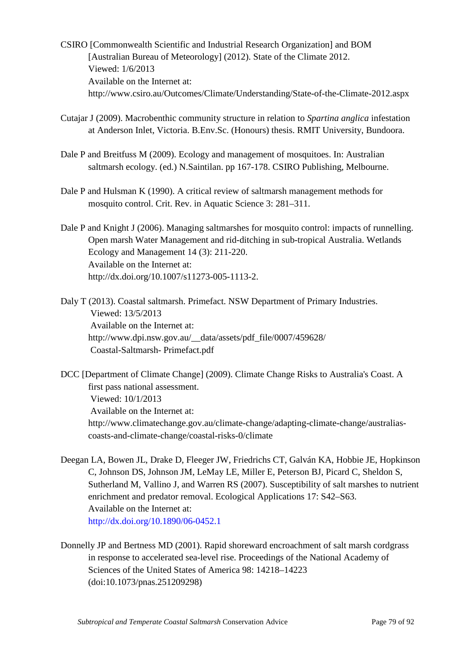- CSIRO [Commonwealth Scientific and Industrial Research Organization] and BOM [Australian Bureau of Meteorology] (2012). State of the Climate 2012. Viewed: 1/6/2013 Available on the Internet at: http://www.csiro.au/Outcomes/Climate/Understanding/State-of-the-Climate-2012.aspx
- Cutajar J (2009). Macrobenthic community structure in relation to *Spartina anglica* infestation at Anderson Inlet, Victoria. B.Env.Sc. (Honours) thesis. RMIT University, Bundoora.
- Dale P and Breitfuss M (2009). Ecology and management of mosquitoes. In: Australian saltmarsh ecology. (ed.) N.Saintilan. pp 167-178. CSIRO Publishing, Melbourne.
- Dale P and Hulsman K (1990). A critical review of saltmarsh management methods for mosquito control. Crit. Rev. in Aquatic Science 3: 281–311.
- Dale P and Knight J (2006). Managing saltmarshes for mosquito control: impacts of runnelling. Open marsh Water Management and rid-ditching in sub-tropical Australia. Wetlands Ecology and Management 14 (3): 211-220. Available on the Internet at: http://dx.doi.org/10.1007/s11273-005-1113-2.

Daly T (2013). Coastal saltmarsh. Primefact. NSW Department of Primary Industries. Viewed: 13/5/2013 Available on the Internet at: http://www.dpi.nsw.gov.au/\_\_data/assets/pdf\_file/0007/459628/ Coastal-Saltmarsh- Primefact.pdf

DCC [Department of Climate Change] (2009). Climate Change Risks to Australia's Coast. A first pass national assessment. Viewed: 10/1/2013 Available on the Internet at: http://www.climatechange.gov.au/climate-change/adapting-climate-change/australiascoasts-and-climate-change/coastal-risks-0/climate

Deegan LA, Bowen JL, Drake D, Fleeger JW, Friedrichs CT, Galván KA, Hobbie JE, Hopkinson C, Johnson DS, Johnson JM, LeMay LE, Miller E, Peterson BJ, Picard C, Sheldon S, Sutherland M, Vallino J, and Warren RS (2007). Susceptibility of salt marshes to nutrient enrichment and predator removal. Ecological Applications 17: S42–S63. Available on the Internet at: <http://dx.doi.org/10.1890/06-0452.1>

Donnelly JP and Bertness MD (2001). Rapid shoreward encroachment of salt marsh cordgrass in response to accelerated sea-level rise. Proceedings of the National Academy of Sciences of the United States of America 98: 14218–14223 (doi:10.1073/pnas.251209298)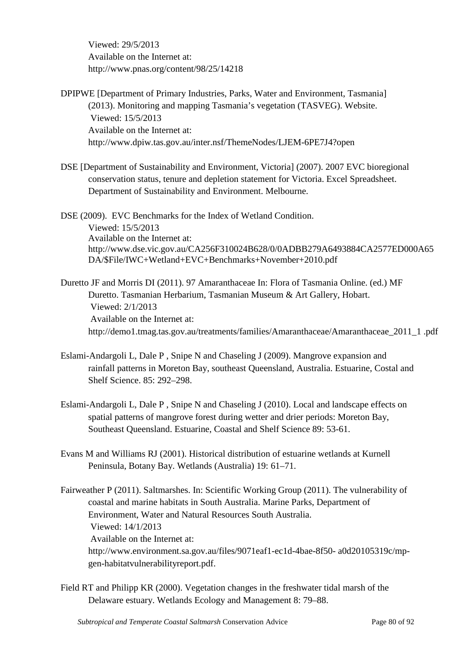Viewed: 29/5/2013 Available on the Internet at: http://www.pnas.org/content/98/25/14218

DPIPWE [Department of Primary Industries, Parks, Water and Environment, Tasmania] (2013). Monitoring and mapping Tasmania's vegetation (TASVEG). Website. Viewed: 15/5/2013 Available on the Internet at: http://www.dpiw.tas.gov.au/inter.nsf/ThemeNodes/LJEM-6PE7J4?open

DSE [Department of Sustainability and Environment, Victoria] (2007). 2007 EVC bioregional conservation status, tenure and depletion statement for Victoria. Excel Spreadsheet. Department of Sustainability and Environment. Melbourne.

DSE (2009). EVC Benchmarks for the Index of Wetland Condition. Viewed: 15/5/2013 Available on the Internet at: http://www.dse.vic.gov.au/CA256F310024B628/0/0ADBB279A6493884CA2577ED000A65 DA/\$File/IWC+Wetland+EVC+Benchmarks+November+2010.pdf

Duretto JF and Morris DI (2011). 97 Amaranthaceae In: Flora of Tasmania Online. (ed.) MF Duretto. Tasmanian Herbarium, Tasmanian Museum & Art Gallery, Hobart. Viewed: 2/1/2013 Available on the Internet at: http://demo1.tmag.tas.gov.au/treatments/families/Amaranthaceae/Amaranthaceae\_2011\_1 .pdf

- Eslami-Andargoli L, Dale P , Snipe N and Chaseling J (2009). Mangrove expansion and rainfall patterns in Moreton Bay, southeast Queensland, Australia. Estuarine, Costal and Shelf Science. 85: 292–298.
- Eslami-Andargoli L, Dale P , Snipe N and Chaseling J (2010). Local and landscape effects on spatial patterns of mangrove forest during wetter and drier periods: Moreton Bay, Southeast Queensland. Estuarine, Coastal and Shelf Science 89: 53-61.
- Evans M and Williams RJ (2001). Historical distribution of estuarine wetlands at Kurnell Peninsula, Botany Bay. Wetlands (Australia) 19: 61–71.

Fairweather P (2011). Saltmarshes. In: Scientific Working Group (2011). The vulnerability of coastal and marine habitats in South Australia. Marine Parks, Department of Environment, Water and Natural Resources South Australia. Viewed: 14/1/2013 Available on the Internet at: http://www.environment.sa.gov.au/files/9071eaf1-ec1d-4bae-8f50- a0d20105319c/mpgen-habitatvulnerabilityreport.pdf.

Field RT and Philipp KR (2000). Vegetation changes in the freshwater tidal marsh of the Delaware estuary. Wetlands Ecology and Management 8: 79–88.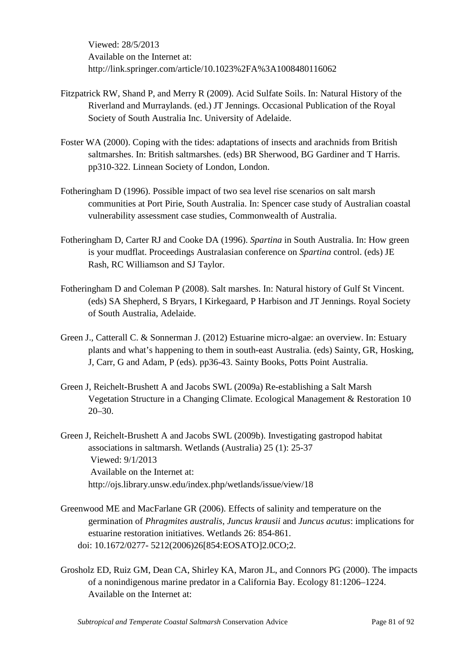Viewed: 28/5/2013 Available on the Internet at: http://link.springer.com/article/10.1023%2FA%3A1008480116062

- Fitzpatrick RW, Shand P, and Merry R (2009). Acid Sulfate Soils. In: Natural History of the Riverland and Murraylands. (ed.) JT Jennings. Occasional Publication of the Royal Society of South Australia Inc. University of Adelaide.
- Foster WA (2000). Coping with the tides: adaptations of insects and arachnids from British saltmarshes. In: British saltmarshes. (eds) BR Sherwood, BG Gardiner and T Harris. pp310-322. Linnean Society of London, London.
- Fotheringham D (1996). Possible impact of two sea level rise scenarios on salt marsh communities at Port Pirie, South Australia. In: Spencer case study of Australian coastal vulnerability assessment case studies, Commonwealth of Australia.
- Fotheringham D, Carter RJ and Cooke DA (1996). *Spartina* in South Australia. In: How green is your mudflat. Proceedings Australasian conference on *Spartina* control. (eds) JE Rash, RC Williamson and SJ Taylor.
- Fotheringham D and Coleman P (2008). Salt marshes. In: Natural history of Gulf St Vincent. (eds) SA Shepherd, S Bryars, I Kirkegaard, P Harbison and JT Jennings. Royal Society of South Australia, Adelaide.
- Green J., Catterall C. & Sonnerman J. (2012) Estuarine micro-algae: an overview. In: Estuary plants and what's happening to them in south-east Australia. (eds) Sainty, GR, Hosking, J, Carr, G and Adam, P (eds). pp36-43. Sainty Books, Potts Point Australia.
- Green J, Reichelt-Brushett A and Jacobs SWL (2009a) Re-establishing a Salt Marsh Vegetation Structure in a Changing Climate. Ecological Management & Restoration 10 20–30.
- Green J, Reichelt-Brushett A and Jacobs SWL (2009b). Investigating gastropod habitat associations in saltmarsh. Wetlands (Australia) 25 (1): 25-37 Viewed: 9/1/2013 Available on the Internet at: http://ojs.library.unsw.edu/index.php/wetlands/issue/view/18
- Greenwood ME and MacFarlane GR (2006). Effects of salinity and temperature on the germination of *Phragmites australis*, *Juncus krausii* and *Juncus acutus*: implications for estuarine restoration initiatives. Wetlands 26: 854-861. doi: 10.1672/0277- 5212(2006)26[854:EOSATO]2.0CO;2.
- Grosholz ED, Ruiz GM, Dean CA, Shirley KA, Maron JL, and Connors PG (2000). The impacts of a nonindigenous marine predator in a California Bay. Ecology 81:1206–1224. Available on the Internet at: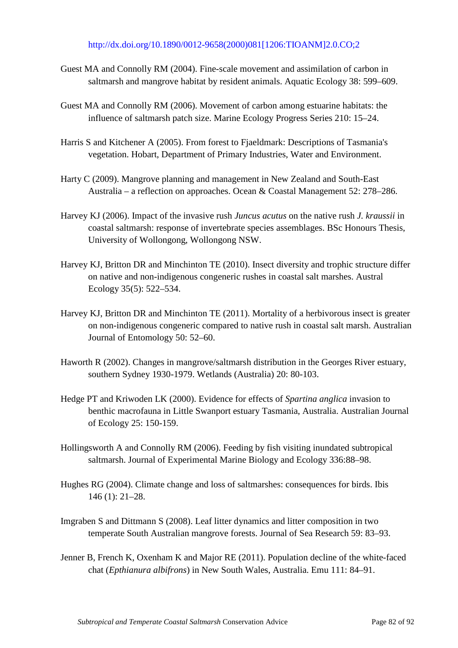#### [http://dx.doi.org/10.1890/0012-9658\(2000\)081\[1206:TIOANM\]2.0.CO;2](http://dx.doi.org/10.1890/0012-9658(2000)081%5b1206:TIOANM%5d2.0.CO;2)

- Guest MA and Connolly RM (2004). Fine-scale movement and assimilation of carbon in saltmarsh and mangrove habitat by resident animals. Aquatic Ecology 38: 599–609.
- Guest MA and Connolly RM (2006). Movement of carbon among estuarine habitats: the influence of saltmarsh patch size. Marine Ecology Progress Series 210: 15–24.
- Harris S and Kitchener A (2005). From forest to Fjaeldmark: Descriptions of Tasmania's vegetation. Hobart, Department of Primary Industries, Water and Environment.
- Harty C (2009). Mangrove planning and management in New Zealand and South-East Australia – a reflection on approaches. Ocean & Coastal Management 52: 278–286.
- Harvey KJ (2006). Impact of the invasive rush *Juncus acutus* on the native rush *J. kraussii* in coastal saltmarsh: response of invertebrate species assemblages. BSc Honours Thesis, University of Wollongong, Wollongong NSW.
- Harvey KJ, Britton DR and Minchinton TE (2010). Insect diversity and trophic structure differ on native and non-indigenous congeneric rushes in coastal salt marshes. Austral Ecology 35(5): 522–534.
- Harvey KJ, Britton DR and Minchinton TE (2011). Mortality of a herbivorous insect is greater on non-indigenous congeneric compared to native rush in coastal salt marsh. Australian Journal of Entomology 50: 52–60.
- Haworth R (2002). Changes in mangrove/saltmarsh distribution in the Georges River estuary, southern Sydney 1930-1979. Wetlands (Australia) 20: 80-103.
- Hedge PT and Kriwoden LK (2000). Evidence for effects of *Spartina anglica* invasion to benthic macrofauna in Little Swanport estuary Tasmania, Australia. Australian Journal of Ecology 25: 150-159.
- Hollingsworth A and Connolly RM (2006). Feeding by fish visiting inundated subtropical saltmarsh. Journal of Experimental Marine Biology and Ecology 336:88–98.
- Hughes RG (2004). Climate change and loss of saltmarshes: consequences for birds. Ibis 146 (1): 21–28.
- Imgraben S and Dittmann S (2008). Leaf litter dynamics and litter composition in two temperate South Australian mangrove forests. Journal of Sea Research 59: 83–93.
- Jenner B, French K, Oxenham K and Major RE (2011). Population decline of the white-faced chat (*Epthianura albifrons*) in New South Wales, Australia. Emu 111: 84–91.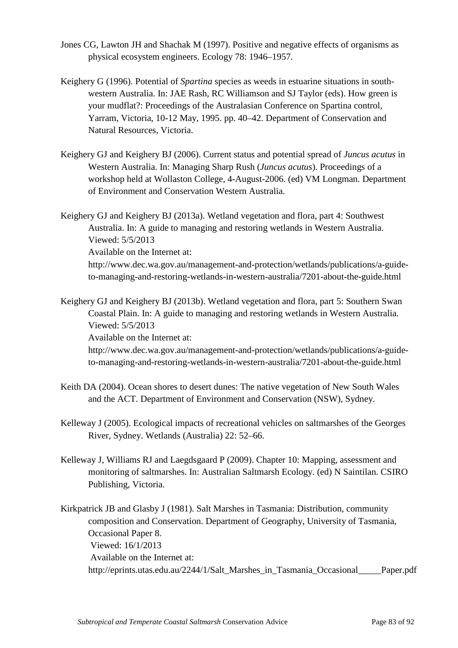- Jones CG, Lawton JH and Shachak M (1997). Positive and negative effects of organisms as physical ecosystem engineers. Ecology 78: 1946–1957.
- Keighery G (1996). Potential of *Spartina* species as weeds in estuarine situations in southwestern Australia. In: JAE Rash, RC Williamson and SJ Taylor (eds). How green is your mudflat?: Proceedings of the Australasian Conference on Spartina control, Yarram, Victoria, 10-12 May, 1995. pp. 40–42. Department of Conservation and Natural Resources, Victoria.
- Keighery GJ and Keighery BJ (2006). Current status and potential spread of *Juncus acutus* in Western Australia. In: Managing Sharp Rush (*Juncus acutus*). Proceedings of a workshop held at Wollaston College, 4-August-2006. (ed) VM Longman. Department of Environment and Conservation Western Australia.

Keighery GJ and Keighery BJ (2013a). Wetland vegetation and flora, part 4: Southwest Australia. In: A guide to managing and restoring wetlands in Western Australia. Viewed: 5/5/2013 Available on the Internet at: http://www.dec.wa.gov.au/management-and-protection/wetlands/publications/a-guideto-managing-and-restoring-wetlands-in-western-australia/7201-about-the-guide.html

Keighery GJ and Keighery BJ (2013b). Wetland vegetation and flora, part 5: Southern Swan Coastal Plain. In: A guide to managing and restoring wetlands in Western Australia. Viewed: 5/5/2013

Available on the Internet at:

http://www.dec.wa.gov.au/management-and-protection/wetlands/publications/a-guideto-managing-and-restoring-wetlands-in-western-australia/7201-about-the-guide.html

- Keith DA (2004). Ocean shores to desert dunes: The native vegetation of New South Wales and the ACT. Department of Environment and Conservation (NSW), Sydney.
- Kelleway J (2005). Ecological impacts of recreational vehicles on saltmarshes of the Georges River, Sydney. Wetlands (Australia) 22: 52–66.
- Kelleway J, Williams RJ and Laegdsgaard P (2009). Chapter 10: Mapping, assessment and monitoring of saltmarshes. In: Australian Saltmarsh Ecology. (ed) N Saintilan. CSIRO Publishing, Victoria.

Kirkpatrick JB and Glasby J (1981). Salt Marshes in Tasmania: Distribution, community composition and Conservation. Department of Geography, University of Tasmania, Occasional Paper 8. Viewed: 16/1/2013 Available on the Internet at: http://eprints.utas.edu.au/2244/1/Salt\_Marshes\_in\_Tasmania\_Occasional\_\_\_\_\_Paper.pdf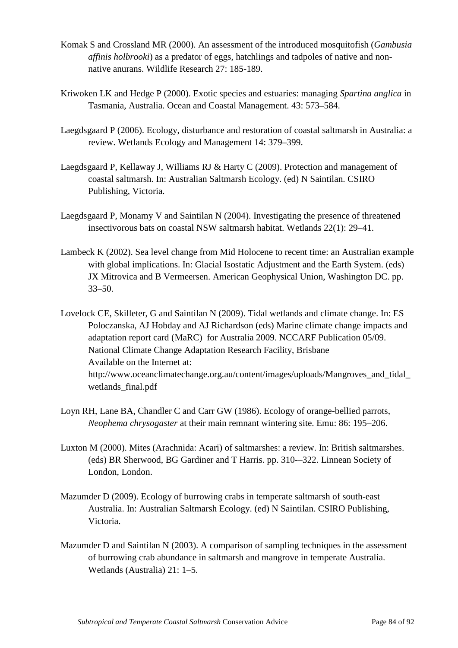- Komak S and Crossland MR (2000). An assessment of the introduced mosquitofish (*Gambusia affinis holbrooki*) as a predator of eggs, hatchlings and tadpoles of native and nonnative anurans. Wildlife Research 27: 185-189.
- Kriwoken LK and Hedge P (2000). Exotic species and estuaries: managing *Spartina anglica* in Tasmania, Australia. Ocean and Coastal Management. 43: 573–584.
- Laegdsgaard P (2006). Ecology, disturbance and restoration of coastal saltmarsh in Australia: a review. Wetlands Ecology and Management 14: 379–399.
- Laegdsgaard P, Kellaway J, Williams RJ & Harty C (2009). Protection and management of coastal saltmarsh. In: Australian Saltmarsh Ecology. (ed) N Saintilan. CSIRO Publishing, Victoria.
- Laegdsgaard P, Monamy V and Saintilan N (2004). Investigating the presence of threatened insectivorous bats on coastal NSW saltmarsh habitat. Wetlands 22(1): 29–41.
- Lambeck K (2002). Sea level change from Mid Holocene to recent time: an Australian example with global implications. In: Glacial Isostatic Adjustment and the Earth System. (eds) JX Mitrovica and B Vermeersen. American Geophysical Union, Washington DC. pp. 33–50.
- Lovelock CE, Skilleter, G and Saintilan N (2009). Tidal wetlands and climate change. In: ES Poloczanska, AJ Hobday and AJ Richardson (eds) Marine climate change impacts and adaptation report card (MaRC) for Australia 2009. NCCARF Publication 05/09. National Climate Change Adaptation Research Facility, Brisbane Available on the Internet at: http://www.oceanclimatechange.org.au/content/images/uploads/Mangroves\_and\_tidal\_ wetlands\_final.pdf
- Loyn RH, Lane BA, Chandler C and Carr GW (1986). Ecology of orange-bellied parrots, *Neophema chrysogaster* at their main remnant wintering site. Emu: 86: 195–206.
- Luxton M (2000). Mites (Arachnida: Acari) of saltmarshes: a review. In: British saltmarshes. (eds) BR Sherwood, BG Gardiner and T Harris. pp. 310-–322. Linnean Society of London, London.
- Mazumder D (2009). Ecology of burrowing crabs in temperate saltmarsh of south-east Australia. In: Australian Saltmarsh Ecology. (ed) N Saintilan. CSIRO Publishing, Victoria.
- Mazumder D and Saintilan N (2003). A comparison of sampling techniques in the assessment of burrowing crab abundance in saltmarsh and mangrove in temperate Australia. Wetlands (Australia) 21: 1–5.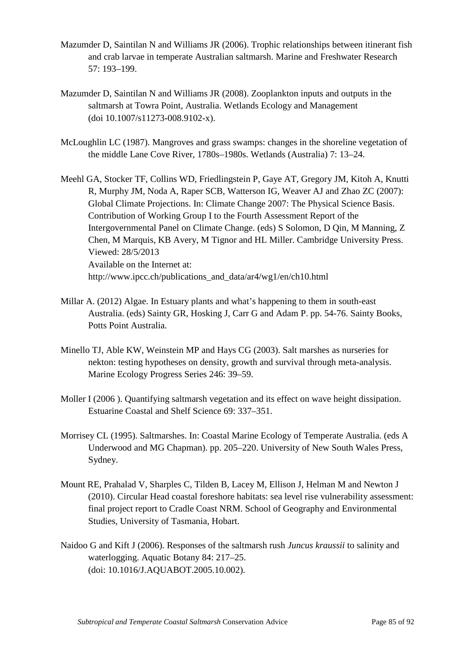- Mazumder D, Saintilan N and Williams JR (2006). Trophic relationships between itinerant fish and crab larvae in temperate Australian saltmarsh. Marine and Freshwater Research 57: 193–199.
- Mazumder D, Saintilan N and Williams JR (2008). Zooplankton inputs and outputs in the saltmarsh at Towra Point, Australia. Wetlands Ecology and Management (doi 10.1007/s11273-008.9102-x).
- McLoughlin LC (1987). Mangroves and grass swamps: changes in the shoreline vegetation of the middle Lane Cove River, 1780s–1980s. Wetlands (Australia) 7: 13–24.
- Meehl GA, Stocker TF, Collins WD, Friedlingstein P, Gaye AT, Gregory JM, Kitoh A, Knutti R, Murphy JM, Noda A, Raper SCB, Watterson IG, Weaver AJ and Zhao ZC (2007): Global Climate Projections. In: Climate Change 2007: The Physical Science Basis. Contribution of Working Group I to the Fourth Assessment Report of the Intergovernmental Panel on Climate Change. (eds) S Solomon, D Qin, M Manning, Z Chen, M Marquis, KB Avery, M Tignor and HL Miller. Cambridge University Press. Viewed: 28/5/2013 Available on the Internet at: http://www.ipcc.ch/publications\_and\_data/ar4/wg1/en/ch10.html
- Millar A. (2012) Algae. In Estuary plants and what's happening to them in south-east Australia. (eds) Sainty GR, Hosking J, Carr G and Adam P. pp. 54*-*76. Sainty Books, Potts Point Australia.
- Minello TJ, Able KW, Weinstein MP and Hays CG (2003). Salt marshes as nurseries for nekton: testing hypotheses on density, growth and survival through meta-analysis. Marine Ecology Progress Series 246: 39–59.
- Moller I (2006). Quantifying saltmarsh vegetation and its effect on wave height dissipation. Estuarine Coastal and Shelf Science 69: 337–351.
- Morrisey CL (1995). Saltmarshes. In: Coastal Marine Ecology of Temperate Australia. (eds A Underwood and MG Chapman). pp. 205–220. University of New South Wales Press, Sydney.
- Mount RE, Prahalad V, Sharples C, Tilden B, Lacey M, Ellison J, Helman M and Newton J (2010). Circular Head coastal foreshore habitats: sea level rise vulnerability assessment: final project report to Cradle Coast NRM. School of Geography and Environmental Studies, University of Tasmania, Hobart.
- Naidoo G and Kift J (2006). Responses of the saltmarsh rush *Juncus kraussii* to salinity and waterlogging. Aquatic Botany 84: 217–25. (doi: 10.1016/J.AQUABOT.2005.10.002).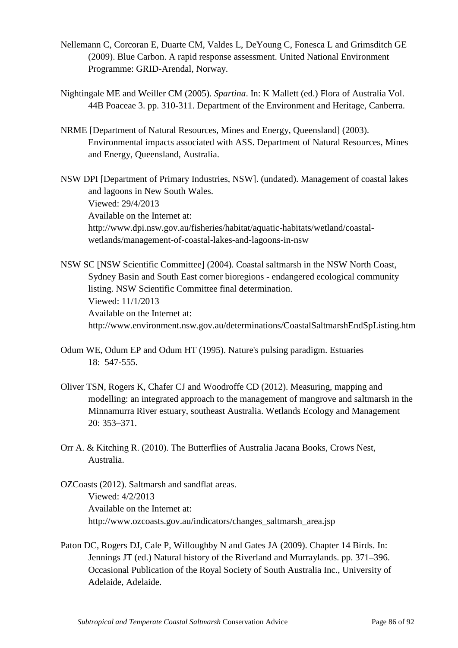- Nellemann C, Corcoran E, Duarte CM, Valdes L, DeYoung C, Fonesca L and Grimsditch GE (2009). Blue Carbon. A rapid response assessment. United National Environment Programme: GRID-Arendal, Norway.
- Nightingale ME and Weiller CM (2005). *Spartina*. In: K Mallett (ed.) Flora of Australia Vol. 44B Poaceae 3. pp. 310-311. Department of the Environment and Heritage, Canberra.
- NRME [Department of Natural Resources, Mines and Energy, Queensland] (2003). Environmental impacts associated with ASS. Department of Natural Resources, Mines and Energy, Queensland, Australia.

NSW DPI [Department of Primary Industries, NSW]. (undated). Management of coastal lakes and lagoons in New South Wales. Viewed: 29/4/2013 Available on the Internet at: http://www.dpi.nsw.gov.au/fisheries/habitat/aquatic-habitats/wetland/coastalwetlands/management-of-coastal-lakes-and-lagoons-in-nsw

NSW SC [NSW Scientific Committee] (2004). Coastal saltmarsh in the NSW North Coast, Sydney Basin and South East corner bioregions - endangered ecological community listing. NSW Scientific Committee final determination. Viewed: 11/1/2013 Available on the Internet at: http://www.environment.nsw.gov.au/determinations/CoastalSaltmarshEndSpListing.htm

- Odum WE, Odum EP and Odum HT (1995). Nature's pulsing paradigm. Estuaries 18: 547-555.
- Oliver TSN, Rogers K, Chafer CJ and Woodroffe CD (2012). Measuring, mapping and modelling: an integrated approach to the management of mangrove and saltmarsh in the Minnamurra River estuary, southeast Australia. Wetlands Ecology and Management 20: 353–371.
- Orr A. & Kitching R. (2010). The Butterflies of Australia Jacana Books, Crows Nest, Australia.
- OZCoasts (2012). Saltmarsh and sandflat areas. Viewed: 4/2/2013 Available on the Internet at: http://www.ozcoasts.gov.au/indicators/changes\_saltmarsh\_area.jsp
- Paton DC, Rogers DJ, Cale P, Willoughby N and Gates JA (2009). Chapter 14 Birds. In: Jennings JT (ed.) Natural history of the Riverland and Murraylands. pp. 371–396. Occasional Publication of the Royal Society of South Australia Inc., University of Adelaide, Adelaide.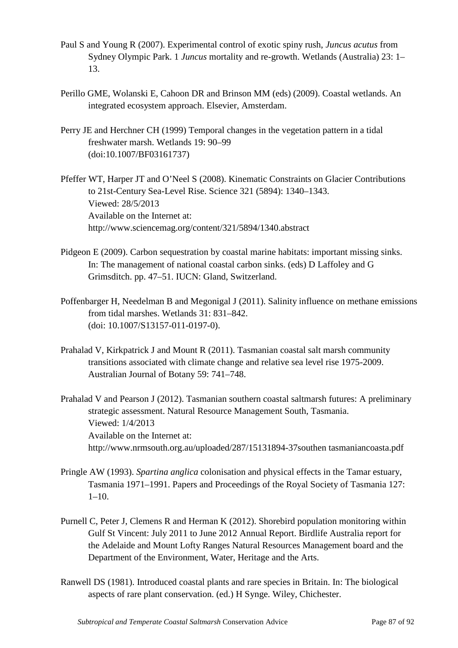- Paul S and Young R (2007). Experimental control of exotic spiny rush, *Juncus acutus* from Sydney Olympic Park. 1 *Juncus* mortality and re-growth. Wetlands (Australia) 23: 1– 13.
- Perillo GME, Wolanski E, Cahoon DR and Brinson MM (eds) (2009). Coastal wetlands. An integrated ecosystem approach. Elsevier, Amsterdam.
- Perry JE and Herchner CH (1999) Temporal changes in the vegetation pattern in a tidal freshwater marsh. Wetlands 19: 90–99 (doi:10.1007/BF03161737)

Pfeffer WT, Harper JT and O'Neel S (2008). Kinematic Constraints on Glacier Contributions to 21st-Century Sea-Level Rise. Science 321 (5894): 1340–1343. Viewed: 28/5/2013 Available on the Internet at: http://www.sciencemag.org/content/321/5894/1340.abstract

- Pidgeon E (2009). Carbon sequestration by coastal marine habitats: important missing sinks. In: The management of national coastal carbon sinks. (eds) D Laffoley and G Grimsditch. pp. 47–51. IUCN: Gland, Switzerland.
- Poffenbarger H, Needelman B and Megonigal J (2011). Salinity influence on methane emissions from tidal marshes. Wetlands 31: 831–842. (doi: 10.1007/S13157-011-0197-0).
- Prahalad V, Kirkpatrick J and Mount R (2011). Tasmanian coastal salt marsh community transitions associated with climate change and relative sea level rise 1975-2009. Australian Journal of Botany 59: 741–748.

Prahalad V and Pearson J (2012). Tasmanian southern coastal saltmarsh futures: A preliminary strategic assessment. Natural Resource Management South, Tasmania. Viewed: 1/4/2013 Available on the Internet at: http://www.nrmsouth.org.au/uploaded/287/15131894-37southen tasmaniancoasta.pdf

- Pringle AW (1993). *Spartina anglica* colonisation and physical effects in the Tamar estuary, Tasmania 1971–1991. Papers and Proceedings of the Royal Society of Tasmania 127:  $1-10.$
- Purnell C, Peter J, Clemens R and Herman K (2012). Shorebird population monitoring within Gulf St Vincent: July 2011 to June 2012 Annual Report. Birdlife Australia report for the Adelaide and Mount Lofty Ranges Natural Resources Management board and the Department of the Environment, Water, Heritage and the Arts.
- Ranwell DS (1981). Introduced coastal plants and rare species in Britain. In: The biological aspects of rare plant conservation. (ed.) H Synge. Wiley, Chichester.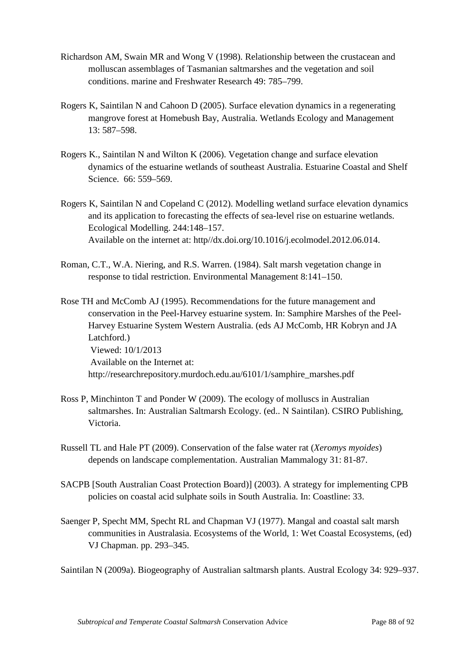- Richardson AM, Swain MR and Wong V (1998). Relationship between the crustacean and molluscan assemblages of Tasmanian saltmarshes and the vegetation and soil conditions. marine and Freshwater Research 49: 785–799.
- Rogers K, Saintilan N and Cahoon D (2005). Surface elevation dynamics in a regenerating mangrove forest at Homebush Bay, Australia. Wetlands Ecology and Management 13: 587–598.
- Rogers K., Saintilan N and Wilton K (2006). Vegetation change and surface elevation dynamics of the estuarine wetlands of southeast Australia. Estuarine Coastal and Shelf Science. 66: 559–569.
- Rogers K, Saintilan N and Copeland C (2012). Modelling wetland surface elevation dynamics and its application to forecasting the effects of sea-level rise on estuarine wetlands. Ecological Modelling. 244:148–157. Available on the internet at: http//dx.doi.org/10.1016/j.ecolmodel.2012.06.014.
- Roman, C.T., W.A. Niering, and R.S. Warren. (1984). Salt marsh vegetation change in response to tidal restriction. Environmental Management 8:141–150.

Rose TH and McComb AJ (1995). Recommendations for the future management and conservation in the Peel-Harvey estuarine system. In: Samphire Marshes of the Peel-Harvey Estuarine System Western Australia. (eds AJ McComb, HR Kobryn and JA Latchford.) Viewed: 10/1/2013 Available on the Internet at: http://researchrepository.murdoch.edu.au/6101/1/samphire\_marshes.pdf

- Ross P, Minchinton T and Ponder W (2009). The ecology of molluscs in Australian saltmarshes. In: Australian Saltmarsh Ecology. (ed.. N Saintilan). CSIRO Publishing, Victoria.
- Russell TL and Hale PT (2009). Conservation of the false water rat (*Xeromys myoides*) depends on landscape complementation. Australian Mammalogy 31: 81-87.
- SACPB [South Australian Coast Protection Board)] (2003). A strategy for implementing CPB policies on coastal acid sulphate soils in South Australia. In: Coastline: 33.
- Saenger P, Specht MM, Specht RL and Chapman VJ (1977). Mangal and coastal salt marsh communities in Australasia. Ecosystems of the World, 1: Wet Coastal Ecosystems, (ed) VJ Chapman. pp. 293–345.

Saintilan N (2009a). Biogeography of Australian saltmarsh plants. Austral Ecology 34: 929–937.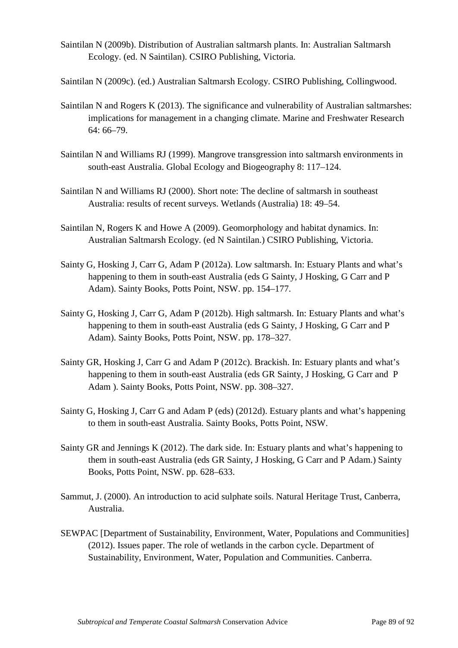Saintilan N (2009b). Distribution of Australian saltmarsh plants. In: Australian Saltmarsh Ecology. (ed. N Saintilan). CSIRO Publishing, Victoria.

Saintilan N (2009c). (ed.) Australian Saltmarsh Ecology. CSIRO Publishing, Collingwood.

- Saintilan N and Rogers K (2013). The significance and vulnerability of Australian saltmarshes: implications for management in a changing climate. Marine and Freshwater Research 64: 66–79.
- Saintilan N and Williams RJ (1999). Mangrove transgression into saltmarsh environments in south-east Australia. Global Ecology and Biogeography 8: 117–124.
- Saintilan N and Williams RJ (2000). Short note: The decline of saltmarsh in southeast Australia: results of recent surveys. Wetlands (Australia) 18: 49–54.
- Saintilan N, Rogers K and Howe A (2009). Geomorphology and habitat dynamics. In: Australian Saltmarsh Ecology. (ed N Saintilan.) CSIRO Publishing, Victoria.
- Sainty G, Hosking J, Carr G, Adam P (2012a). Low saltmarsh. In: Estuary Plants and what's happening to them in south-east Australia (eds G Sainty, J Hosking, G Carr and P Adam). Sainty Books, Potts Point, NSW. pp. 154–177.
- Sainty G, Hosking J, Carr G, Adam P (2012b). High saltmarsh. In: Estuary Plants and what's happening to them in south-east Australia (eds G Sainty, J Hosking, G Carr and P Adam). Sainty Books, Potts Point, NSW. pp. 178–327.
- Sainty GR, Hosking J, Carr G and Adam P (2012c). Brackish. In: Estuary plants and what's happening to them in south-east Australia (eds GR Sainty, J Hosking, G Carr and P Adam ). Sainty Books, Potts Point, NSW. pp. 308–327.
- Sainty G, Hosking J, Carr G and Adam P (eds) (2012d). Estuary plants and what's happening to them in south-east Australia. Sainty Books, Potts Point, NSW.
- Sainty GR and Jennings K (2012). The dark side. In: Estuary plants and what's happening to them in south-east Australia (eds GR Sainty, J Hosking, G Carr and P Adam.) Sainty Books, Potts Point, NSW. pp. 628–633.
- Sammut, J. (2000). An introduction to acid sulphate soils. Natural Heritage Trust, Canberra, Australia.
- SEWPAC [Department of Sustainability, Environment, Water, Populations and Communities] (2012). Issues paper. The role of wetlands in the carbon cycle. Department of Sustainability, Environment, Water, Population and Communities. Canberra.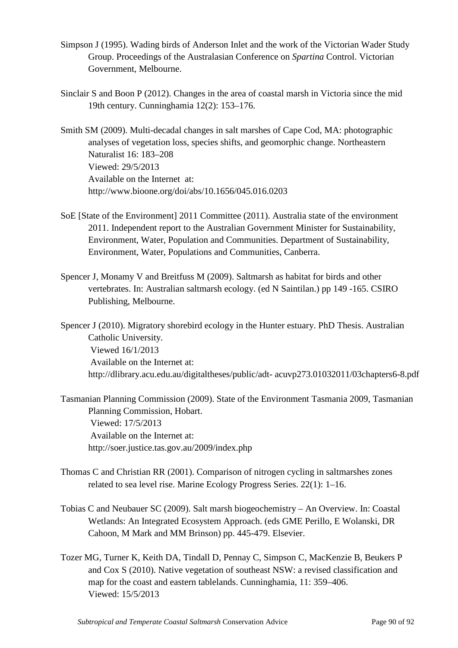- Simpson J (1995). Wading birds of Anderson Inlet and the work of the Victorian Wader Study Group. Proceedings of the Australasian Conference on *Spartina* Control. Victorian Government, Melbourne.
- Sinclair S and Boon P (2012). Changes in the area of coastal marsh in Victoria since the mid 19th century. Cunninghamia 12(2): 153–176.

Smith SM (2009). Multi-decadal changes in salt marshes of Cape Cod, MA: photographic analyses of vegetation loss, species shifts, and geomorphic change. Northeastern Naturalist 16: 183–208 Viewed: 29/5/2013 Available on the Internet at: http://www.bioone.org/doi/abs/10.1656/045.016.0203

- SoE [State of the Environment] 2011 Committee (2011). Australia state of the environment 2011. Independent report to the Australian Government Minister for Sustainability, Environment, Water, Population and Communities. Department of Sustainability, Environment, Water, Populations and Communities, Canberra.
- Spencer J, Monamy V and Breitfuss M (2009). Saltmarsh as habitat for birds and other vertebrates. In: Australian saltmarsh ecology. (ed N Saintilan.) pp 149 -165. CSIRO Publishing, Melbourne.

Spencer J (2010). Migratory shorebird ecology in the Hunter estuary. PhD Thesis. Australian Catholic University. Viewed 16/1/2013 Available on the Internet at: http://dlibrary.acu.edu.au/digitaltheses/public/adt- acuvp273.01032011/03chapters6-8.pdf

Tasmanian Planning Commission (2009). State of the Environment Tasmania 2009, Tasmanian Planning Commission, Hobart. Viewed: 17/5/2013 Available on the Internet at: http://soer.justice.tas.gov.au/2009/index.php

- Thomas C and Christian RR (2001). Comparison of nitrogen cycling in saltmarshes zones related to sea level rise. Marine Ecology Progress Series. 22(1): 1–16.
- Tobias C and Neubauer SC (2009). Salt marsh biogeochemistry An Overview. In: Coastal Wetlands: An Integrated Ecosystem Approach. (eds GME Perillo, E Wolanski, DR Cahoon, M Mark and MM Brinson) pp. 445-479. Elsevier.
- Tozer MG, Turner K, Keith DA, Tindall D, Pennay C, Simpson C, MacKenzie B, Beukers P and Cox S (2010). Native vegetation of southeast NSW: a revised classification and map for the coast and eastern tablelands. Cunninghamia, 11: 359–406. Viewed: 15/5/2013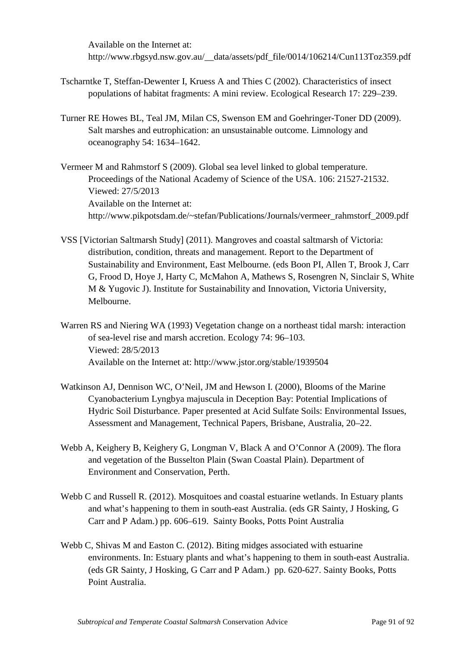Available on the Internet at: http://www.rbgsyd.nsw.gov.au/\_\_data/assets/pdf\_file/0014/106214/Cun113Toz359.pdf

- Tscharntke T, Steffan-Dewenter I, Kruess A and Thies C (2002). Characteristics of insect populations of habitat fragments: A mini review. Ecological Research 17: 229–239.
- Turner RE Howes BL, Teal JM, Milan CS, Swenson EM and Goehringer-Toner DD (2009). Salt marshes and eutrophication: an unsustainable outcome. Limnology and oceanography 54: 1634–1642.

Vermeer M and Rahmstorf S (2009). Global sea level linked to global temperature. Proceedings of the National Academy of Science of the USA. 106: 21527-21532. Viewed: 27/5/2013 Available on the Internet at: http://www.pikpotsdam.de/~stefan/Publications/Journals/vermeer\_rahmstorf\_2009.pdf

- VSS [Victorian Saltmarsh Study] (2011). Mangroves and coastal saltmarsh of Victoria: distribution, condition, threats and management. Report to the Department of Sustainability and Environment, East Melbourne. (eds Boon PI, Allen T, Brook J, Carr G, Frood D, Hoye J, Harty C, McMahon A, Mathews S, Rosengren N, Sinclair S, White M & Yugovic J). Institute for Sustainability and Innovation, Victoria University, Melbourne.
- Warren RS and Niering WA (1993) Vegetation change on a northeast tidal marsh: interaction of sea-level rise and marsh accretion. Ecology 74: 96–103. Viewed: 28/5/2013 Available on the Internet at: http://www.jstor.org/stable/1939504
- Watkinson AJ, Dennison WC, O'Neil, JM and Hewson I. (2000), Blooms of the Marine Cyanobacterium Lyngbya majuscula in Deception Bay: Potential Implications of Hydric Soil Disturbance. Paper presented at Acid Sulfate Soils: Environmental Issues, Assessment and Management, Technical Papers, Brisbane, Australia, 20–22.
- Webb A, Keighery B, Keighery G, Longman V, Black A and O'Connor A (2009). The flora and vegetation of the Busselton Plain (Swan Coastal Plain). Department of Environment and Conservation, Perth.
- Webb C and Russell R. (2012). Mosquitoes and coastal estuarine wetlands. In Estuary plants and what's happening to them in south-east Australia. (eds GR Sainty, J Hosking, G Carr and P Adam.) pp. 606–619. Sainty Books, Potts Point Australia
- Webb C, Shivas M and Easton C. (2012). Biting midges associated with estuarine environments. In: Estuary plants and what's happening to them in south-east Australia. (eds GR Sainty, J Hosking, G Carr and P Adam.) pp. 620-627. Sainty Books, Potts Point Australia.